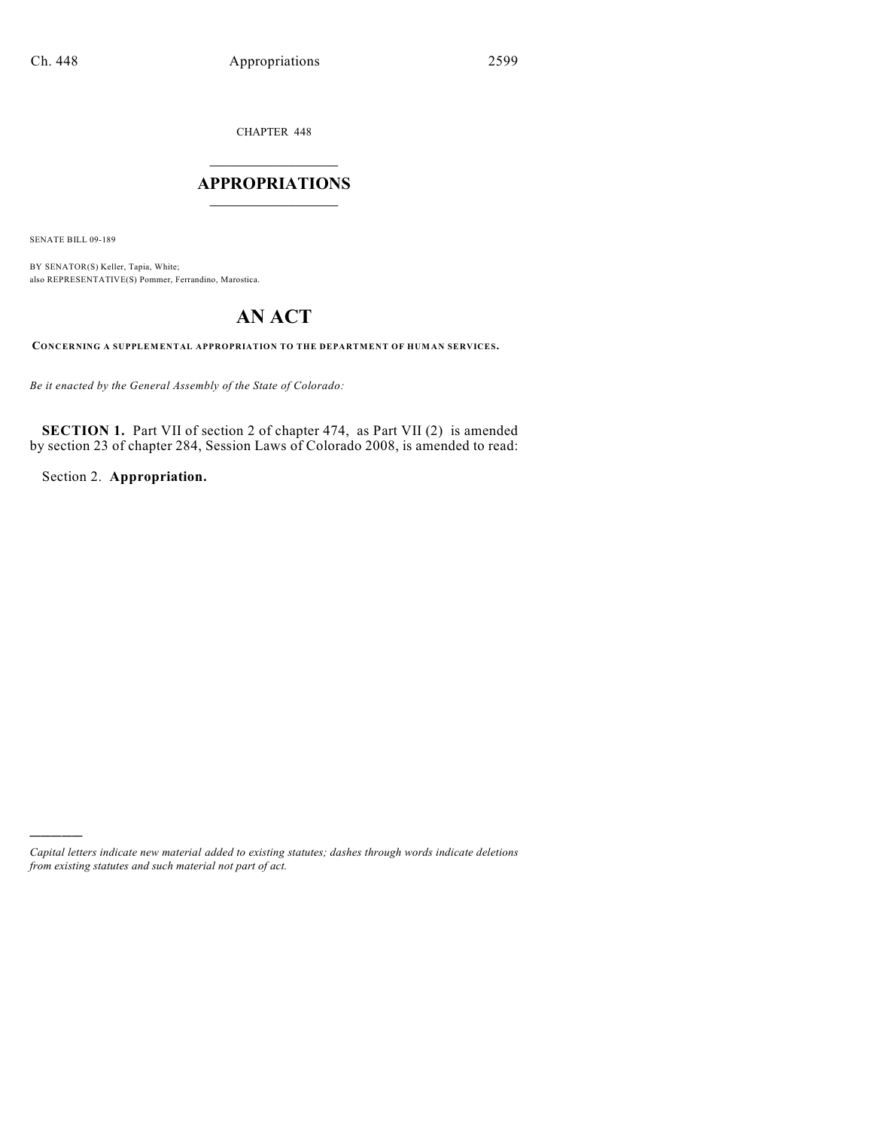CHAPTER 448

### $\overline{\phantom{a}}$  . The set of the set of the set of the set of the set of the set of the set of the set of the set of the set of the set of the set of the set of the set of the set of the set of the set of the set of the set o **APPROPRIATIONS**  $\_$   $\_$   $\_$   $\_$   $\_$   $\_$   $\_$   $\_$

SENATE BILL 09-189

)))))

BY SENATOR(S) Keller, Tapia, White; also REPRESENTATIVE(S) Pommer, Ferrandino, Marostica.

# **AN ACT**

**CONCERNING A SUPPLEMENTAL APPROPRIATION TO THE DEPARTMENT OF HUMAN SERVICES.**

*Be it enacted by the General Assembly of the State of Colorado:*

**SECTION 1.** Part VII of section 2 of chapter 474, as Part VII (2) is amended by section 23 of chapter 284, Session Laws of Colorado 2008, is amended to read:

Section 2. **Appropriation.**

*Capital letters indicate new material added to existing statutes; dashes through words indicate deletions from existing statutes and such material not part of act.*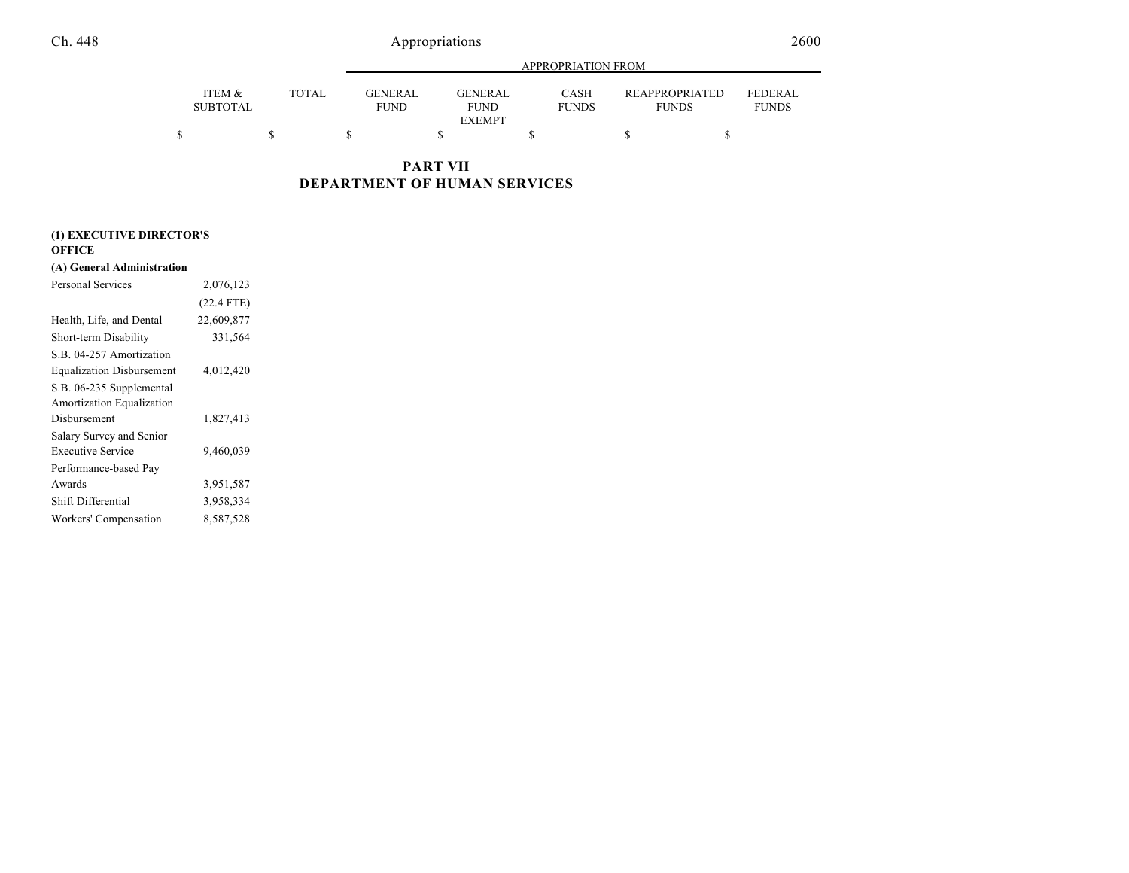|                           |       |                        | APPROPRIATION FROM                             |                             |                                       |                                |  |  |
|---------------------------|-------|------------------------|------------------------------------------------|-----------------------------|---------------------------------------|--------------------------------|--|--|
| ITEM &<br><b>SUBTOTAL</b> | TOTAL | GENERAL<br><b>FUND</b> | <b>GENERAL</b><br><b>FUND</b><br><b>EXEMPT</b> | <b>CASH</b><br><b>FUNDS</b> | <b>REAPPROPRIATED</b><br><b>FUNDS</b> | <b>FEDERAL</b><br><b>FUNDS</b> |  |  |
|                           |       |                        |                                                |                             |                                       |                                |  |  |

**PART VII DEPARTMENT OF HUMAN SERVICES**

| (1) EXECUTIVE DIRECTOR'S |  |
|--------------------------|--|
|--------------------------|--|

### **OFFICE**

#### **(A) General Administration**

| <b>Personal Services</b>         | 2,076,123    |  |
|----------------------------------|--------------|--|
|                                  | $(22.4$ FTE) |  |
| Health, Life, and Dental         | 22,609,877   |  |
| Short-term Disability            | 331,564      |  |
| S.B. 04-257 Amortization         |              |  |
| <b>Equalization Disbursement</b> | 4,012,420    |  |
| S.B. 06-235 Supplemental         |              |  |
| Amortization Equalization        |              |  |
| Disbursement                     | 1,827,413    |  |
| Salary Survey and Senior         |              |  |
| Executive Service                | 9,460,039    |  |
| Performance-based Pay            |              |  |
| Awards                           | 3,951,587    |  |
| Shift Differential               | 3,958,334    |  |
| Workers' Compensation            | 8,587,528    |  |
|                                  |              |  |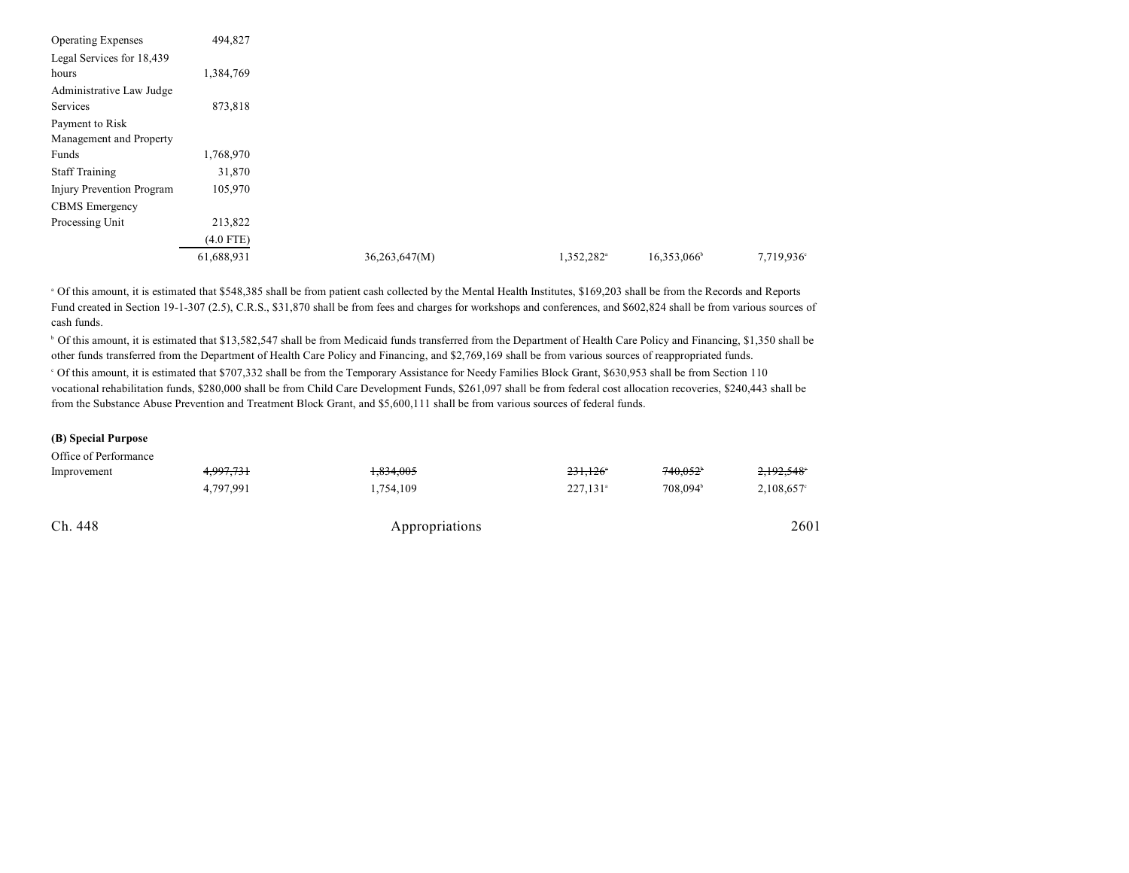| <b>Operating Expenses</b> | 494,827     |               |                        |                         |            |
|---------------------------|-------------|---------------|------------------------|-------------------------|------------|
| Legal Services for 18,439 |             |               |                        |                         |            |
| hours                     | 1,384,769   |               |                        |                         |            |
| Administrative Law Judge  |             |               |                        |                         |            |
| Services                  | 873,818     |               |                        |                         |            |
| Payment to Risk           |             |               |                        |                         |            |
| Management and Property   |             |               |                        |                         |            |
| Funds                     | 1,768,970   |               |                        |                         |            |
| <b>Staff Training</b>     | 31,870      |               |                        |                         |            |
| Injury Prevention Program | 105,970     |               |                        |                         |            |
| <b>CBMS</b> Emergency     |             |               |                        |                         |            |
| Processing Unit           | 213,822     |               |                        |                         |            |
|                           | $(4.0$ FTE) |               |                        |                         |            |
|                           | 61,688,931  | 36,263,647(M) | 1,352,282 <sup>a</sup> | 16,353,066 <sup>b</sup> | 7,719,936° |

<sup>a</sup> Of this amount, it is estimated that \$548,385 shall be from patient cash collected by the Mental Health Institutes, \$169,203 shall be from the Records and Reports Fund created in Section 19-1-307 (2.5), C.R.S., \$31,870 shall be from fees and charges for workshops and conferences, and \$602,824 shall be from various sources of cash funds.

<sup>b</sup> Of this amount, it is estimated that \$13,582,547 shall be from Medicaid funds transferred from the Department of Health Care Policy and Financing, \$1,350 shall be other funds transferred from the Department of Health Care Policy and Financing, and \$2,769,169 shall be from various sources of reappropriated funds.

 Of this amount, it is estimated that \$707,332 shall be from the Temporary Assistance for Needy Families Block Grant, \$630,953 shall be from Section 110 c vocational rehabilitation funds, \$280,000 shall be from Child Care Development Funds, \$261,097 shall be from federal cost allocation recoveries, \$240,443 shall be from the Substance Abuse Prevention and Treatment Block Grant, and \$5,600,111 shall be from various sources of federal funds.

#### **(B) Special Purpose**

Office of Performance

| Ch. 448     |           | Appropriations |                        |                      | 2601          |
|-------------|-----------|----------------|------------------------|----------------------|---------------|
|             | 4.797.991 | 1,754,109      | $227.131$ <sup>a</sup> | 708.094 <sup>b</sup> | $2,108,657$ ° |
| Improvement | 4,997,731 | 1.834.005      | $231.126$ <sup>*</sup> | 740.052              | 2,192,548     |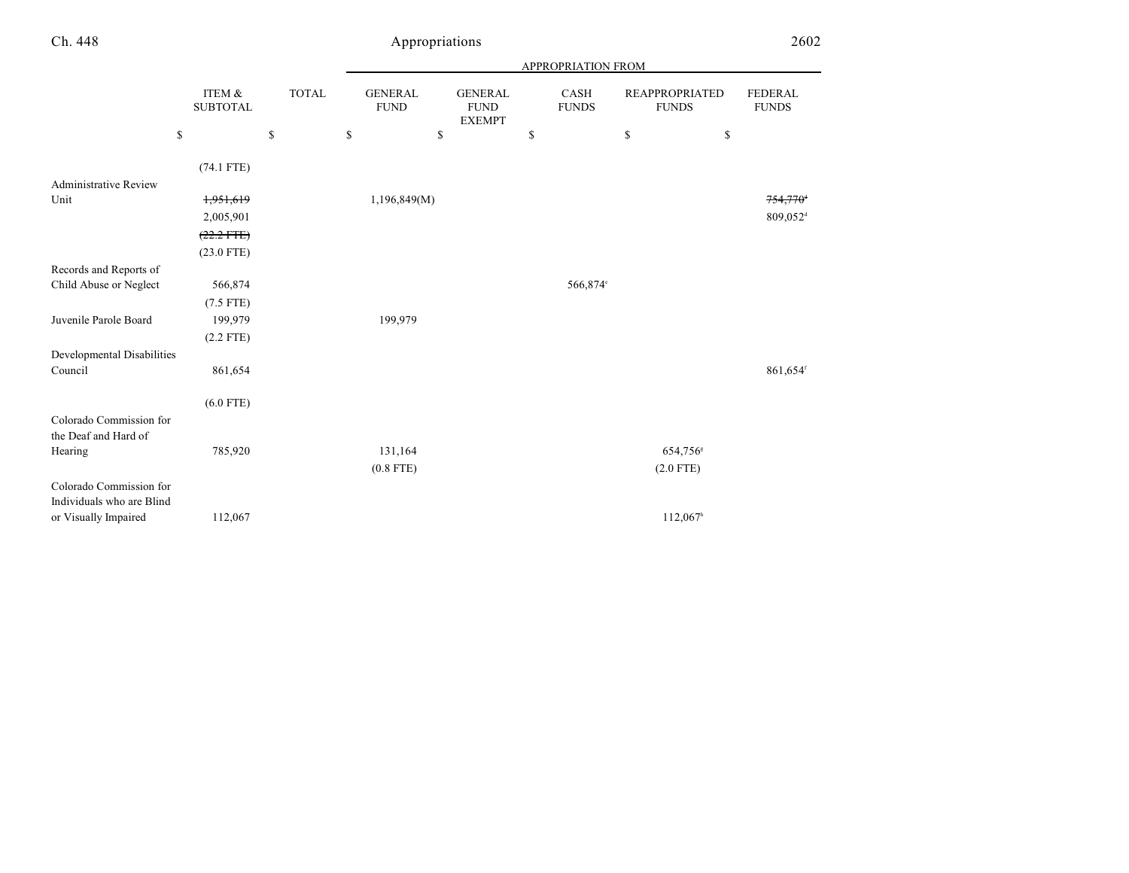|                                                 |                           |              |                               |                                                | APPROPRIATION FROM   |                                |                                |
|-------------------------------------------------|---------------------------|--------------|-------------------------------|------------------------------------------------|----------------------|--------------------------------|--------------------------------|
|                                                 | ITEM &<br><b>SUBTOTAL</b> | <b>TOTAL</b> | <b>GENERAL</b><br><b>FUND</b> | <b>GENERAL</b><br><b>FUND</b><br><b>EXEMPT</b> | CASH<br><b>FUNDS</b> | REAPPROPRIATED<br><b>FUNDS</b> | <b>FEDERAL</b><br><b>FUNDS</b> |
|                                                 | \$                        | \$           | \$<br>\$                      |                                                | \$                   | \$<br>\$                       |                                |
|                                                 | $(74.1$ FTE)              |              |                               |                                                |                      |                                |                                |
| <b>Administrative Review</b>                    |                           |              |                               |                                                |                      |                                |                                |
| Unit                                            | 1,951,619                 |              | 1,196,849(M)                  |                                                |                      |                                | $754,770$ <sup>+</sup>         |
|                                                 | 2,005,901                 |              |                               |                                                |                      |                                | 809,052 <sup>d</sup>           |
|                                                 | $(22.2$ FTE)              |              |                               |                                                |                      |                                |                                |
|                                                 | $(23.0$ FTE)              |              |                               |                                                |                      |                                |                                |
| Records and Reports of                          |                           |              |                               |                                                |                      |                                |                                |
| Child Abuse or Neglect                          | 566,874                   |              |                               |                                                | 566,874°             |                                |                                |
|                                                 | $(7.5$ FTE)               |              |                               |                                                |                      |                                |                                |
| Juvenile Parole Board                           | 199,979                   |              | 199,979                       |                                                |                      |                                |                                |
|                                                 | $(2.2$ FTE)               |              |                               |                                                |                      |                                |                                |
| Developmental Disabilities                      |                           |              |                               |                                                |                      |                                |                                |
| Council                                         | 861,654                   |              |                               |                                                |                      |                                | 861,654 <sup>f</sup>           |
|                                                 | $(6.0$ FTE)               |              |                               |                                                |                      |                                |                                |
| Colorado Commission for<br>the Deaf and Hard of |                           |              |                               |                                                |                      |                                |                                |
| Hearing                                         | 785,920                   |              | 131,164                       |                                                |                      | 654,756 <sup>s</sup>           |                                |
|                                                 |                           |              | $(0.8$ FTE)                   |                                                |                      | $(2.0$ FTE)                    |                                |
| Colorado Commission for                         |                           |              |                               |                                                |                      |                                |                                |
| Individuals who are Blind                       |                           |              |                               |                                                |                      |                                |                                |
| or Visually Impaired                            | 112,067                   |              |                               |                                                |                      | $112,067$ <sup>h</sup>         |                                |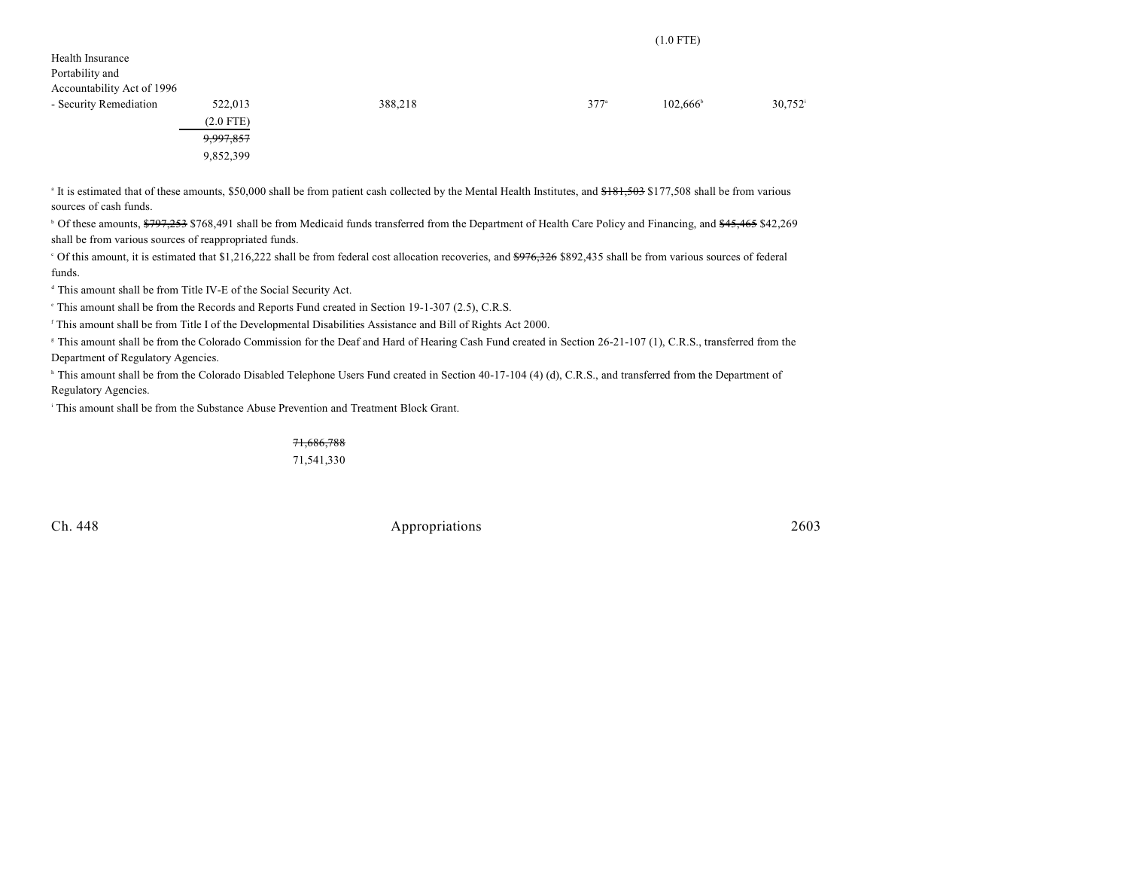| Health Insurance<br>Portability and<br>Accountability Act of 1996 |             |         |               |                   |        |
|-------------------------------------------------------------------|-------------|---------|---------------|-------------------|--------|
| - Security Remediation                                            | 522,013     | 388,218 | $377^{\circ}$ | $102,666^{\circ}$ | 30,752 |
|                                                                   | $(2.0$ FTE) |         |               |                   |        |
|                                                                   | 9,997,857   |         |               |                   |        |
|                                                                   | 9,852,399   |         |               |                   |        |
|                                                                   |             |         |               |                   |        |

<sup>a</sup> It is estimated that of these amounts, \$50,000 shall be from patient cash collected by the Mental Health Institutes, and \$181,503 \$177,508 shall be from various sources of cash funds.

<sup>b</sup> Of these amounts, \$797,253 \$768,491 shall be from Medicaid funds transferred from the Department of Health Care Policy and Financing, and \$45,465 \$42,269 shall be from various sources of reappropriated funds.

<sup>o</sup> Of this amount, it is estimated that \$1,216,222 shall be from federal cost allocation recoveries, and <del>\$976,326</del> \$892,435 shall be from various sources of federal funds.

This amount shall be from Title IV-E of the Social Security Act. d

This amount shall be from the Records and Reports Fund created in Section 19-1-307 (2.5), C.R.S.

<sup>f</sup> This amount shall be from Title I of the Developmental Disabilities Assistance and Bill of Rights Act 2000.

<sup>8</sup> This amount shall be from the Colorado Commission for the Deaf and Hard of Hearing Cash Fund created in Section 26-21-107 (1), C.R.S., transferred from the Department of Regulatory Agencies.

<sup>h</sup> This amount shall be from the Colorado Disabled Telephone Users Fund created in Section 40-17-104 (4) (d), C.R.S., and transferred from the Department of Regulatory Agencies.

This amount shall be from the Substance Abuse Prevention and Treatment Block Grant. i

71,686,788

71,541,330

Ch. 448 Appropriations 2603

(1.0 FTE)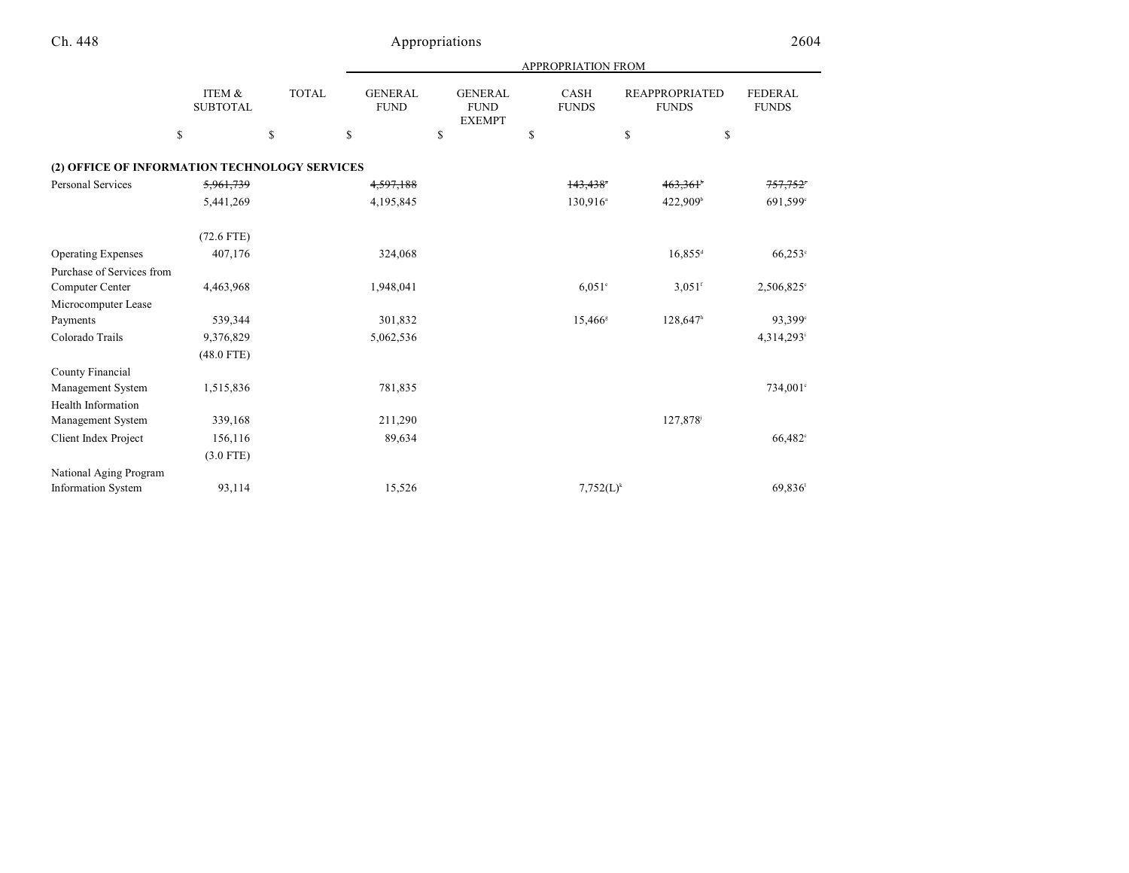|                                               |                           |              |                               |                                                | APPROPRIATION FROM          |                                       |                                |
|-----------------------------------------------|---------------------------|--------------|-------------------------------|------------------------------------------------|-----------------------------|---------------------------------------|--------------------------------|
|                                               | ITEM &<br><b>SUBTOTAL</b> | <b>TOTAL</b> | <b>GENERAL</b><br><b>FUND</b> | <b>GENERAL</b><br><b>FUND</b><br><b>EXEMPT</b> | <b>CASH</b><br><b>FUNDS</b> | <b>REAPPROPRIATED</b><br><b>FUNDS</b> | <b>FEDERAL</b><br><b>FUNDS</b> |
|                                               | \$                        | \$           | \$                            | \$                                             | \$                          | \$<br>\$                              |                                |
| (2) OFFICE OF INFORMATION TECHNOLOGY SERVICES |                           |              |                               |                                                |                             |                                       |                                |
| <b>Personal Services</b>                      | 5,961,739                 |              | 4,597,188                     |                                                | $143,438$ <sup>*</sup>      | 463,361                               | 757,752 <sup>°</sup>           |
|                                               | 5,441,269                 |              | 4,195,845                     |                                                | 130,916 <sup>a</sup>        | 422,909 <sup>b</sup>                  | 691,599 <sup>c</sup>           |
|                                               | $(72.6$ FTE)              |              |                               |                                                |                             |                                       |                                |
| <b>Operating Expenses</b>                     | 407,176                   |              | 324,068                       |                                                |                             | $16,855$ <sup>d</sup>                 | $66,253$ °                     |
| Purchase of Services from                     |                           |              |                               |                                                |                             |                                       |                                |
| Computer Center                               | 4,463,968                 |              | 1,948,041                     |                                                | $6.051$ <sup>e</sup>        | $3.051$ <sup>f</sup>                  | 2,506,825°                     |
| Microcomputer Lease                           |                           |              |                               |                                                |                             |                                       |                                |
| Payments                                      | 539,344                   |              | 301,832                       |                                                | $15,466^s$                  | $128,647$ <sup>h</sup>                | 93,399°                        |
| Colorado Trails                               | 9,376,829                 |              | 5,062,536                     |                                                |                             |                                       | 4,314,293                      |
|                                               | $(48.0$ FTE)              |              |                               |                                                |                             |                                       |                                |
| County Financial                              |                           |              |                               |                                                |                             |                                       |                                |
| Management System                             | 1,515,836                 |              | 781,835                       |                                                |                             |                                       | 734,001°                       |
| Health Information                            |                           |              |                               |                                                |                             |                                       |                                |
| Management System                             | 339,168                   |              | 211,290                       |                                                |                             | 127,878                               |                                |
| Client Index Project                          | 156,116                   |              | 89,634                        |                                                |                             |                                       | 66,482°                        |
|                                               | $(3.0$ FTE)               |              |                               |                                                |                             |                                       |                                |
| National Aging Program                        |                           |              |                               |                                                |                             |                                       |                                |
| <b>Information System</b>                     | 93,114                    |              | 15,526                        |                                                | $7,752(L)^k$                |                                       | 69,836                         |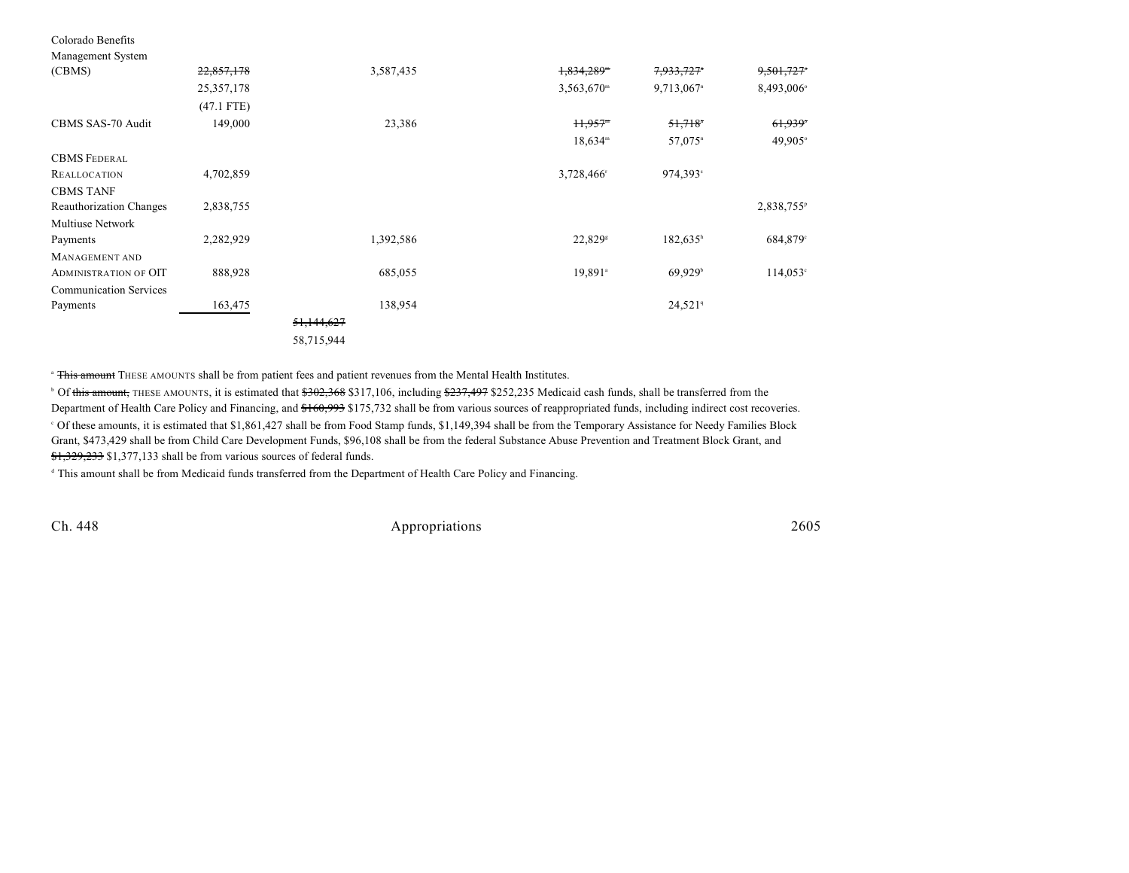| Management System              |              |            |                       |                          |                        |
|--------------------------------|--------------|------------|-----------------------|--------------------------|------------------------|
| (CBMS)                         | 22,857,178   | 3,587,435  | 1,834,289"            | 7,933,727*               | 9,501,727*             |
|                                | 25, 357, 178 |            | $3,563,670^{\rm m}$   | $9,713,067$ <sup>n</sup> | 8,493,006°             |
|                                | $(47.1$ FTE) |            |                       |                          |                        |
| CBMS SAS-70 Audit              | 149,000      | 23,386     | $H, 957$ <sup>m</sup> | 51,718                   | 61,939                 |
|                                |              |            | $18,634^m$            | 57,075 <sup>n</sup>      | 49,905°                |
| <b>CBMS FEDERAL</b>            |              |            |                       |                          |                        |
| <b>REALLOCATION</b>            | 4,702,859    |            | 3,728,466             | 974,393 <sup>s</sup>     |                        |
| <b>CBMS TANF</b>               |              |            |                       |                          |                        |
| <b>Reauthorization Changes</b> | 2,838,755    |            |                       |                          | 2,838,755 <sup>p</sup> |
| <b>Multiuse Network</b>        |              |            |                       |                          |                        |
| Payments                       | 2,282,929    | 1,392,586  | 22,829 <sup>s</sup>   | $182,635^h$              | 684,879°               |
| MANAGEMENT AND                 |              |            |                       |                          |                        |
| <b>ADMINISTRATION OF OIT</b>   | 888,928      | 685,055    | $19,891$ <sup>a</sup> | $69,929$ <sup>b</sup>    | $114,053^{\circ}$      |
| <b>Communication Services</b>  |              |            |                       |                          |                        |
| Payments                       | 163,475      | 138,954    |                       | $24,521$ <sup>q</sup>    |                        |
|                                |              | 51,144,627 |                       |                          |                        |
|                                |              | 58,715,944 |                       |                          |                        |

<sup>a</sup> This amount THESE AMOUNTS shall be from patient fees and patient revenues from the Mental Health Institutes.

<sup>b</sup> Of this amount, THESE AMOUNTS, it is estimated that \$302,368 \$317,106, including \$237,497 \$252,235 Medicaid cash funds, shall be transferred from the Department of Health Care Policy and Financing, and \$160,993 \$175,732 shall be from various sources of reappropriated funds, including indirect cost recoveries. Of these amounts, it is estimated that \$1,861,427 shall be from Food Stamp funds, \$1,149,394 shall be from the Temporary Assistance for Needy Families Block <sup>c</sup> Grant, \$473,429 shall be from Child Care Development Funds, \$96,108 shall be from the federal Substance Abuse Prevention and Treatment Block Grant, and \$1,329,233 \$1,377,133 shall be from various sources of federal funds.

<sup>d</sup> This amount shall be from Medicaid funds transferred from the Department of Health Care Policy and Financing.

Colorado Benefits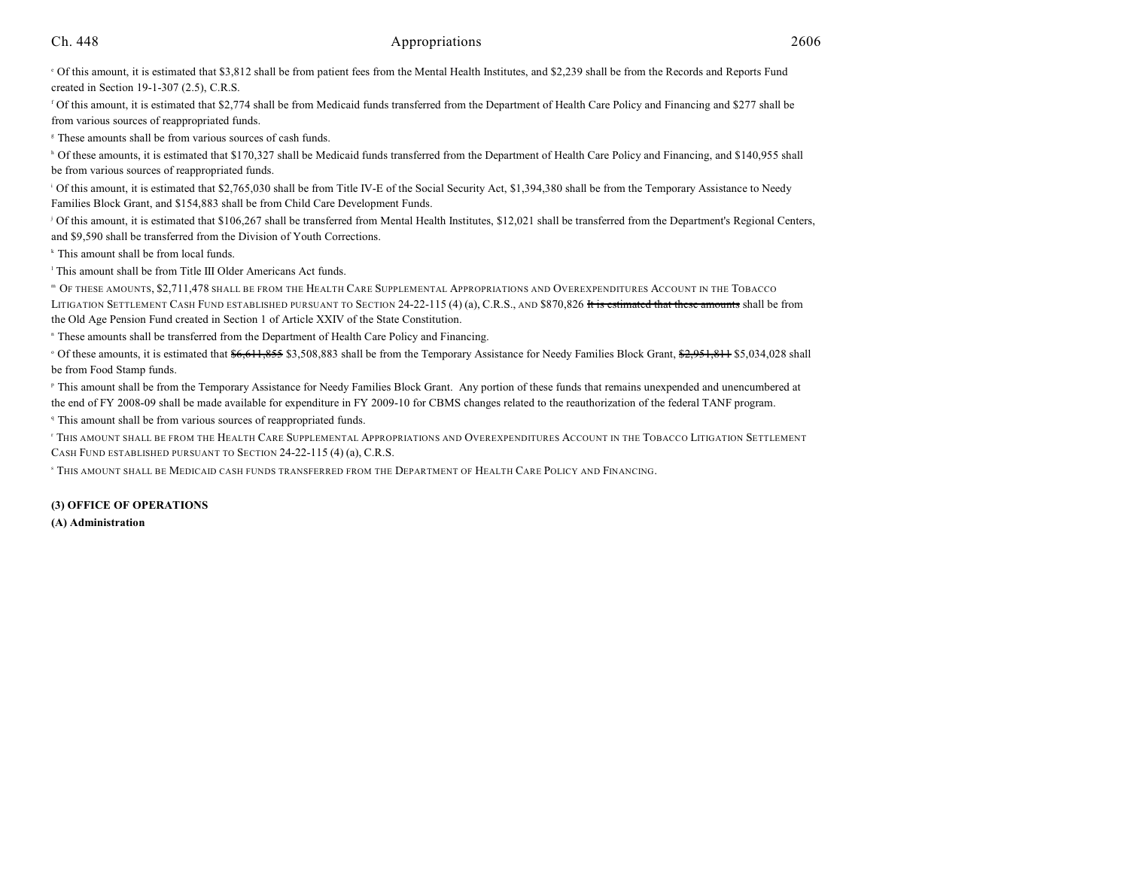Of this amount, it is estimated that \$3,812 shall be from patient fees from the Mental Health Institutes, and \$2,239 shall be from the Records and Reports Fund <sup>e</sup> created in Section 19-1-307 (2.5), C.R.S.

<sup>f</sup> Of this amount, it is estimated that \$2,774 shall be from Medicaid funds transferred from the Department of Health Care Policy and Financing and \$277 shall be from various sources of reappropriated funds.

<sup>8</sup> These amounts shall be from various sources of cash funds.

<sup>h</sup> Of these amounts, it is estimated that \$170,327 shall be Medicaid funds transferred from the Department of Health Care Policy and Financing, and \$140,955 shall be from various sources of reappropriated funds.

<sup>1</sup> Of this amount, it is estimated that \$2,765,030 shall be from Title IV-E of the Social Security Act, \$1,394,380 shall be from the Temporary Assistance to Needy Families Block Grant, and \$154,883 shall be from Child Care Development Funds.

<sup>j</sup> Of this amount, it is estimated that \$106,267 shall be transferred from Mental Health Institutes, \$12,021 shall be transferred from the Department's Regional Centers, and \$9,590 shall be transferred from the Division of Youth Corrections.

 $*$  This amount shall be from local funds.

 $<sup>1</sup>$  This amount shall be from Title III Older Americans Act funds.</sup>

 OF THESE AMOUNTS, \$2,711,478 SHALL BE FROM THE HEALTH CARE SUPPLEMENTAL APPROPRIATIONS AND OVEREXPENDITURES ACCOUNT IN THE TOBACCO <sup>m</sup> LITIGATION SETTLEMENT CASH FUND ESTABLISHED PURSUANT TO SECTION 24-22-115 (4) (a), C.R.S., AND \$870,826 It is estimated that these amounts shall be from the Old Age Pension Fund created in Section 1 of Article XXIV of the State Constitution.

<sup>n</sup> These amounts shall be transferred from the Department of Health Care Policy and Financing.

<sup>o</sup> Of these amounts, it is estimated that \$6,611,855 \$3,508,883 shall be from the Temporary Assistance for Needy Families Block Grant, \$2,951,811 \$5,034,028 shall be from Food Stamp funds.

<sup>P</sup> This amount shall be from the Temporary Assistance for Needy Families Block Grant. Any portion of these funds that remains unexpended and unencumbered at the end of FY 2008-09 shall be made available for expenditure in FY 2009-10 for CBMS changes related to the reauthorization of the federal TANF program.

<sup>q</sup> This amount shall be from various sources of reappropriated funds.

<sup>T</sup> THIS AMOUNT SHALL BE FROM THE HEALTH CARE SUPPLEMENTAL APPROPRIATIONS AND OVEREXPENDITURES ACCOUNT IN THE TOBACCO LITIGATION SETTLEMENT CASH FUND ESTABLISHED PURSUANT TO SECTION 24-22-115 (4) (a), C.R.S.

s This amount shall be Medicaid cash funds transferred from the Department of Health Care Policy and Financing.

#### **(3) OFFICE OF OPERATIONS**

**(A) Administration**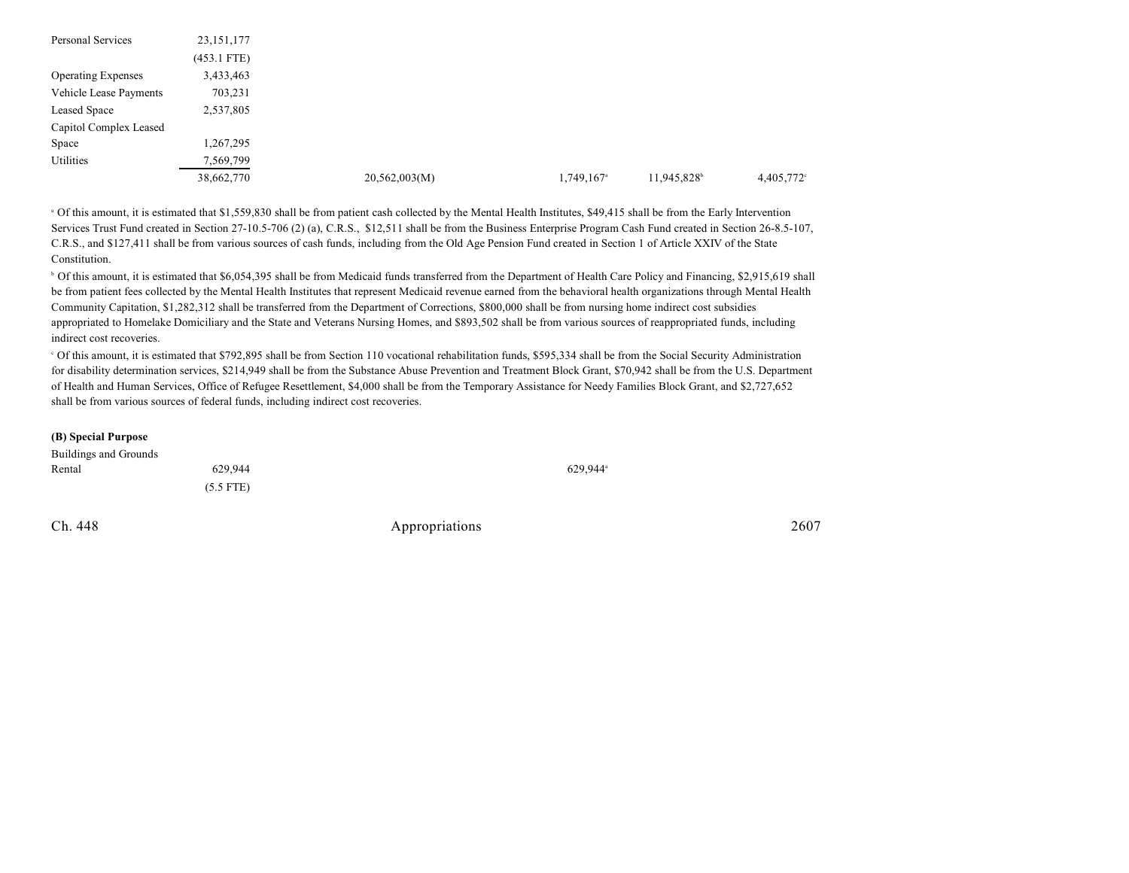| <b>Personal Services</b>  | 23, 151, 177  |               |                        |            |            |
|---------------------------|---------------|---------------|------------------------|------------|------------|
|                           | $(453.1$ FTE) |               |                        |            |            |
| <b>Operating Expenses</b> | 3,433,463     |               |                        |            |            |
| Vehicle Lease Payments    | 703,231       |               |                        |            |            |
| Leased Space              | 2,537,805     |               |                        |            |            |
| Capitol Complex Leased    |               |               |                        |            |            |
| Space                     | 1,267,295     |               |                        |            |            |
| Utilities                 | 7,569,799     |               |                        |            |            |
|                           | 38,662,770    | 20,562,003(M) | 1,749,167 <sup>a</sup> | 11,945,828 | 4,405,772° |

<sup>a</sup> Of this amount, it is estimated that \$1,559,830 shall be from patient cash collected by the Mental Health Institutes, \$49,415 shall be from the Early Intervention Services Trust Fund created in Section 27-10.5-706 (2) (a), C.R.S., \$12,511 shall be from the Business Enterprise Program Cash Fund created in Section 26-8.5-107, C.R.S., and \$127,411 shall be from various sources of cash funds, including from the Old Age Pension Fund created in Section 1 of Article XXIV of the State Constitution.

<sup>b</sup> Of this amount, it is estimated that \$6,054,395 shall be from Medicaid funds transferred from the Department of Health Care Policy and Financing, \$2,915,619 shall be from patient fees collected by the Mental Health Institutes that represent Medicaid revenue earned from the behavioral health organizations through Mental Health Community Capitation, \$1,282,312 shall be transferred from the Department of Corrections, \$800,000 shall be from nursing home indirect cost subsidies appropriated to Homelake Domiciliary and the State and Veterans Nursing Homes, and \$893,502 shall be from various sources of reappropriated funds, including indirect cost recoveries.

 Of this amount, it is estimated that \$792,895 shall be from Section 110 vocational rehabilitation funds, \$595,334 shall be from the Social Security Administration <sup>c</sup> for disability determination services, \$214,949 shall be from the Substance Abuse Prevention and Treatment Block Grant, \$70,942 shall be from the U.S. Department of Health and Human Services, Office of Refugee Resettlement, \$4,000 shall be from the Temporary Assistance for Needy Families Block Grant, and \$2,727,652 shall be from various sources of federal funds, including indirect cost recoveries.

#### **(B) Special Purpose**

| Buildings and Grounds |             |                        |
|-----------------------|-------------|------------------------|
| Rental                | 629.944     | $629.944$ <sup>a</sup> |
|                       | $(5.5$ FTE) |                        |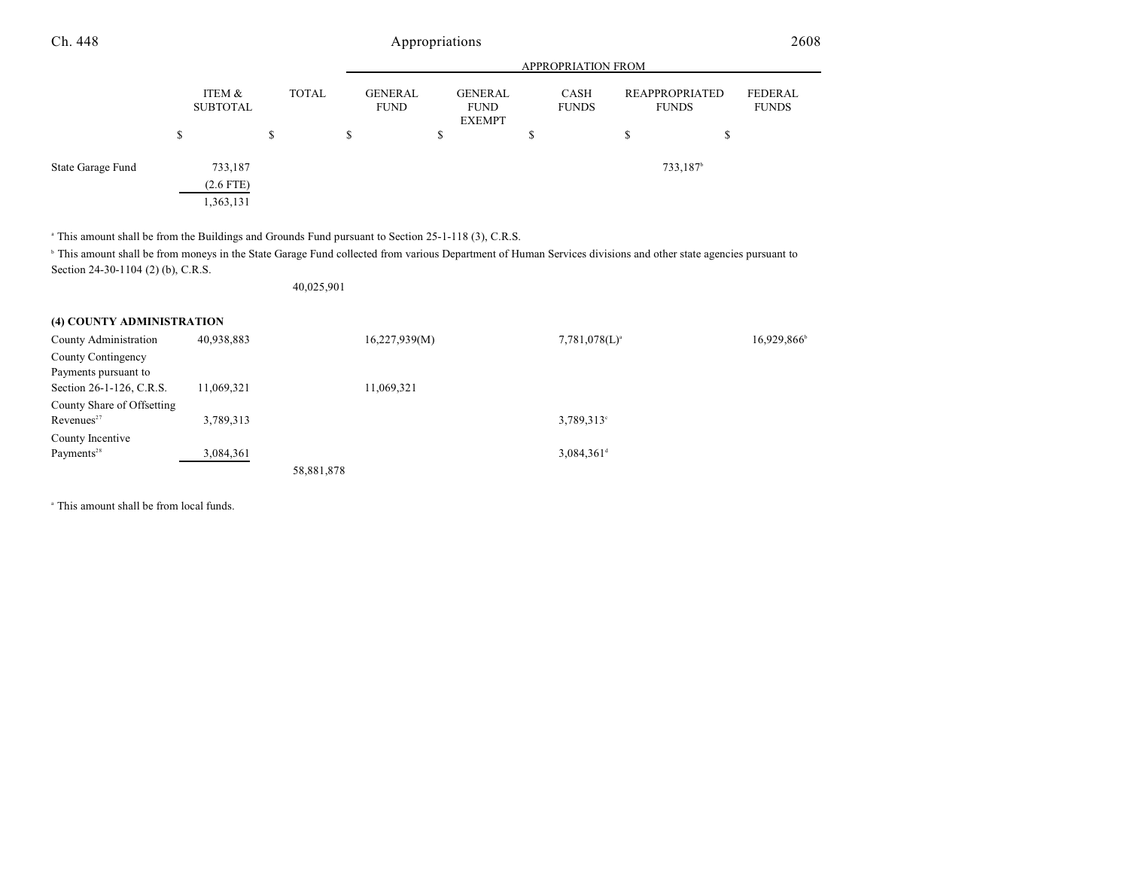|                   |                           |              | <b>APPROPRIATION FROM</b>     |                                                |                      |    |                                       |                         |  |  |
|-------------------|---------------------------|--------------|-------------------------------|------------------------------------------------|----------------------|----|---------------------------------------|-------------------------|--|--|
|                   | ITEM &<br><b>SUBTOTAL</b> | <b>TOTAL</b> | <b>GENERAL</b><br><b>FUND</b> | <b>GENERAL</b><br><b>FUND</b><br><b>EXEMPT</b> | CASH<br><b>FUNDS</b> |    | <b>REAPPROPRIATED</b><br><b>FUNDS</b> | FEDERAL<br><b>FUNDS</b> |  |  |
|                   | \$                        | S            | \$                            | \$                                             | S                    | \$ | S                                     |                         |  |  |
| State Garage Fund | 733,187                   |              |                               |                                                |                      |    | 733,187 <sup>b</sup>                  |                         |  |  |
|                   | $(2.6$ FTE)<br>1,363,131  |              |                               |                                                |                      |    |                                       |                         |  |  |

<sup>a</sup> This amount shall be from the Buildings and Grounds Fund pursuant to Section 25-1-118 (3), C.R.S.

<sup>h</sup> This amount shall be from moneys in the State Garage Fund collected from various Department of Human Services divisions and other state agencies pursuant to Section 24-30-1104 (2) (b), C.R.S.

40,025,901

#### **(4) COUNTY ADMINISTRATION**

| County Administration      | 40,938,883 |            | 16,227,939(M) | $7,781,078(L)^a$         | 16,929,866 |
|----------------------------|------------|------------|---------------|--------------------------|------------|
| County Contingency         |            |            |               |                          |            |
| Payments pursuant to       |            |            |               |                          |            |
| Section 26-1-126, C.R.S.   | 11,069,321 |            | 11,069,321    |                          |            |
| County Share of Offsetting |            |            |               |                          |            |
| Revenues <sup>27</sup>     | 3,789,313  |            |               | $3,789,313$ °            |            |
| County Incentive           |            |            |               |                          |            |
| Payments <sup>28</sup>     | 3,084,361  |            |               | $3,084,361$ <sup>d</sup> |            |
|                            |            | 58,881,878 |               |                          |            |

<sup>a</sup> This amount shall be from local funds.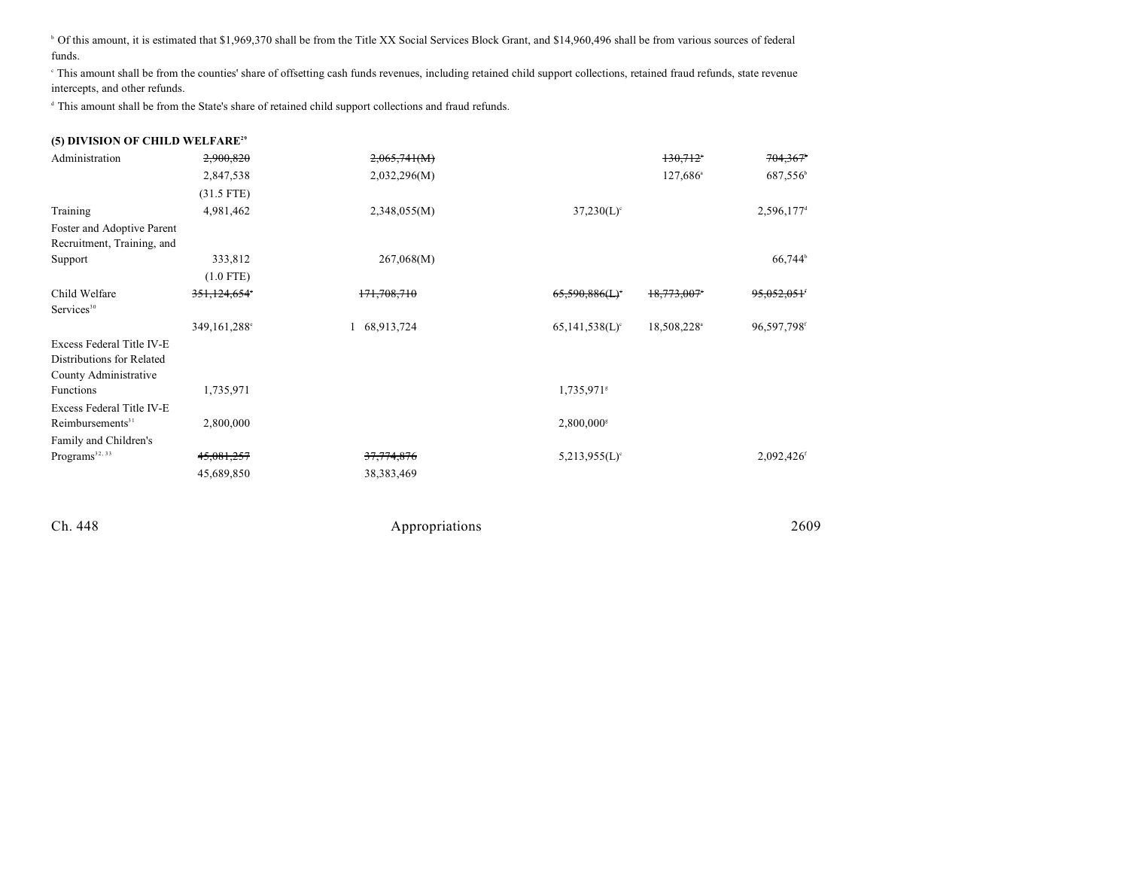<sup>b</sup> Of this amount, it is estimated that \$1,969,370 shall be from the Title XX Social Services Block Grant, and \$14,960,496 shall be from various sources of federal funds.

 This amount shall be from the counties' share of offsetting cash funds revenues, including retained child support collections, retained fraud refunds, state revenue <sup>c</sup> intercepts, and other refunds.

<sup>d</sup> This amount shall be from the State's share of retained child support collections and fraud refunds.

| (5) DIVISION OF CHILD WELFARE <sup>29</sup> |
|---------------------------------------------|
|---------------------------------------------|

| Administration               | 2,900,820    | 2,065,741(M) |                              | $130,712$ <sup>*</sup>  | 704,367                  |
|------------------------------|--------------|--------------|------------------------------|-------------------------|--------------------------|
|                              | 2,847,538    | 2,032,296(M) |                              | $127,686^{\circ}$       | 687,556 <sup>b</sup>     |
|                              | $(31.5$ FTE) |              |                              |                         |                          |
| Training                     | 4,981,462    | 2,348,055(M) | $37,230(L)$ °                |                         | $2,596,177$ <sup>d</sup> |
| Foster and Adoptive Parent   |              |              |                              |                         |                          |
| Recruitment, Training, and   |              |              |                              |                         |                          |
| Support                      | 333,812      | 267,068(M)   |                              |                         | 66,744 <sup>b</sup>      |
|                              | $(1.0$ FTE)  |              |                              |                         |                          |
| Child Welfare                | 351,124,654° | 171,708,710  | 65,590,886(L)                | 18,773,007*             | <del>95,052,051</del> '  |
| Services <sup>30</sup>       |              |              |                              |                         |                          |
|                              | 349,161,288° | 68,913,724   | $65,141,538(L)$ <sup>c</sup> | 18,508,228 <sup>a</sup> | 96,597,798 <sup>f</sup>  |
| Excess Federal Title IV-E    |              |              |                              |                         |                          |
| Distributions for Related    |              |              |                              |                         |                          |
| County Administrative        |              |              |                              |                         |                          |
| <b>Functions</b>             | 1,735,971    |              | 1,735,971 <sup>s</sup>       |                         |                          |
| Excess Federal Title IV-E    |              |              |                              |                         |                          |
| Reimbursements <sup>31</sup> | 2,800,000    |              | $2,800,000$ <sup>s</sup>     |                         |                          |
| Family and Children's        |              |              |                              |                         |                          |
| Programs <sup>32, 33</sup>   | 45,081,257   | 37,774,876   | $5,213,955(L)$ <sup>c</sup>  |                         | 2,092,426f               |
|                              | 45,689,850   | 38, 383, 469 |                              |                         |                          |
|                              |              |              |                              |                         |                          |
|                              |              |              |                              |                         |                          |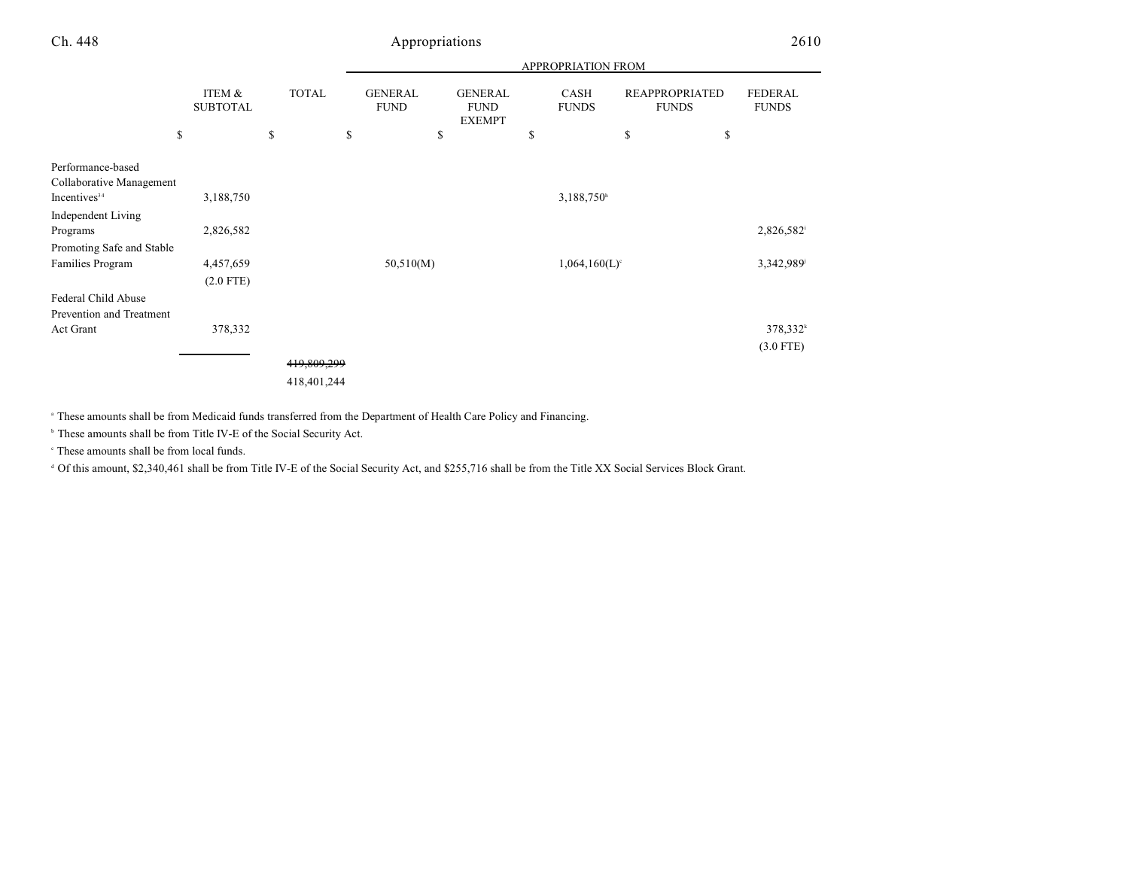|                           |                           |              |                               |                                                | <b>APPROPRIATION FROM</b>   |                                       |                                |
|---------------------------|---------------------------|--------------|-------------------------------|------------------------------------------------|-----------------------------|---------------------------------------|--------------------------------|
|                           | ITEM &<br><b>SUBTOTAL</b> | <b>TOTAL</b> | <b>GENERAL</b><br><b>FUND</b> | <b>GENERAL</b><br><b>FUND</b><br><b>EXEMPT</b> | CASH<br><b>FUNDS</b>        | <b>REAPPROPRIATED</b><br><b>FUNDS</b> | <b>FEDERAL</b><br><b>FUNDS</b> |
| \$                        |                           | \$           | \$<br>\$                      |                                                | \$                          | \$                                    | \$                             |
| Performance-based         |                           |              |                               |                                                |                             |                                       |                                |
| Collaborative Management  |                           |              |                               |                                                |                             |                                       |                                |
| Incentives <sup>34</sup>  | 3,188,750                 |              |                               |                                                | 3,188,750h                  |                                       |                                |
| Independent Living        |                           |              |                               |                                                |                             |                                       |                                |
| Programs                  | 2,826,582                 |              |                               |                                                |                             |                                       | 2,826,582                      |
| Promoting Safe and Stable |                           |              |                               |                                                |                             |                                       |                                |
| Families Program          | 4,457,659                 |              | 50,510(M)                     |                                                | $1,064,160(L)$ <sup>c</sup> |                                       | 3,342,989                      |
|                           | $(2.0$ FTE)               |              |                               |                                                |                             |                                       |                                |
| Federal Child Abuse       |                           |              |                               |                                                |                             |                                       |                                |
| Prevention and Treatment  |                           |              |                               |                                                |                             |                                       |                                |
| Act Grant                 | 378,332                   |              |                               |                                                |                             |                                       | 378,332 <sup>k</sup>           |
|                           |                           |              |                               |                                                |                             |                                       | $(3.0$ FTE)                    |
|                           |                           | 419,809,299  |                               |                                                |                             |                                       |                                |
|                           |                           | 418,401,244  |                               |                                                |                             |                                       |                                |

<sup>a</sup> These amounts shall be from Medicaid funds transferred from the Department of Health Care Policy and Financing.

<sup>b</sup> These amounts shall be from Title IV-E of the Social Security Act.

 $\degree$  These amounts shall be from local funds.

 $\textdegree$  Of this amount, \$2,340,461 shall be from Title IV-E of the Social Security Act, and \$255,716 shall be from the Title XX Social Services Block Grant.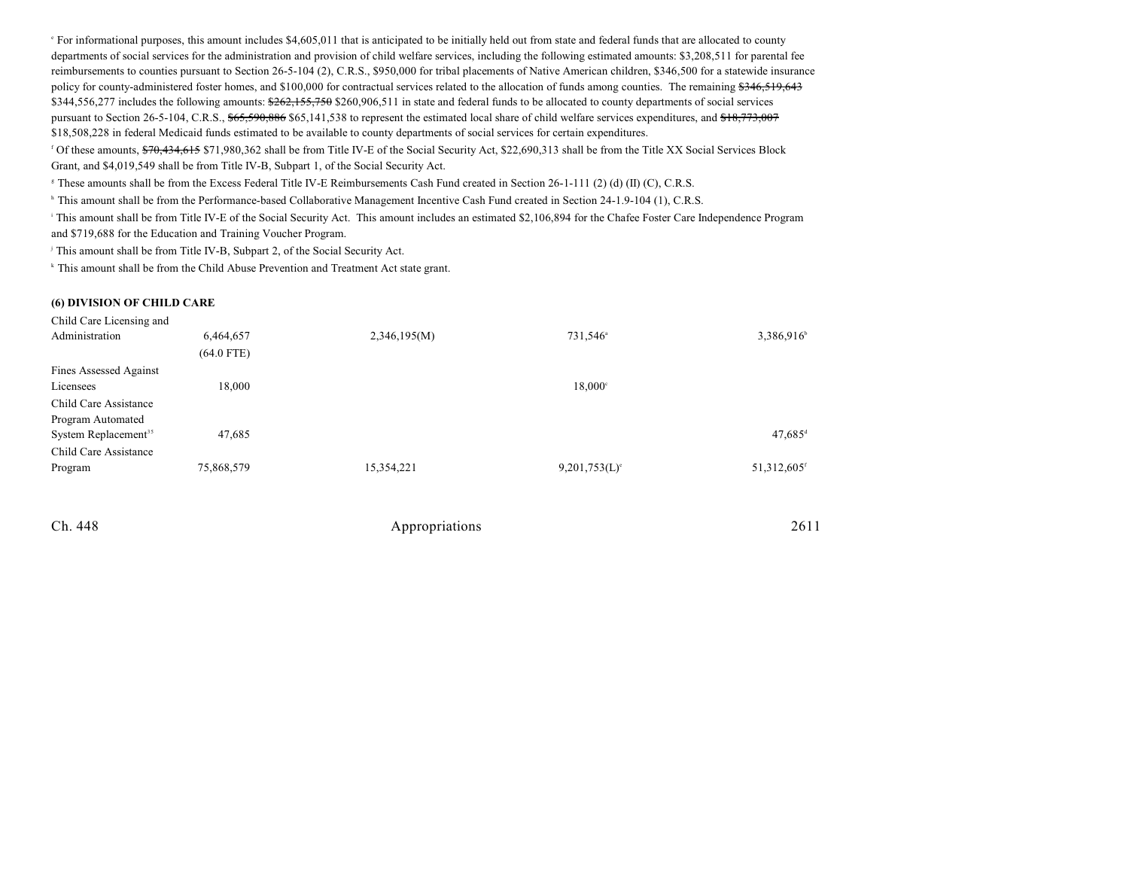For informational purposes, this amount includes \$4,605,011 that is anticipated to be initially held out from state and federal funds that are allocated to county e departments of social services for the administration and provision of child welfare services, including the following estimated amounts: \$3,208,511 for parental fee reimbursements to counties pursuant to Section 26-5-104 (2), C.R.S., \$950,000 for tribal placements of Native American children, \$346,500 for a statewide insurance policy for county-administered foster homes, and \$100,000 for contractual services related to the allocation of funds among counties. The remaining \$346,519,643  $$344,556,277$  includes the following amounts:  $$262,155,750$  \$260,906,511 in state and federal funds to be allocated to county departments of social services pursuant to Section 26-5-104, C.R.S., \$65,590,886 \$65,141,538 to represent the estimated local share of child welfare services expenditures, and \$18,773,007 \$18,508,228 in federal Medicaid funds estimated to be available to county departments of social services for certain expenditures.

<sup>f</sup> Of these amounts, \$70,434,615 \$71,980,362 shall be from Title IV-E of the Social Security Act, \$22,690,313 shall be from the Title XX Social Services Block Grant, and \$4,019,549 shall be from Title IV-B, Subpart 1, of the Social Security Act.

<sup>8</sup> These amounts shall be from the Excess Federal Title IV-E Reimbursements Cash Fund created in Section 26-1-111 (2) (d) (II) (C), C.R.S.

<sup>h</sup> This amount shall be from the Performance-based Collaborative Management Incentive Cash Fund created in Section 24-1.9-104 (1), C.R.S.

<sup>1</sup> This amount shall be from Title IV-E of the Social Security Act. This amount includes an estimated \$2,106,894 for the Chafee Foster Care Independence Program and \$719,688 for the Education and Training Voucher Program.

This amount shall be from Title IV-B, Subpart 2, of the Social Security Act. j

<sup>k</sup> This amount shall be from the Child Abuse Prevention and Treatment Act state grant.

#### **(6) DIVISION OF CHILD CARE**

| Child Care Licensing and         |              |              |                      |                         |
|----------------------------------|--------------|--------------|----------------------|-------------------------|
| Administration                   | 6,464,657    | 2,346,195(M) | 731,546 <sup>a</sup> | 3,386,916               |
|                                  | $(64.0$ FTE) |              |                      |                         |
| Fines Assessed Against           |              |              |                      |                         |
| Licensees                        | 18,000       |              | $18,000^{\circ}$     |                         |
| Child Care Assistance            |              |              |                      |                         |
| Program Automated                |              |              |                      |                         |
| System Replacement <sup>35</sup> | 47,685       |              |                      | $47,685$ <sup>d</sup>   |
| Child Care Assistance            |              |              |                      |                         |
| Program                          | 75,868,579   | 15,354,221   | $9,201,753(L)$ °     | 51,312,605 <sup>f</sup> |
|                                  |              |              |                      |                         |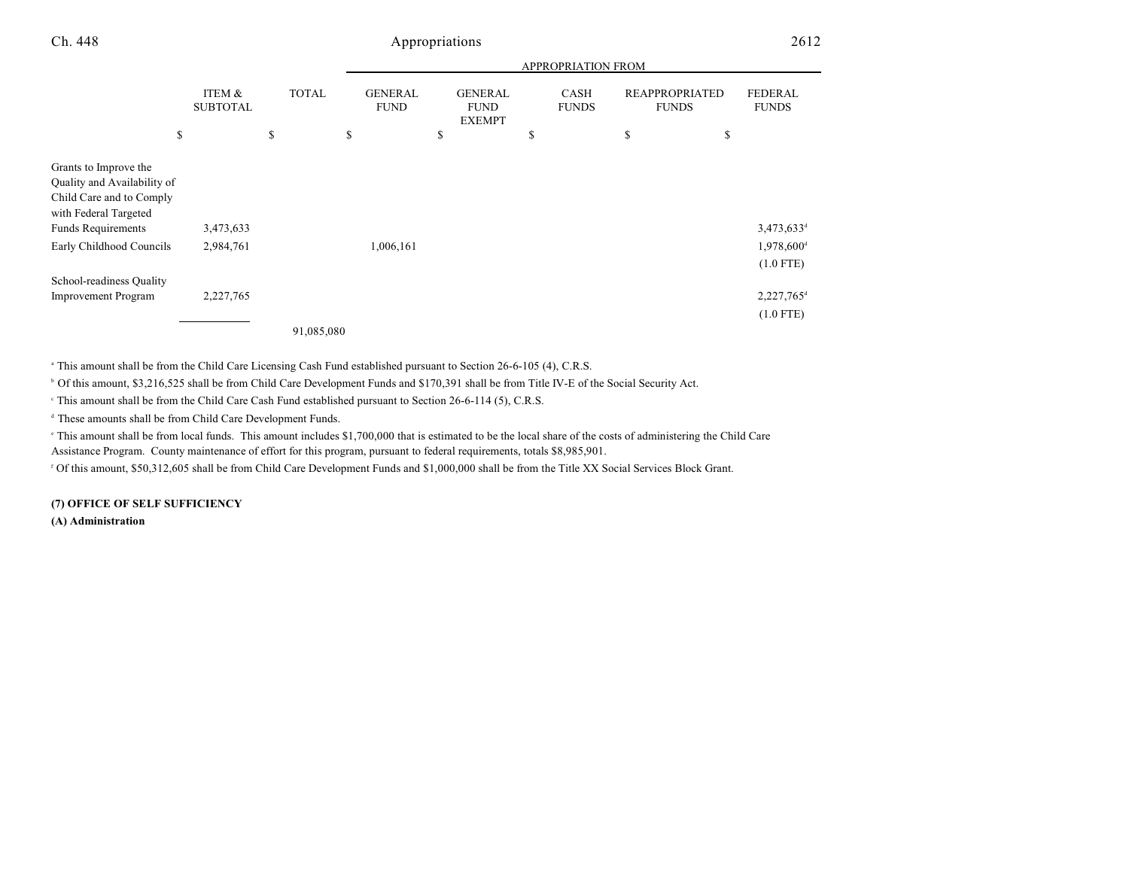|                                                                                                                                                                    |                           |              |                               |                                                | APPROPRIATION FROM          |                                       |                                                                     |
|--------------------------------------------------------------------------------------------------------------------------------------------------------------------|---------------------------|--------------|-------------------------------|------------------------------------------------|-----------------------------|---------------------------------------|---------------------------------------------------------------------|
|                                                                                                                                                                    | ITEM &<br><b>SUBTOTAL</b> | <b>TOTAL</b> | <b>GENERAL</b><br><b>FUND</b> | <b>GENERAL</b><br><b>FUND</b><br><b>EXEMPT</b> | <b>CASH</b><br><b>FUNDS</b> | <b>REAPPROPRIATED</b><br><b>FUNDS</b> | <b>FEDERAL</b><br><b>FUNDS</b>                                      |
| \$                                                                                                                                                                 |                           | \$           | S.                            | \$                                             | S                           | \$<br>\$                              |                                                                     |
| Grants to Improve the<br>Quality and Availability of<br>Child Care and to Comply<br>with Federal Targeted<br><b>Funds Requirements</b><br>Early Childhood Councils | 3,473,633<br>2,984,761    |              | 1,006,161                     |                                                |                             |                                       | $3,473,633$ <sup>d</sup><br>$1,978,600$ <sup>d</sup><br>$(1.0$ FTE) |
| School-readiness Quality<br><b>Improvement Program</b>                                                                                                             | 2,227,765                 |              |                               |                                                |                             |                                       | 2,227,765 <sup>d</sup>                                              |
|                                                                                                                                                                    |                           | 91,085,080   |                               |                                                |                             |                                       | $(1.0$ FTE)                                                         |

<sup>a</sup> This amount shall be from the Child Care Licensing Cash Fund established pursuant to Section 26-6-105 (4), C.R.S.

<sup>6</sup> Of this amount, \$3,216,525 shall be from Child Care Development Funds and \$170,391 shall be from Title IV-E of the Social Security Act.

This amount shall be from the Child Care Cash Fund established pursuant to Section  $26-6-114$  (5), C.R.S.

<sup>d</sup> These amounts shall be from Child Care Development Funds.

 This amount shall be from local funds. This amount includes \$1,700,000 that is estimated to be the local share of the costs of administering the Child Care <sup>e</sup> Assistance Program. County maintenance of effort for this program, pursuant to federal requirements, totals \$8,985,901.

Of this amount, \$50,312,605 shall be from Child Care Development Funds and \$1,000,000 shall be from the Title XX Social Services Block Grant.

#### **(7) OFFICE OF SELF SUFFICIENCY**

**(A) Administration**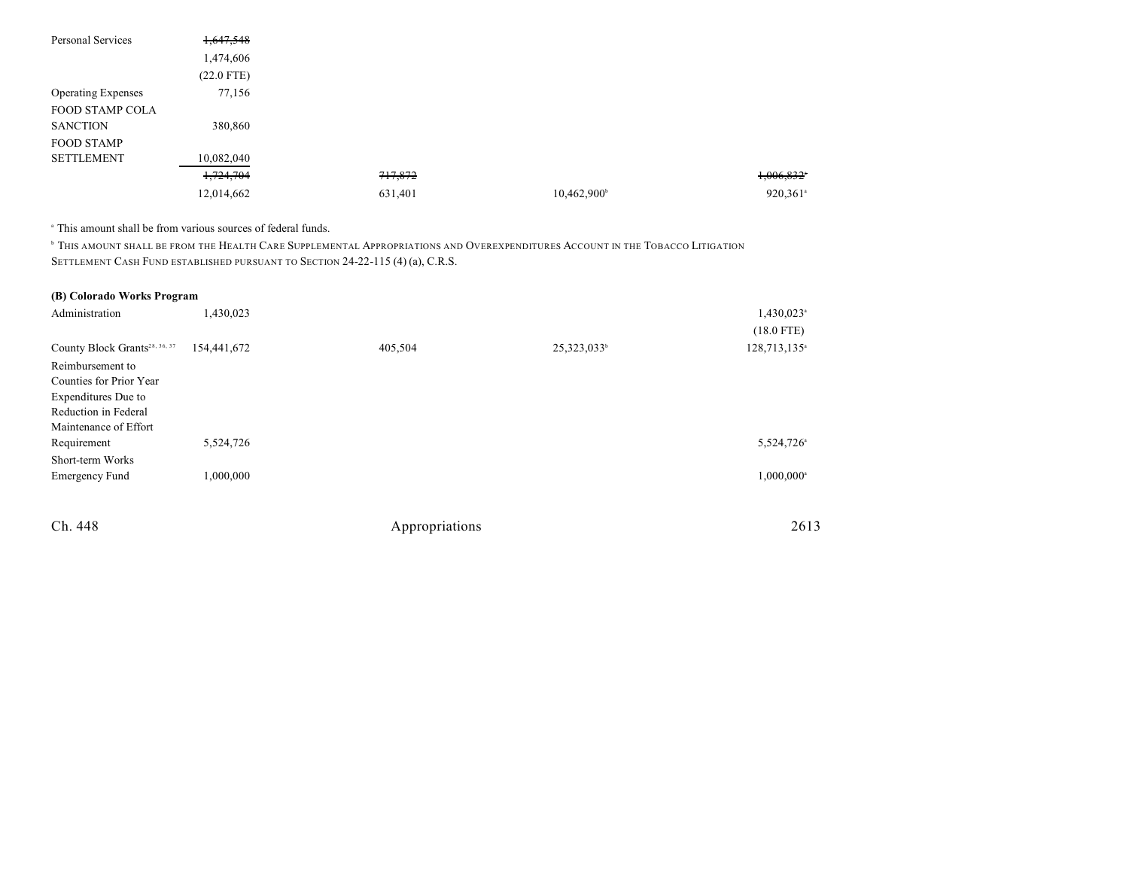| Personal Services         | 1,647,548    |         |                         |                          |
|---------------------------|--------------|---------|-------------------------|--------------------------|
|                           | 1,474,606    |         |                         |                          |
|                           | $(22.0$ FTE) |         |                         |                          |
| <b>Operating Expenses</b> | 77,156       |         |                         |                          |
| <b>FOOD STAMP COLA</b>    |              |         |                         |                          |
| <b>SANCTION</b>           | 380,860      |         |                         |                          |
| <b>FOOD STAMP</b>         |              |         |                         |                          |
| <b>SETTLEMENT</b>         | 10,082,040   |         |                         |                          |
|                           | 1,724,704    | 717,872 |                         | $1,006,832$ <sup>*</sup> |
|                           | 12,014,662   | 631,401 | 10,462,900 <sup>b</sup> | 920,361 <sup>a</sup>     |

<sup>a</sup> This amount shall be from various sources of federal funds.

**THIS AMOUNT SHALL BE FROM THE HEALTH CARE SUPPLEMENTAL APPROPRIATIONS AND OVEREXPENDITURES ACCOUNT IN THE TOBACCO LITIGATION** SETTLEMENT CASH FUND ESTABLISHED PURSUANT TO SECTION 24-22-115 (4) (a), C.R.S.

### **(B) Colorado Works Program**

| Administration                            | 1,430,023   |         |                         | $1,430,023$ <sup>a</sup> |
|-------------------------------------------|-------------|---------|-------------------------|--------------------------|
|                                           |             |         |                         | $(18.0$ FTE)             |
| County Block Grants <sup>28, 36, 37</sup> | 154,441,672 | 405,504 | 25,323,033 <sup>b</sup> | 128,713,135 <sup>a</sup> |
| Reimbursement to                          |             |         |                         |                          |
| Counties for Prior Year                   |             |         |                         |                          |
| Expenditures Due to                       |             |         |                         |                          |
| Reduction in Federal                      |             |         |                         |                          |
| Maintenance of Effort                     |             |         |                         |                          |
| Requirement                               | 5,524,726   |         |                         | 5,524,726 <sup>a</sup>   |
| Short-term Works                          |             |         |                         |                          |
| <b>Emergency Fund</b>                     | 1,000,000   |         |                         | 1,000,000 <sup>a</sup>   |
|                                           |             |         |                         |                          |
|                                           |             |         |                         |                          |

| 2613 |
|------|
|      |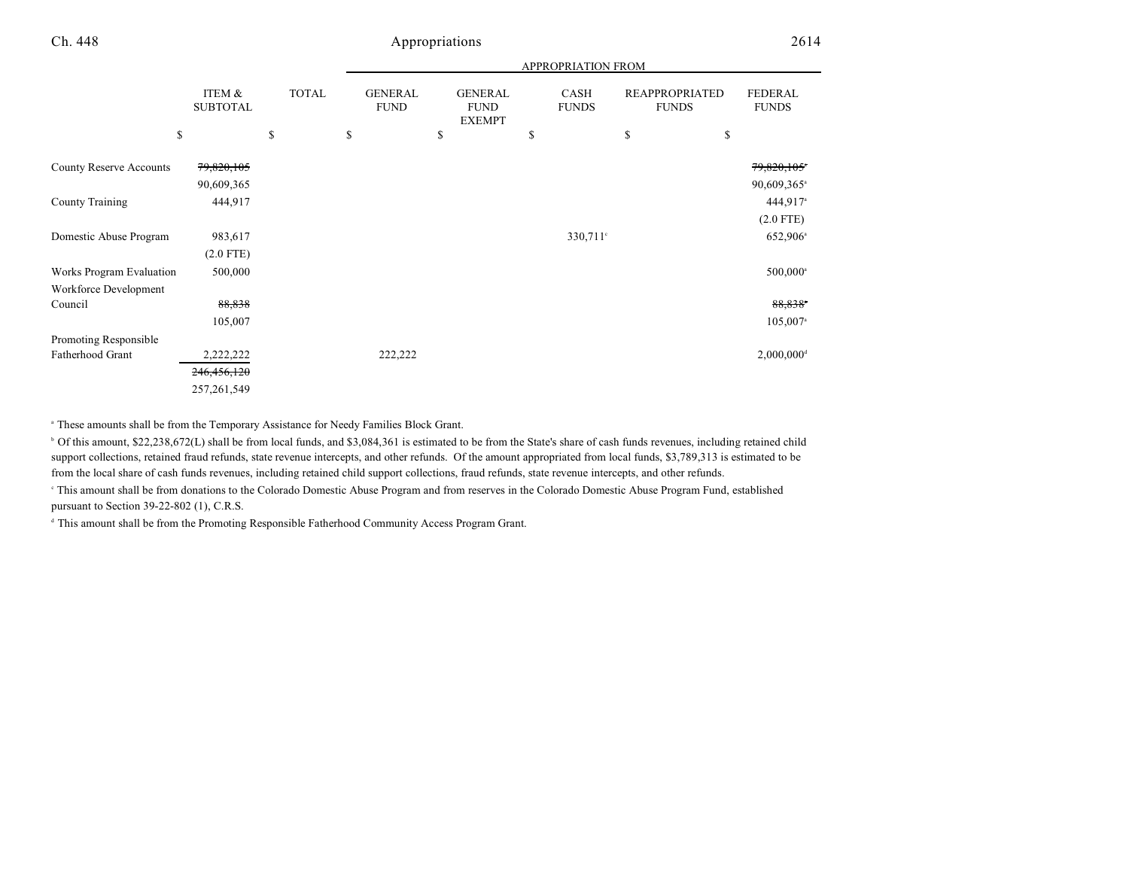|                                                   |                           |              |                               |         |                                                | APPROPRIATION FROM   |                                       |                                        |
|---------------------------------------------------|---------------------------|--------------|-------------------------------|---------|------------------------------------------------|----------------------|---------------------------------------|----------------------------------------|
|                                                   | ITEM &<br><b>SUBTOTAL</b> | <b>TOTAL</b> | <b>GENERAL</b><br><b>FUND</b> |         | <b>GENERAL</b><br><b>FUND</b><br><b>EXEMPT</b> | CASH<br><b>FUNDS</b> | <b>REAPPROPRIATED</b><br><b>FUNDS</b> | <b>FEDERAL</b><br><b>FUNDS</b>         |
|                                                   | \$                        | \$           | \$                            | \$      | \$                                             |                      | \$                                    | \$                                     |
| <b>County Reserve Accounts</b>                    | 79,820,105<br>90,609,365  |              |                               |         |                                                |                      |                                       | 79,820,105*<br>90,609,365 <sup>a</sup> |
| County Training                                   | 444,917                   |              |                               |         |                                                |                      |                                       | 444,917 <sup>a</sup><br>$(2.0$ FTE)    |
| Domestic Abuse Program                            | 983,617<br>$(2.0$ FTE)    |              |                               |         |                                                | $330,711$ °          |                                       | 652,906 <sup>a</sup>                   |
| Works Program Evaluation<br>Workforce Development | 500,000                   |              |                               |         |                                                |                      |                                       | $500,000$ <sup>a</sup>                 |
| Council                                           | 88,838                    |              |                               |         |                                                |                      |                                       | 88,838                                 |
|                                                   | 105,007                   |              |                               |         |                                                |                      |                                       | $105,007$ <sup>a</sup>                 |
| Promoting Responsible                             |                           |              |                               |         |                                                |                      |                                       |                                        |
| Fatherhood Grant                                  | 2,222,222                 |              |                               | 222,222 |                                                |                      |                                       | $2,000,000$ <sup>d</sup>               |
|                                                   | 246, 456, 120             |              |                               |         |                                                |                      |                                       |                                        |
|                                                   | 257, 261, 549             |              |                               |         |                                                |                      |                                       |                                        |

<sup>a</sup> These amounts shall be from the Temporary Assistance for Needy Families Block Grant.

<sup>b</sup> Of this amount, \$22,238,672(L) shall be from local funds, and \$3,084,361 is estimated to be from the State's share of cash funds revenues, including retained child support collections, retained fraud refunds, state revenue intercepts, and other refunds. Of the amount appropriated from local funds, \$3,789,313 is estimated to be from the local share of cash funds revenues, including retained child support collections, fraud refunds, state revenue intercepts, and other refunds.

 This amount shall be from donations to the Colorado Domestic Abuse Program and from reserves in the Colorado Domestic Abuse Program Fund, established <sup>c</sup> pursuant to Section 39-22-802 (1), C.R.S.

<sup>d</sup> This amount shall be from the Promoting Responsible Fatherhood Community Access Program Grant.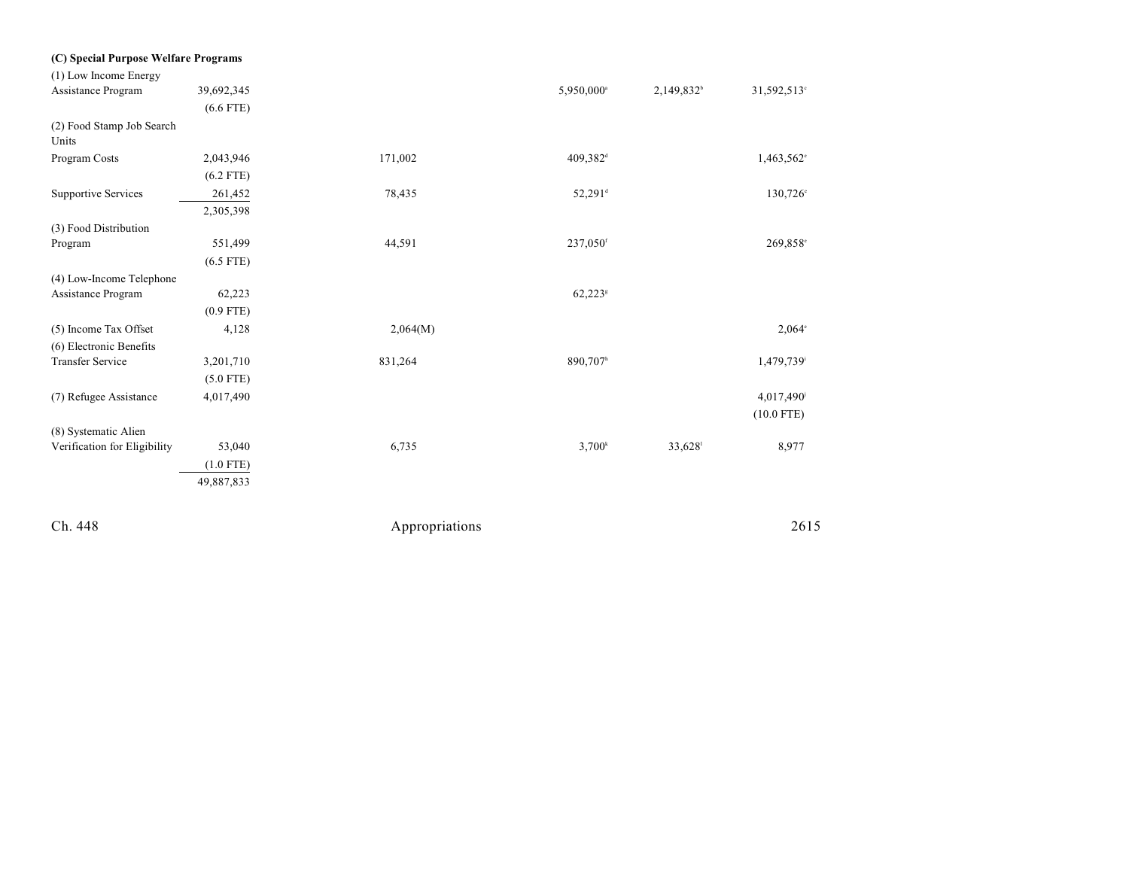| (C) Special Purpose Welfare Programs |             |          |                        |                        |                        |
|--------------------------------------|-------------|----------|------------------------|------------------------|------------------------|
| (1) Low Income Energy                |             |          |                        |                        |                        |
| Assistance Program                   | 39,692,345  |          | 5,950,000 <sup>a</sup> | 2,149,832 <sup>b</sup> | 31,592,513°            |
|                                      | $(6.6$ FTE) |          |                        |                        |                        |
| (2) Food Stamp Job Search<br>Units   |             |          |                        |                        |                        |
| Program Costs                        | 2,043,946   | 171,002  | 409,382 <sup>d</sup>   |                        | 1,463,562°             |
|                                      | $(6.2$ FTE) |          |                        |                        |                        |
| Supportive Services                  | 261,452     | 78,435   | 52,291 <sup>d</sup>    |                        | $130,726^{\circ}$      |
|                                      | 2,305,398   |          |                        |                        |                        |
| (3) Food Distribution                |             |          |                        |                        |                        |
| Program                              | 551,499     | 44,591   | 237,050f               |                        | 269,858°               |
|                                      | $(6.5$ FTE) |          |                        |                        |                        |
| (4) Low-Income Telephone             |             |          |                        |                        |                        |
| Assistance Program                   | 62,223      |          | $62,223$ <sup>s</sup>  |                        |                        |
|                                      | $(0.9$ FTE) |          |                        |                        |                        |
| (5) Income Tax Offset                | 4,128       | 2,064(M) |                        |                        | $2,064^{\circ}$        |
| (6) Electronic Benefits              |             |          |                        |                        |                        |
| <b>Transfer Service</b>              | 3,201,710   | 831,264  | 890,707h               |                        | 1,479,739 <sup>i</sup> |
|                                      | $(5.0$ FTE) |          |                        |                        |                        |
| (7) Refugee Assistance               | 4,017,490   |          |                        |                        | 4,017,490              |
|                                      |             |          |                        |                        | $(10.0$ FTE)           |
| (8) Systematic Alien                 |             |          |                        |                        |                        |
| Verification for Eligibility         | 53,040      | 6,735    | 3,700 <sup>k</sup>     | 33,628                 | 8,977                  |
|                                      | $(1.0$ FTE) |          |                        |                        |                        |
|                                      | 49,887,833  |          |                        |                        |                        |
|                                      |             |          |                        |                        |                        |
|                                      |             |          |                        |                        |                        |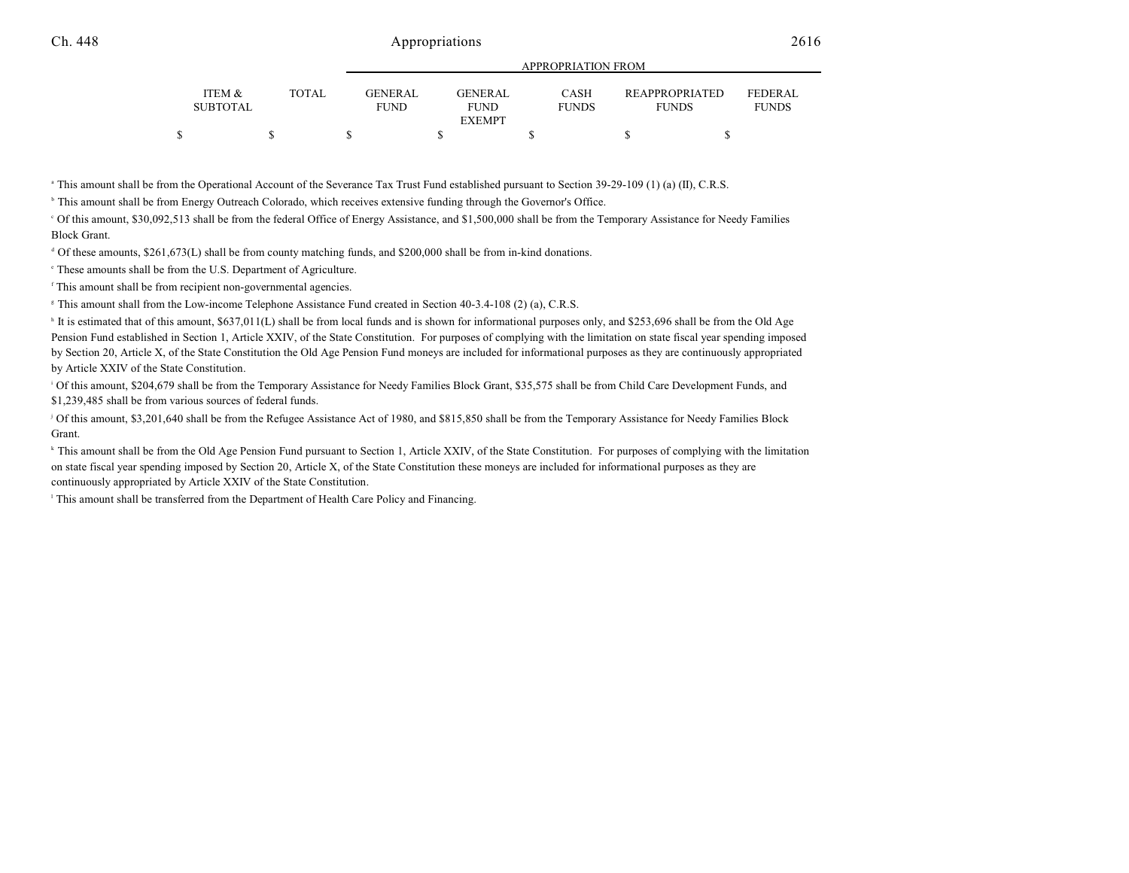|   |                           |              |                               | $\ldots$               |                      |                                       |                                |
|---|---------------------------|--------------|-------------------------------|------------------------|----------------------|---------------------------------------|--------------------------------|
|   | ITEM &<br><b>SUBTOTAL</b> | <b>TOTAL</b> | <b>GENERAL</b><br><b>FUND</b> | GENERAL<br><b>FUND</b> | CASH<br><b>FUNDS</b> | <b>REAPPROPRIATED</b><br><b>FUNDS</b> | <b>FEDERAL</b><br><b>FUNDS</b> |
|   |                           |              |                               | <b>EXEMPT</b>          |                      |                                       |                                |
| ¢ |                           |              |                               |                        |                      |                                       |                                |

APPROPRIATION FROM

<sup>a</sup> This amount shall be from the Operational Account of the Severance Tax Trust Fund established pursuant to Section 39-29-109 (1) (a) (II), C.R.S.

<sup>b</sup> This amount shall be from Energy Outreach Colorado, which receives extensive funding through the Governor's Office.

 Of this amount, \$30,092,513 shall be from the federal Office of Energy Assistance, and \$1,500,000 shall be from the Temporary Assistance for Needy Families <sup>c</sup> Block Grant.

<sup>d</sup> Of these amounts, \$261,673(L) shall be from county matching funds, and \$200,000 shall be from in-kind donations.

 $\degree$  These amounts shall be from the U.S. Department of Agriculture.

<sup>f</sup> This amount shall be from recipient non-governmental agencies.

<sup>8</sup> This amount shall from the Low-income Telephone Assistance Fund created in Section 40-3.4-108 (2) (a), C.R.S.

<sup>h</sup> It is estimated that of this amount, \$637,011(L) shall be from local funds and is shown for informational purposes only, and \$253,696 shall be from the Old Age Pension Fund established in Section 1, Article XXIV, of the State Constitution. For purposes of complying with the limitation on state fiscal year spending imposed by Section 20, Article X, of the State Constitution the Old Age Pension Fund moneys are included for informational purposes as they are continuously appropriated by Article XXIV of the State Constitution.

<sup>1</sup> Of this amount, \$204,679 shall be from the Temporary Assistance for Needy Families Block Grant, \$35,575 shall be from Child Care Development Funds, and \$1,239,485 shall be from various sources of federal funds.

<sup>j</sup> Of this amount, \$3,201,640 shall be from the Refugee Assistance Act of 1980, and \$815,850 shall be from the Temporary Assistance for Needy Families Block Grant.

<sup>k</sup> This amount shall be from the Old Age Pension Fund pursuant to Section 1, Article XXIV, of the State Constitution. For purposes of complying with the limitation on state fiscal year spending imposed by Section 20, Article X, of the State Constitution these moneys are included for informational purposes as they are continuously appropriated by Article XXIV of the State Constitution.

<sup>1</sup> This amount shall be transferred from the Department of Health Care Policy and Financing.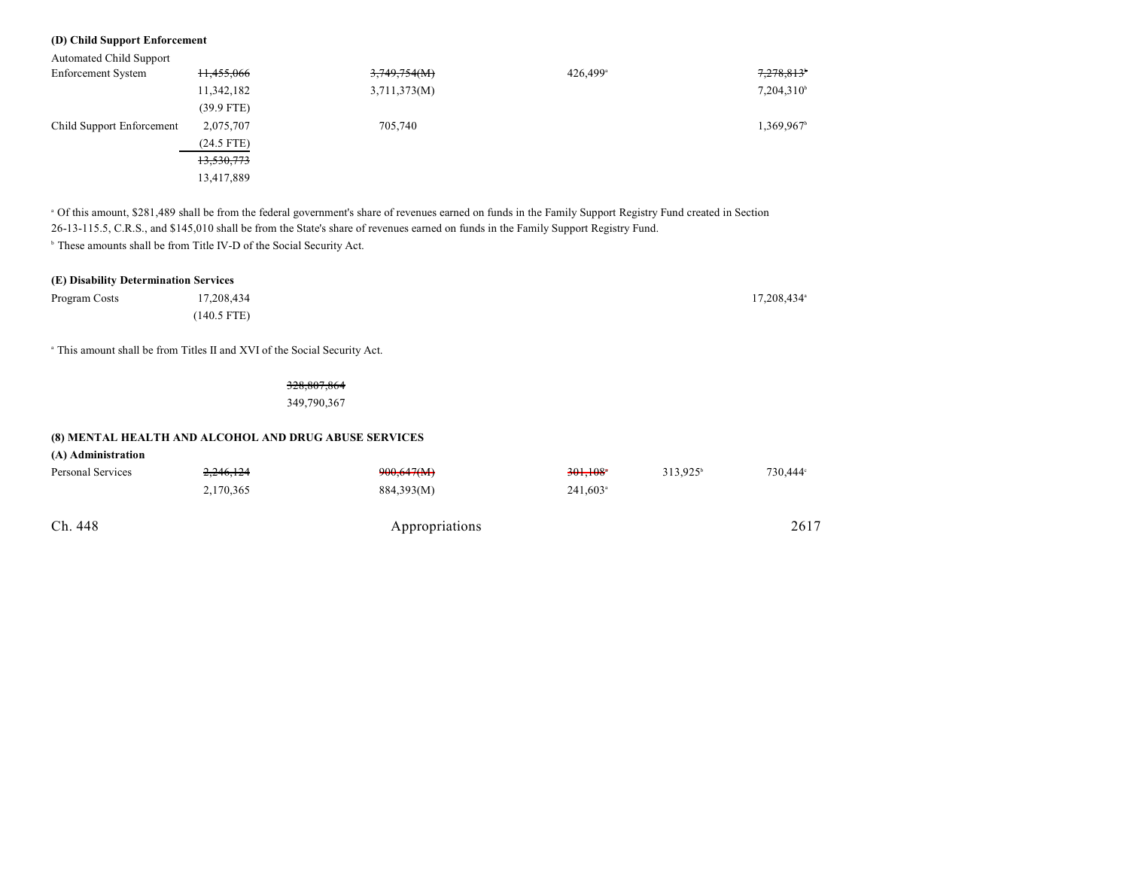### **(D) Child Support Enforcement**

Automated Child Support

| 11,455,066   | 3,749,754(M) | $426,499$ <sup>a</sup> | 7,278,813           |
|--------------|--------------|------------------------|---------------------|
| 11,342,182   | 3,711,373(M) |                        | $7,204,310^{\circ}$ |
| $(39.9$ FTE) |              |                        |                     |
| 2,075,707    | 705,740      |                        | 1,369,967           |
| $(24.5$ FTE) |              |                        |                     |
| 13,530,773   |              |                        |                     |
| 13,417,889   |              |                        |                     |
|              |              |                        |                     |

 Of this amount, \$281,489 shall be from the federal government's share of revenues earned on funds in the Family Support Registry Fund created in Section <sup>a</sup> 26-13-115.5, C.R.S., and \$145,010 shall be from the State's share of revenues earned on funds in the Family Support Registry Fund. <sup>b</sup> These amounts shall be from Title IV-D of the Social Security Act.

| (E) Disability Determination Services |               |  |                         |  |
|---------------------------------------|---------------|--|-------------------------|--|
| Program Costs                         | 17.208.434    |  | 17.208.434 <sup>a</sup> |  |
|                                       | $(140.5$ FTE) |  |                         |  |

<sup>a</sup> This amount shall be from Titles II and XVI of the Social Security Act.

328,807,864 349,790,367

#### **(8) MENTAL HEALTH AND ALCOHOL AND DRUG ABUSE SERVICES**

| (A) Administration |  |
|--------------------|--|
|--------------------|--|

| Personal Services | 2.246.124<br>2,170,365 | 900,647(M)<br>884,393(M) | $301.108$ <sup>*</sup><br>$241,603$ <sup>a</sup> | $313.925^{\circ}$ | 730.444° |
|-------------------|------------------------|--------------------------|--------------------------------------------------|-------------------|----------|
| Ch. 448           |                        | Appropriations           |                                                  |                   | 2617     |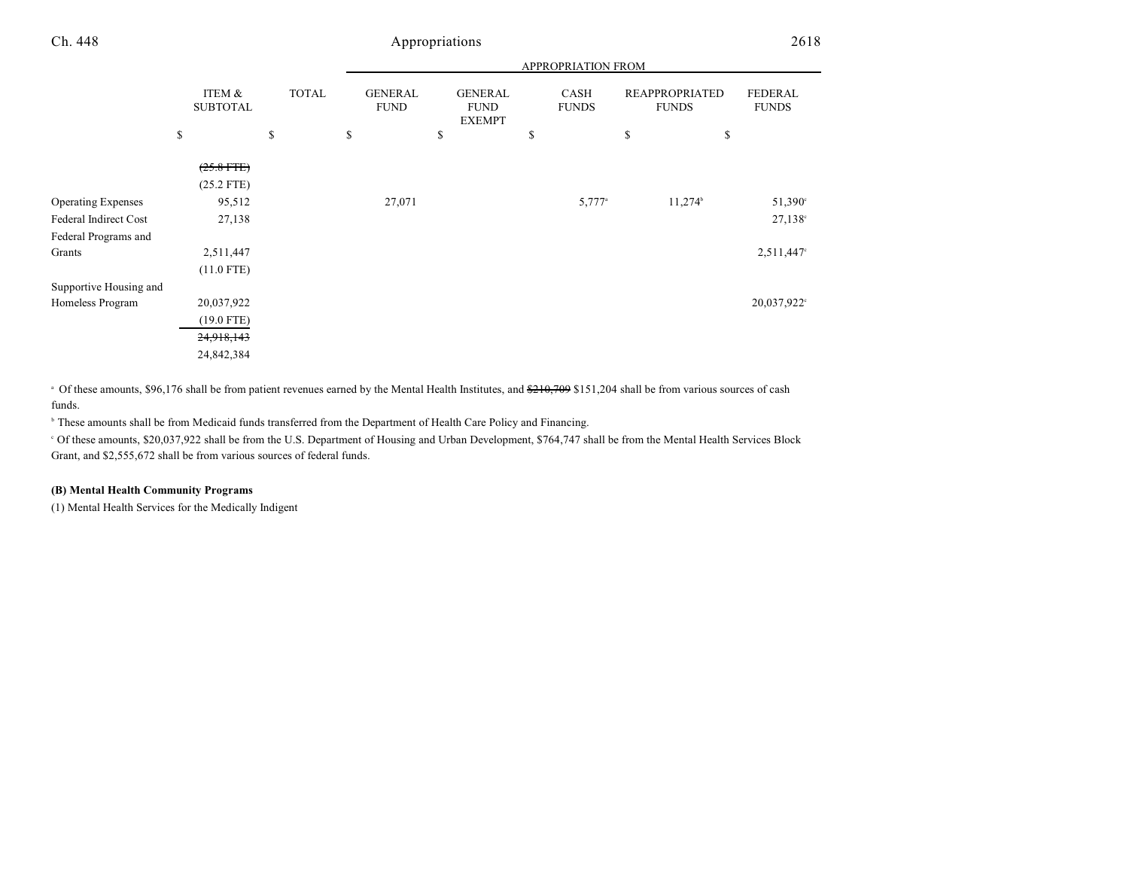|                           |                           |              |                               |                                                | APPROPRIATION FROM          |                                       |                                |
|---------------------------|---------------------------|--------------|-------------------------------|------------------------------------------------|-----------------------------|---------------------------------------|--------------------------------|
|                           | ITEM &<br><b>SUBTOTAL</b> | <b>TOTAL</b> | <b>GENERAL</b><br><b>FUND</b> | <b>GENERAL</b><br><b>FUND</b><br><b>EXEMPT</b> | <b>CASH</b><br><b>FUNDS</b> | <b>REAPPROPRIATED</b><br><b>FUNDS</b> | <b>FEDERAL</b><br><b>FUNDS</b> |
|                           | \$                        | \$           | <sup>\$</sup>                 | \$                                             | \$                          | \$<br>\$                              |                                |
|                           | $(25.8$ FTE)              |              |                               |                                                |                             |                                       |                                |
|                           | $(25.2$ FTE)              |              |                               |                                                |                             |                                       |                                |
| <b>Operating Expenses</b> | 95,512                    |              | 27,071                        |                                                | $5,777$ <sup>a</sup>        | $11,274$ <sup>b</sup>                 | 51,390°                        |
| Federal Indirect Cost     | 27,138                    |              |                               |                                                |                             |                                       | $27,138^{\circ}$               |
| Federal Programs and      |                           |              |                               |                                                |                             |                                       |                                |
| Grants                    | 2,511,447                 |              |                               |                                                |                             |                                       | 2,511,447°                     |
|                           | $(11.0$ FTE)              |              |                               |                                                |                             |                                       |                                |
| Supportive Housing and    |                           |              |                               |                                                |                             |                                       |                                |
| Homeless Program          | 20,037,922                |              |                               |                                                |                             |                                       | 20,037,922°                    |
|                           | $(19.0$ FTE)              |              |                               |                                                |                             |                                       |                                |
|                           | 24,918,143                |              |                               |                                                |                             |                                       |                                |
|                           | 24,842,384                |              |                               |                                                |                             |                                       |                                |

 $\degree$  Of these amounts, \$96,176 shall be from patient revenues earned by the Mental Health Institutes, and  $\frac{210,709}{210,709}$  \$151,204 shall be from various sources of cash funds.

<sup>b</sup> These amounts shall be from Medicaid funds transferred from the Department of Health Care Policy and Financing.

 Of these amounts, \$20,037,922 shall be from the U.S. Department of Housing and Urban Development, \$764,747 shall be from the Mental Health Services Block <sup>c</sup> Grant, and \$2,555,672 shall be from various sources of federal funds.

### **(B) Mental Health Community Programs**

(1) Mental Health Services for the Medically Indigent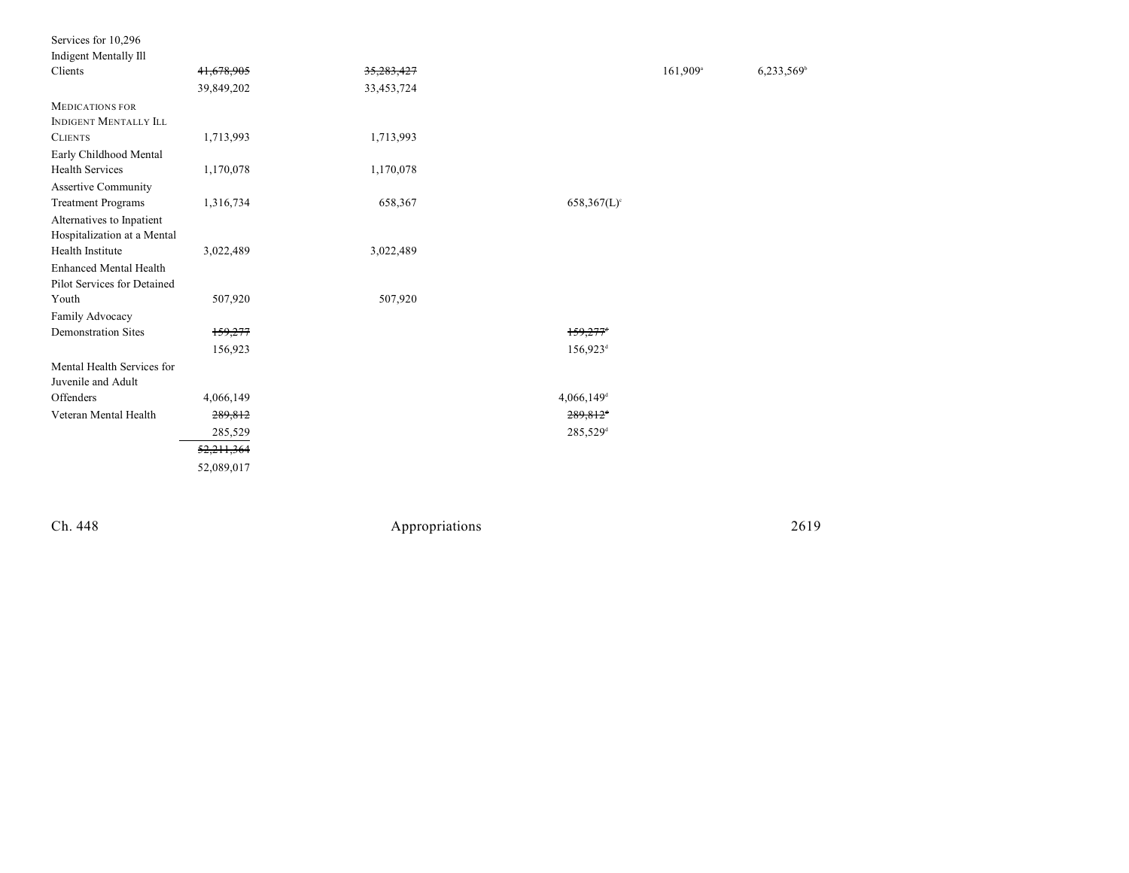| Services for 10,296           |            |            |                           |                      |                          |
|-------------------------------|------------|------------|---------------------------|----------------------|--------------------------|
| <b>Indigent Mentally Ill</b>  |            |            |                           |                      |                          |
| Clients                       | 41,678,905 | 35,283,427 |                           | 161,909 <sup>a</sup> | $6,233,569$ <sup>t</sup> |
|                               | 39,849,202 | 33,453,724 |                           |                      |                          |
| <b>MEDICATIONS FOR</b>        |            |            |                           |                      |                          |
| <b>INDIGENT MENTALLY ILL</b>  |            |            |                           |                      |                          |
| <b>CLIENTS</b>                | 1,713,993  | 1,713,993  |                           |                      |                          |
| Early Childhood Mental        |            |            |                           |                      |                          |
| <b>Health Services</b>        | 1,170,078  | 1,170,078  |                           |                      |                          |
| <b>Assertive Community</b>    |            |            |                           |                      |                          |
| <b>Treatment Programs</b>     | 1,316,734  | 658,367    | $658,367(L)$ <sup>c</sup> |                      |                          |
| Alternatives to Inpatient     |            |            |                           |                      |                          |
| Hospitalization at a Mental   |            |            |                           |                      |                          |
| Health Institute              | 3,022,489  | 3,022,489  |                           |                      |                          |
| <b>Enhanced Mental Health</b> |            |            |                           |                      |                          |
| Pilot Services for Detained   |            |            |                           |                      |                          |
| Youth                         | 507,920    | 507,920    |                           |                      |                          |
| Family Advocacy               |            |            |                           |                      |                          |
| <b>Demonstration Sites</b>    | 159,277    |            | $159,277$ <sup>+</sup>    |                      |                          |
|                               | 156,923    |            | $156,923^{\rm d}$         |                      |                          |
| Mental Health Services for    |            |            |                           |                      |                          |
| Juvenile and Adult            |            |            |                           |                      |                          |
| Offenders                     | 4,066,149  |            | $4,066,149$ <sup>d</sup>  |                      |                          |
| Veteran Mental Health         | 289,812    |            | 289,812 <sup>+</sup>      |                      |                          |
|                               | 285,529    |            | 285,529 <sup>d</sup>      |                      |                          |
|                               | 52,211,364 |            |                           |                      |                          |
|                               | 52,089,017 |            |                           |                      |                          |
|                               |            |            |                           |                      |                          |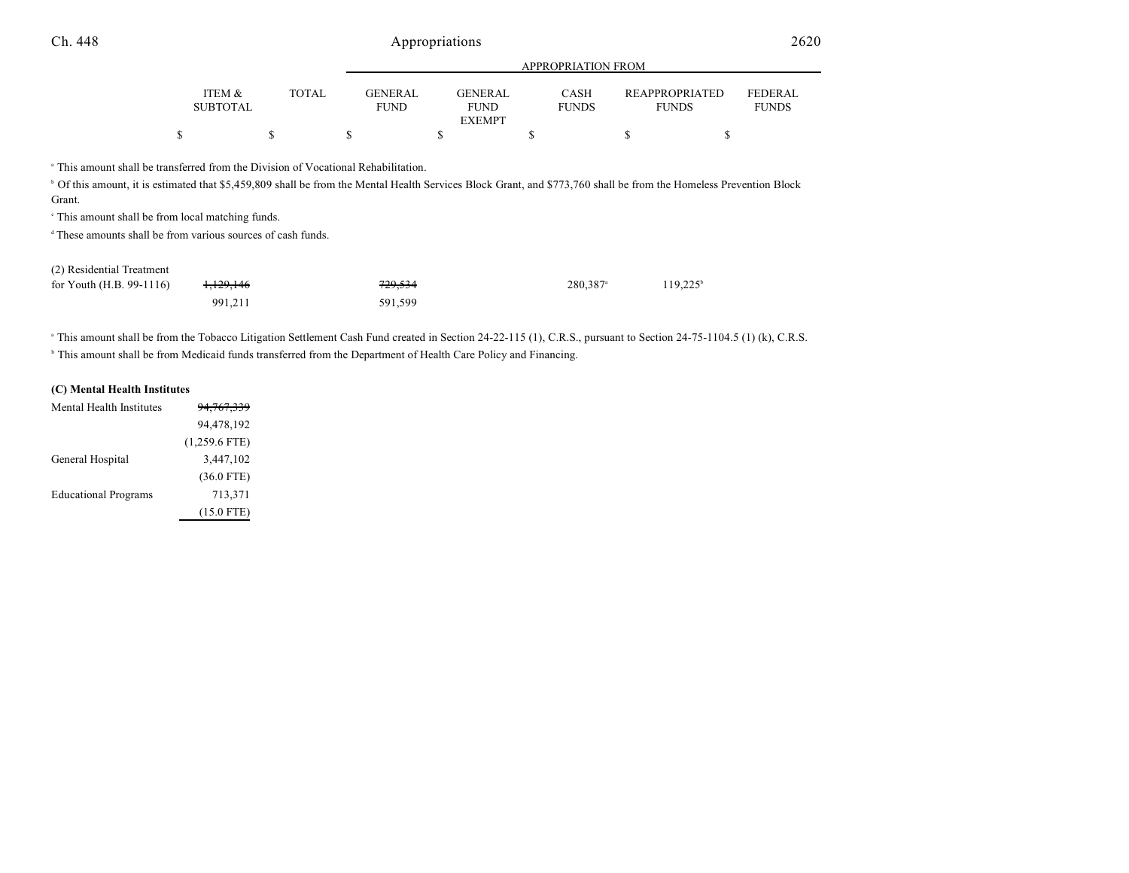|                           |              |                               | APPROPRIATION FROM            |                             |                                       |                                |  |
|---------------------------|--------------|-------------------------------|-------------------------------|-----------------------------|---------------------------------------|--------------------------------|--|
| ITEM &<br><b>SUBTOTAL</b> | <b>TOTAL</b> | <b>GENERAL</b><br><b>FUND</b> | <b>GENERAL</b><br><b>FUND</b> | <b>CASH</b><br><b>FUNDS</b> | <b>REAPPROPRIATED</b><br><b>FUNDS</b> | <b>FEDERAL</b><br><b>FUNDS</b> |  |
|                           |              |                               | <b>EXEMPT</b>                 |                             |                                       |                                |  |
|                           |              |                               |                               |                             |                                       |                                |  |

<sup>a</sup> This amount shall be transferred from the Division of Vocational Rehabilitation.

<sup>b</sup> Of this amount, it is estimated that \$5,459,809 shall be from the Mental Health Services Block Grant, and \$773,760 shall be from the Homeless Prevention Block Grant.

 $\degree$  This amount shall be from local matching funds.

<sup>d</sup> These amounts shall be from various sources of cash funds.

| (2) Residential Treatment  |                      |         |                        |             |
|----------------------------|----------------------|---------|------------------------|-------------|
| for Youth $(H.B. 99-1116)$ | <del>1.129.146</del> | 729.534 | $280.387$ <sup>a</sup> | $119.225^t$ |
|                            | 991.211              | 591.599 |                        |             |

<sup>a</sup> This amount shall be from the Tobacco Litigation Settlement Cash Fund created in Section 24-22-115 (1), C.R.S., pursuant to Section 24-75-1104.5 (1) (k), C.R.S.

<sup>b</sup> This amount shall be from Medicaid funds transferred from the Department of Health Care Policy and Financing.

#### **(C) Mental Health Institutes**

| Mental Health Institutes    | <del>94.767.339</del> |
|-----------------------------|-----------------------|
|                             | 94,478,192            |
|                             | $(1,259.6$ FTE)       |
| General Hospital            | 3,447,102             |
|                             | $(36.0$ FTE)          |
| <b>Educational Programs</b> | 713,371               |
|                             | $(15.0$ FTE)          |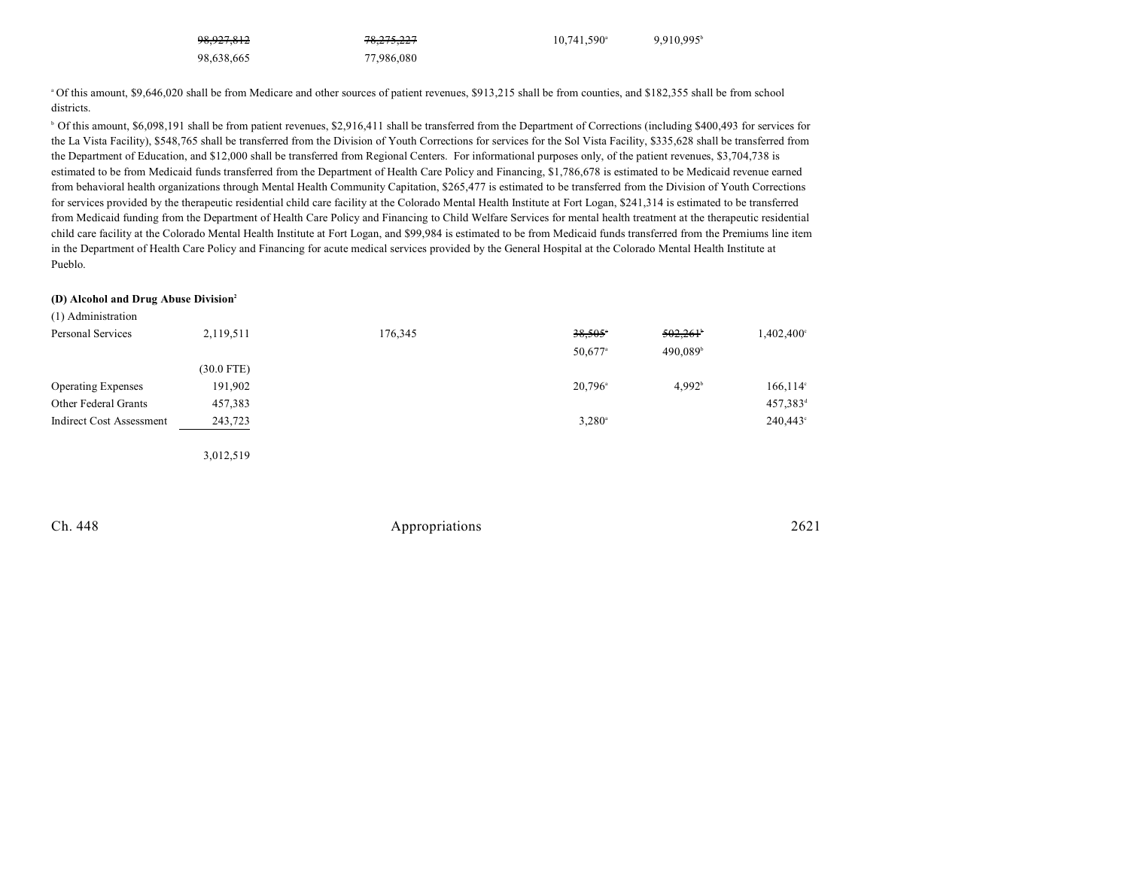| <del>98,927,812</del> | 78,275,227 | $10.741.590^{\circ}$ | 9,910,995 |
|-----------------------|------------|----------------------|-----------|
| 98,638,665            | 77,986,080 |                      |           |

<sup>a</sup> Of this amount, \$9,646,020 shall be from Medicare and other sources of patient revenues, \$913,215 shall be from counties, and \$182,355 shall be from school districts.

<sup>b</sup> Of this amount, \$6,098,191 shall be from patient revenues, \$2,916,411 shall be transferred from the Department of Corrections (including \$400,493 for services for the La Vista Facility), \$548,765 shall be transferred from the Division of Youth Corrections for services for the Sol Vista Facility, \$335,628 shall be transferred from the Department of Education, and \$12,000 shall be transferred from Regional Centers. For informational purposes only, of the patient revenues, \$3,704,738 is estimated to be from Medicaid funds transferred from the Department of Health Care Policy and Financing, \$1,786,678 is estimated to be Medicaid revenue earned from behavioral health organizations through Mental Health Community Capitation, \$265,477 is estimated to be transferred from the Division of Youth Corrections for services provided by the therapeutic residential child care facility at the Colorado Mental Health Institute at Fort Logan, \$241,314 is estimated to be transferred from Medicaid funding from the Department of Health Care Policy and Financing to Child Welfare Services for mental health treatment at the therapeutic residential child care facility at the Colorado Mental Health Institute at Fort Logan, and \$99,984 is estimated to be from Medicaid funds transferred from the Premiums line item in the Department of Health Care Policy and Financing for acute medical services provided by the General Hospital at the Colorado Mental Health Institute at Pueblo.

#### **(D) Alcohol and Drug Abuse Division<sup>2</sup>**

| (1) Administration              |              |         |                       |                      |                      |
|---------------------------------|--------------|---------|-----------------------|----------------------|----------------------|
| Personal Services               | 2,119,511    | 176,345 | $38,505$ <sup>*</sup> | 502,261              | $1,402,400^{\circ}$  |
|                                 |              |         | $50,677$ <sup>a</sup> | 490,089 <sup>b</sup> |                      |
|                                 | $(30.0$ FTE) |         |                       |                      |                      |
| <b>Operating Expenses</b>       | 191,902      |         | $20,796$ <sup>a</sup> | 4.992 <sup>b</sup>   | $166, 114$ °         |
| Other Federal Grants            | 457,383      |         |                       |                      | 457,383 <sup>d</sup> |
| <b>Indirect Cost Assessment</b> | 243,723      |         | $3,280^{\circ}$       |                      | $240,443^{\circ}$    |
|                                 |              |         |                       |                      |                      |
|                                 | 3,012,519    |         |                       |                      |                      |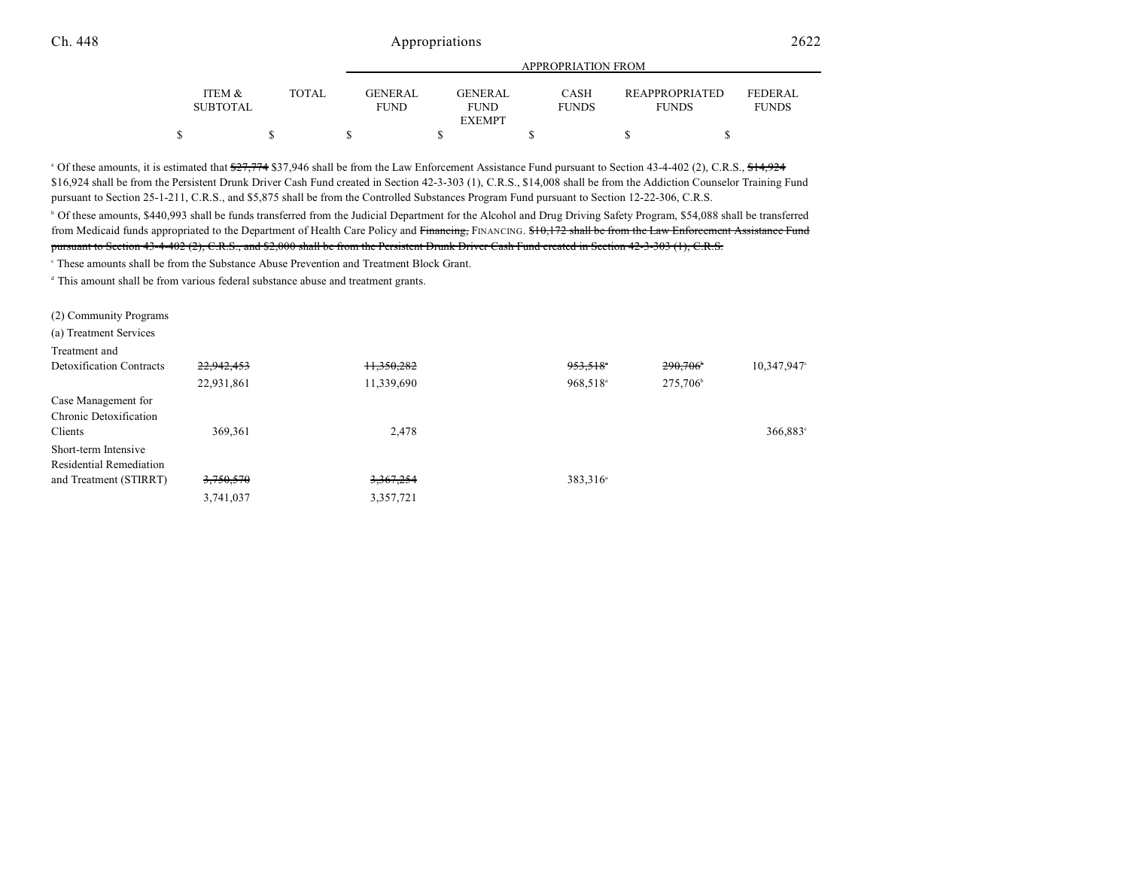|                                      |              |                               | APPROPRIATION FROM            |                             |                                       |                                |  |  |  |
|--------------------------------------|--------------|-------------------------------|-------------------------------|-----------------------------|---------------------------------------|--------------------------------|--|--|--|
| <b>ITEM &amp;</b><br><b>SUBTOTAL</b> | <b>TOTAL</b> | <b>GENERAL</b><br><b>FUND</b> | <b>GENERAL</b><br><b>FUND</b> | <b>CASH</b><br><b>FUNDS</b> | <b>REAPPROPRIATED</b><br><b>FUNDS</b> | <b>FEDERAL</b><br><b>FUNDS</b> |  |  |  |
|                                      |              |                               | <b>EXEMPT</b>                 |                             |                                       |                                |  |  |  |
|                                      |              |                               |                               |                             |                                       |                                |  |  |  |

APPROPRIATION FROM

<sup>a</sup> Of these amounts, it is estimated that  $\frac{27,774}{2}$  \$37,946 shall be from the Law Enforcement Assistance Fund pursuant to Section 43-4-402 (2), C.R.S.,  $\frac{44,924}{2}$ \$16,924 shall be from the Persistent Drunk Driver Cash Fund created in Section 42-3-303 (1), C.R.S., \$14,008 shall be from the Addiction Counselor Training Fund pursuant to Section 25-1-211, C.R.S., and \$5,875 shall be from the Controlled Substances Program Fund pursuant to Section 12-22-306, C.R.S.

<sup>b</sup> Of these amounts, \$440,993 shall be funds transferred from the Judicial Department for the Alcohol and Drug Driving Safety Program, \$54,088 shall be transferred from Medicaid funds appropriated to the Department of Health Care Policy and Financing, FINANCING. \$10,172 shall be from the Law Enforcement Assistance Fund pursuant to Section 43-4-402 (2), C.R.S., and \$2,000 shall be from the Persistent Drunk Driver Cash Fund created in Section 42-3-303 (1), C.R.S.

<sup>c</sup> These amounts shall be from the Substance Abuse Prevention and Treatment Block Grant.

 $\alpha$ <sup>t</sup> This amount shall be from various federal substance abuse and treatment grants.

(2) Community Programs

(a) Treatment Services

| Treatment and                   |            |            |                      |                      |             |
|---------------------------------|------------|------------|----------------------|----------------------|-------------|
| <b>Detoxification Contracts</b> | 22,942,453 | 11,350,282 | 953,518 <sup>*</sup> | 290,706              | 10,347,947° |
|                                 | 22,931,861 | 11,339,690 | 968,518 <sup>a</sup> | 275,706 <sup>b</sup> |             |
| Case Management for             |            |            |                      |                      |             |
| Chronic Detoxification          |            |            |                      |                      |             |
| Clients                         | 369,361    | 2,478      |                      |                      | 366,883°    |
| Short-term Intensive            |            |            |                      |                      |             |
| Residential Remediation         |            |            |                      |                      |             |
| and Treatment (STIRRT)          | 3,750,570  | 3,367,254  | 383,316 <sup>a</sup> |                      |             |
|                                 | 3,741,037  | 3,357,721  |                      |                      |             |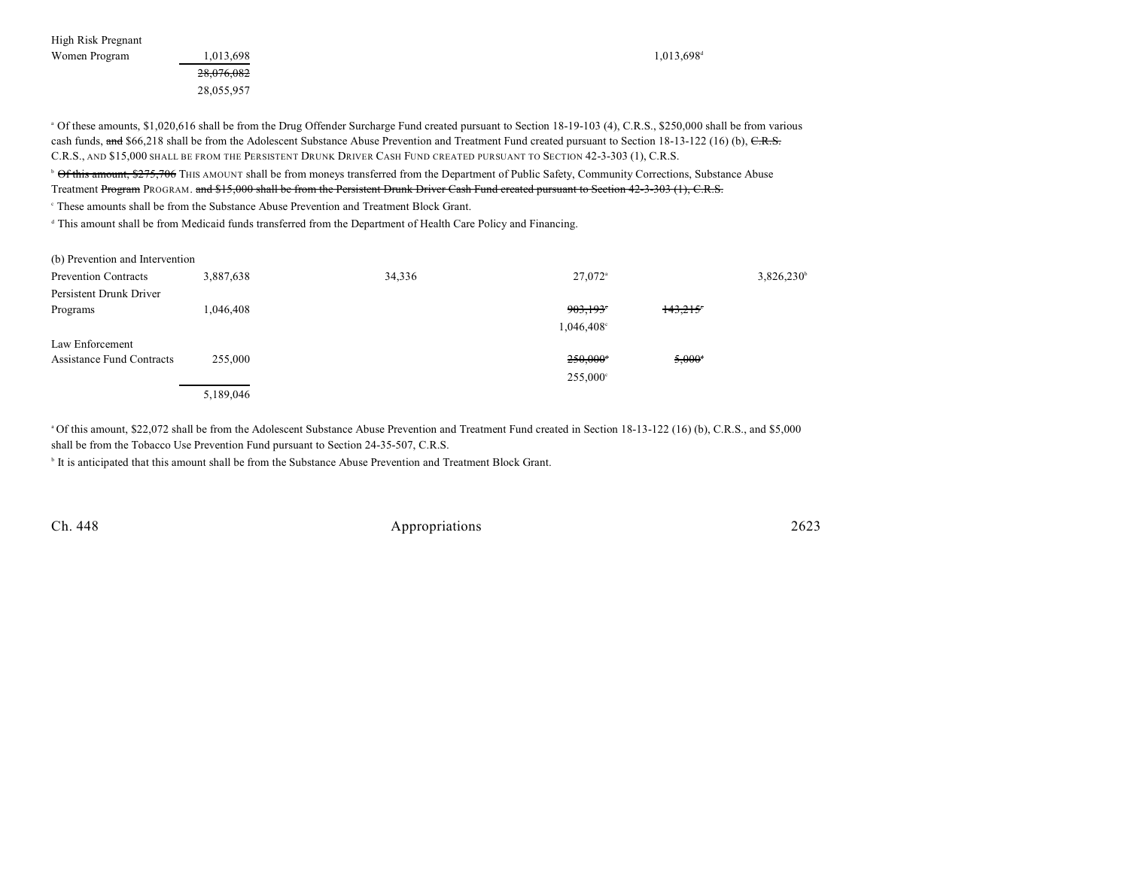High Risk Pregnant Women Program  $1,013,698$   $1,013,698$   $1,013,698$ 

28,076,082 28,055,957

<sup>a</sup> Of these amounts, \$1,020,616 shall be from the Drug Offender Surcharge Fund created pursuant to Section 18-19-103 (4), C.R.S., \$250,000 shall be from various cash funds, and \$66,218 shall be from the Adolescent Substance Abuse Prevention and Treatment Fund created pursuant to Section 18-13-122 (16) (b), C.R.S. C.R.S., AND \$15,000 SHALL BE FROM THE PERSISTENT DRUNK DRIVER CASH FUND CREATED PURSUANT TO SECTION 42-3-303 (1), C.R.S.

<sup>b</sup> Of this amount, \$275,706 THIS AMOUNT shall be from moneys transferred from the Department of Public Safety, Community Corrections, Substance Abuse Treatment Program PROGRAM. and \$15,000 shall be from the Persistent Drunk Driver Cash Fund created pursuant to Section 42-3-303 (1), C.R.S.

These amounts shall be from the Substance Abuse Prevention and Treatment Block Grant.

<sup>d</sup> This amount shall be from Medicaid funds transferred from the Department of Health Care Policy and Financing.

| (b) Prevention and Intervention  |           |        |                        |           |                          |
|----------------------------------|-----------|--------|------------------------|-----------|--------------------------|
| <b>Prevention Contracts</b>      | 3,887,638 | 34,336 | $27,072$ <sup>a</sup>  |           | $3,826,230$ <sup>t</sup> |
| Persistent Drunk Driver          |           |        |                        |           |                          |
| Programs                         | 1,046,408 |        | 903,193                | 143.215   |                          |
|                                  |           |        | 1,046,408°             |           |                          |
| Law Enforcement                  |           |        |                        |           |                          |
| <b>Assistance Fund Contracts</b> | 255,000   |        | $250,000$ <sup>d</sup> | $5,000^4$ |                          |
|                                  |           |        | $255,000^{\circ}$      |           |                          |
|                                  | 5,189,046 |        |                        |           |                          |

Of this amount, \$22,072 shall be from the Adolescent Substance Abuse Prevention and Treatment Fund created in Section 18-13-122 (16) (b), C.R.S., and \$5,000 <sup>a</sup> shall be from the Tobacco Use Prevention Fund pursuant to Section 24-35-507, C.R.S.

It is anticipated that this amount shall be from the Substance Abuse Prevention and Treatment Block Grant.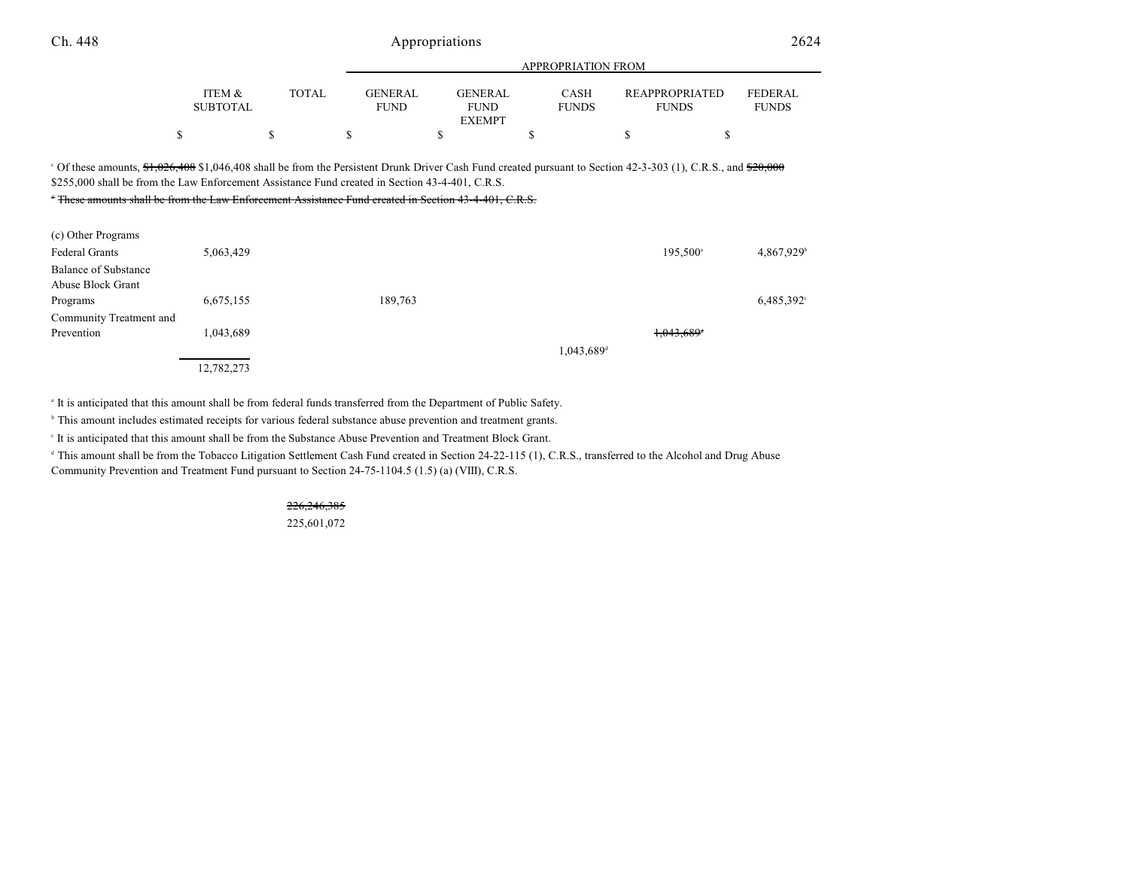|                           |              | $\cdots$                      |                        |                             |                                       |                                |  |
|---------------------------|--------------|-------------------------------|------------------------|-----------------------------|---------------------------------------|--------------------------------|--|
| ITEM &<br><b>SUBTOTAL</b> | <b>TOTAL</b> | <b>GENERAL</b><br><b>FUND</b> | GENERAL<br><b>FUND</b> | <b>CASH</b><br><b>FUNDS</b> | <b>REAPPROPRIATED</b><br><b>FUNDS</b> | <b>FEDERAL</b><br><b>FUNDS</b> |  |
|                           |              |                               | <b>EXEMPT</b>          |                             |                                       |                                |  |
|                           |              |                               |                        |                             |                                       |                                |  |

APPROPRIATION FROM

<sup>o</sup> Of these amounts,  $\frac{64,026,408}{1,046,408}$  shall be from the Persistent Drunk Driver Cash Fund created pursuant to Section 42-3-303 (1), C.R.S., and  $\frac{620,000}{1,000}$ \$255,000 shall be from the Law Enforcement Assistance Fund created in Section 43-4-401, C.R.S.

<sup>t</sup> These amounts shall be from the Law Enforcement Assistance Fund created in Section 43-4-401, C.R.S.

| (c) Other Programs      |            |         |                        |                        |            |
|-------------------------|------------|---------|------------------------|------------------------|------------|
| <b>Federal Grants</b>   | 5,063,429  |         |                        | 195,500 <sup>a</sup>   | 4,867,929  |
| Balance of Substance    |            |         |                        |                        |            |
| Abuse Block Grant       |            |         |                        |                        |            |
| Programs                | 6,675,155  | 189,763 |                        |                        | 6,485,392° |
| Community Treatment and |            |         |                        |                        |            |
| Prevention              | 1,043,689  |         |                        | 1,043,689 <sup>+</sup> |            |
|                         |            |         | 1,043,689 <sup>d</sup> |                        |            |
|                         | 12,782,273 |         |                        |                        |            |

<sup>a</sup> It is anticipated that this amount shall be from federal funds transferred from the Department of Public Safety.

<sup>b</sup> This amount includes estimated receipts for various federal substance abuse prevention and treatment grants.

It is anticipated that this amount shall be from the Substance Abuse Prevention and Treatment Block Grant.

<sup>d</sup> This amount shall be from the Tobacco Litigation Settlement Cash Fund created in Section 24-22-115 (1), C.R.S., transferred to the Alcohol and Drug Abuse Community Prevention and Treatment Fund pursuant to Section 24-75-1104.5 (1.5) (a) (VIII), C.R.S.

# 226,246,385

225,601,072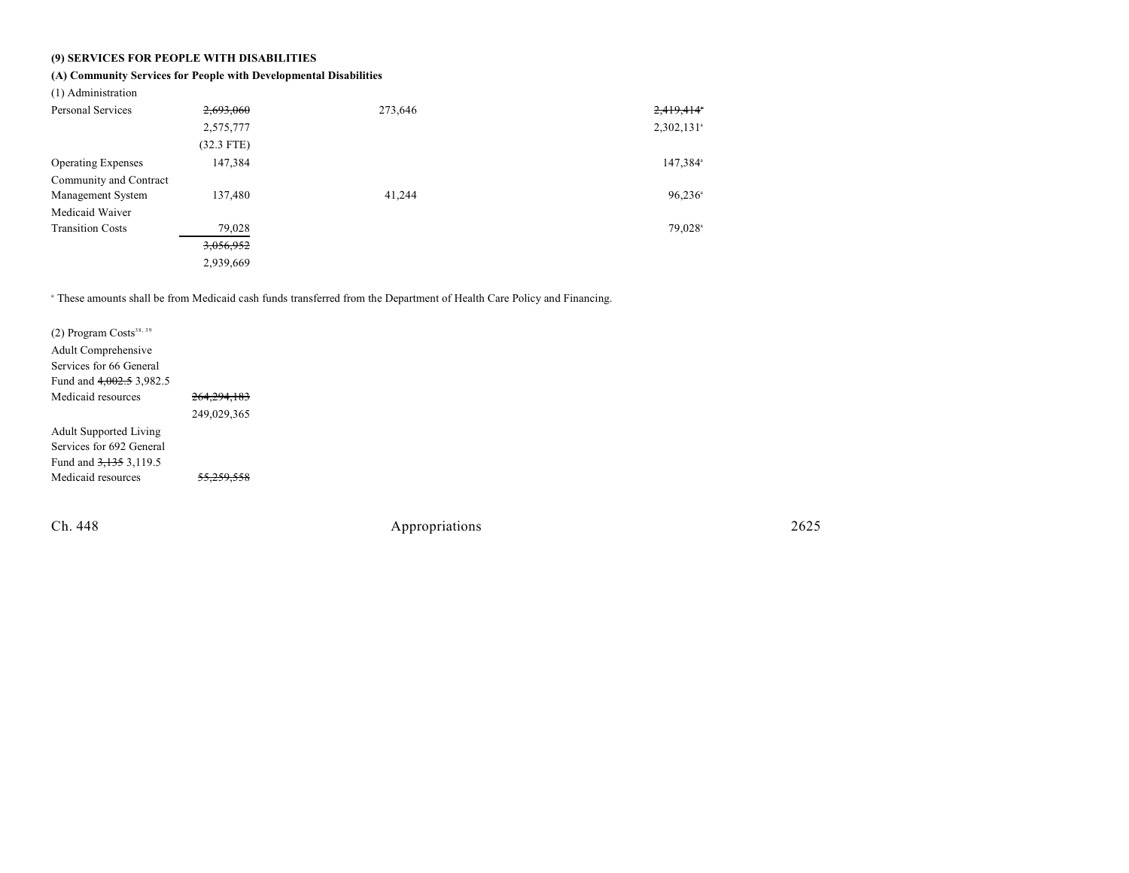### **(9) SERVICES FOR PEOPLE WITH DISABILITIES**

### **(A) Community Services for People with Developmental Disabilities**

(1) Administration

| Personal Services         | 2,693,060    | 273,646 | 2,419,414*               |
|---------------------------|--------------|---------|--------------------------|
|                           | 2,575,777    |         | $2,302,131$ <sup>a</sup> |
|                           | $(32.3$ FTE) |         |                          |
| <b>Operating Expenses</b> | 147,384      |         | 147,384 <sup>a</sup>     |
| Community and Contract    |              |         |                          |
| Management System         | 137,480      | 41,244  | $96,236$ <sup>a</sup>    |
| Medicaid Waiver           |              |         |                          |
| <b>Transition Costs</b>   | 79,028       |         | 79,028 <sup>a</sup>      |
|                           | 3,056,952    |         |                          |
|                           | 2,939,669    |         |                          |

<sup>a</sup> These amounts shall be from Medicaid cash funds transferred from the Department of Health Care Policy and Financing.

| $(2)$ Program Costs <sup>38, 39</sup><br>Adult Comprehensive |                       |
|--------------------------------------------------------------|-----------------------|
| Services for 66 General                                      |                       |
| Fund and $4,002.5$ 3,982.5                                   |                       |
| Medicaid resources                                           | 264, 294, 183         |
|                                                              | 249,029,365           |
| <b>Adult Supported Living</b>                                |                       |
| Services for 692 General                                     |                       |
| Fund and 3,135 3,119.5                                       |                       |
| Medicaid resources                                           | <del>55,259,558</del> |
|                                                              |                       |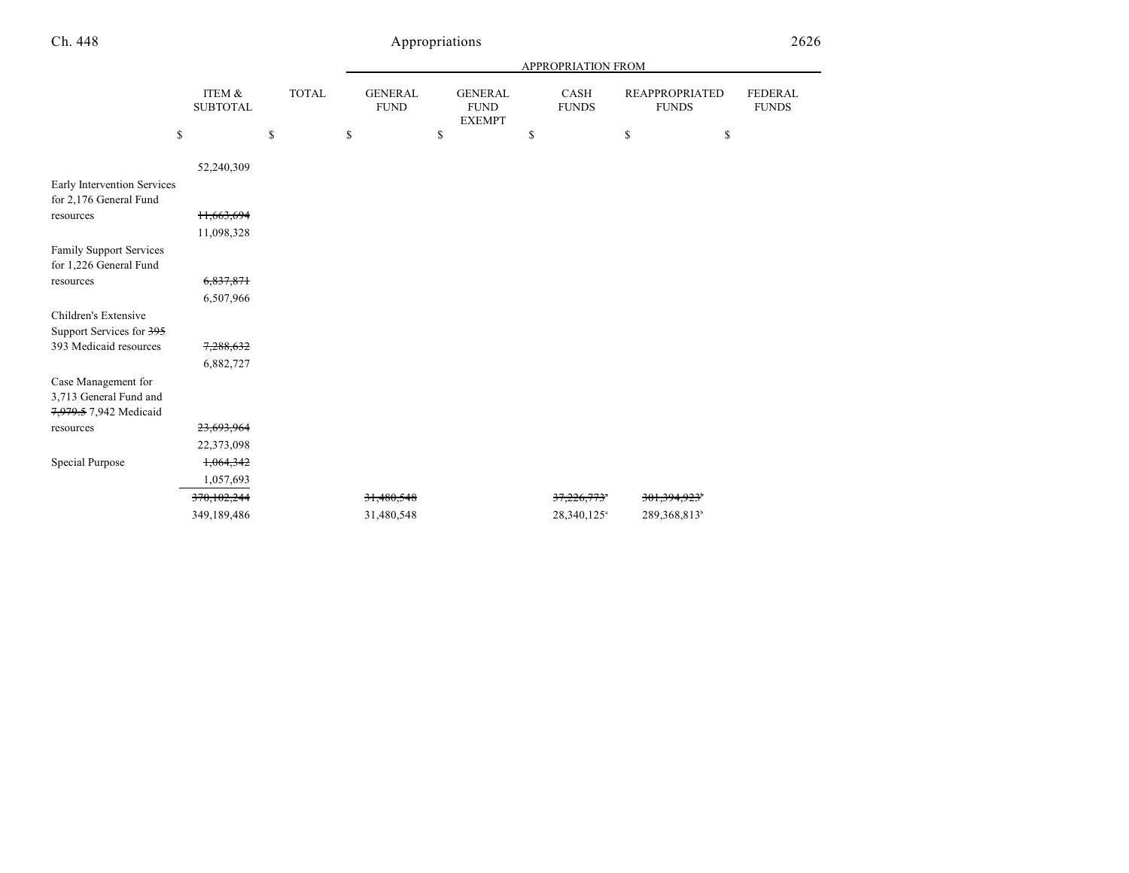|                                                       |                           |              |                               |                                                | APPROPRIATION FROM      |                                |                                |
|-------------------------------------------------------|---------------------------|--------------|-------------------------------|------------------------------------------------|-------------------------|--------------------------------|--------------------------------|
|                                                       | ITEM &<br><b>SUBTOTAL</b> | <b>TOTAL</b> | <b>GENERAL</b><br><b>FUND</b> | <b>GENERAL</b><br><b>FUND</b><br><b>EXEMPT</b> | CASH<br><b>FUNDS</b>    | REAPPROPRIATED<br><b>FUNDS</b> | <b>FEDERAL</b><br><b>FUNDS</b> |
|                                                       | \$                        | \$           | \$                            | \$                                             | \$                      | \$<br>\$                       |                                |
|                                                       | 52,240,309                |              |                               |                                                |                         |                                |                                |
| Early Intervention Services<br>for 2,176 General Fund |                           |              |                               |                                                |                         |                                |                                |
| resources                                             | 11,663,694                |              |                               |                                                |                         |                                |                                |
|                                                       | 11,098,328                |              |                               |                                                |                         |                                |                                |
| Family Support Services<br>for 1,226 General Fund     |                           |              |                               |                                                |                         |                                |                                |
| resources                                             | 6,837,871                 |              |                               |                                                |                         |                                |                                |
|                                                       | 6,507,966                 |              |                               |                                                |                         |                                |                                |
| Children's Extensive<br>Support Services for 395      |                           |              |                               |                                                |                         |                                |                                |
| 393 Medicaid resources                                | 7,288,632                 |              |                               |                                                |                         |                                |                                |
|                                                       | 6,882,727                 |              |                               |                                                |                         |                                |                                |
| Case Management for                                   |                           |              |                               |                                                |                         |                                |                                |
| 3,713 General Fund and                                |                           |              |                               |                                                |                         |                                |                                |
| 7,979.5 7,942 Medicaid                                |                           |              |                               |                                                |                         |                                |                                |
| resources                                             | 23,693,964                |              |                               |                                                |                         |                                |                                |
|                                                       | 22,373,098                |              |                               |                                                |                         |                                |                                |
| Special Purpose                                       | 1,064,342                 |              |                               |                                                |                         |                                |                                |
|                                                       | 1,057,693                 |              |                               |                                                |                         |                                |                                |
|                                                       | 370,102,244               |              | 31,480,548                    |                                                | 37,226,773*             | 301, 394, 923                  |                                |
|                                                       | 349,189,486               |              | 31,480,548                    |                                                | 28,340,125 <sup>a</sup> | 289,368,813 <sup>b</sup>       |                                |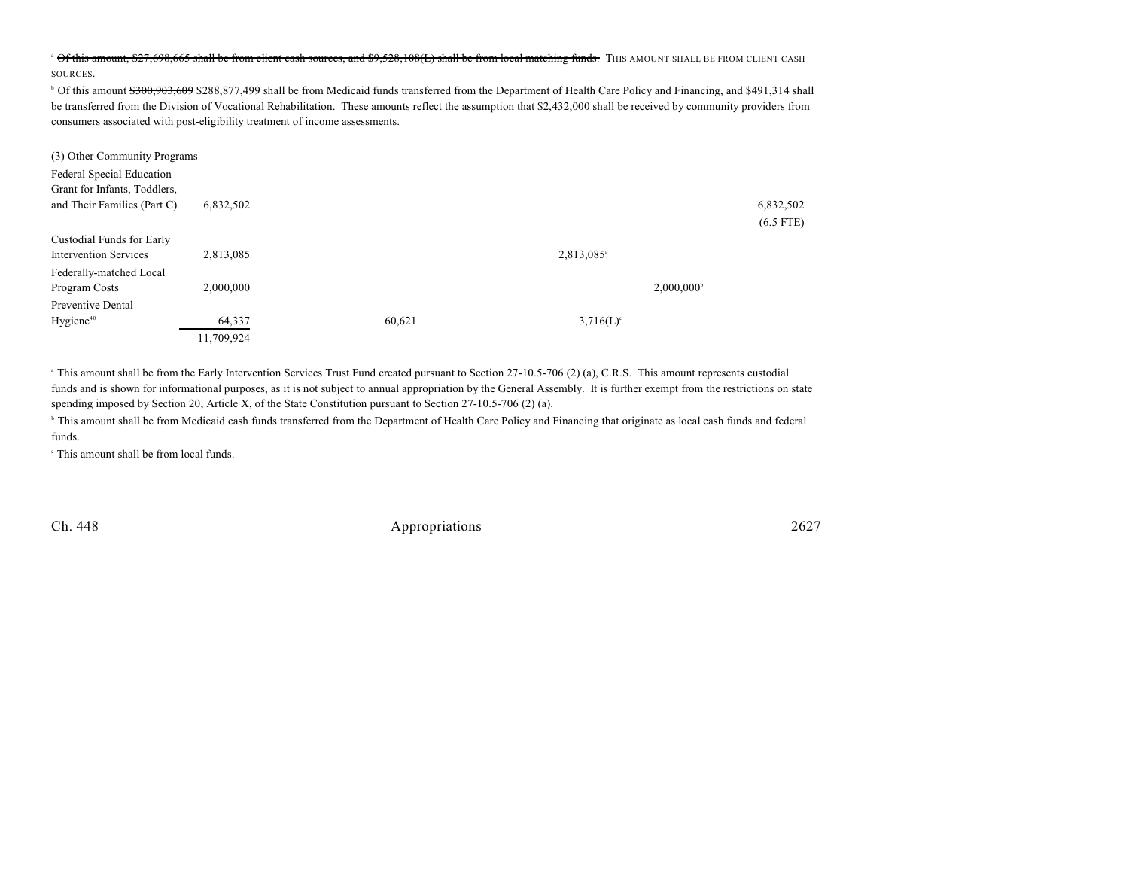#### <sup>a</sup> Of this amount, \$27,698,665 shall be from client cash sources, and \$9,528,108(L) shall be from local matching funds. THIS AMOUNT SHALL BE FROM CLIENT CASH SOURCES.

<sup>b</sup> Of this amount \$300,903,609 \$288,877,499 shall be from Medicaid funds transferred from the Department of Health Care Policy and Financing, and \$491,314 shall be transferred from the Division of Vocational Rehabilitation. These amounts reflect the assumption that \$2,432,000 shall be received by community providers from consumers associated with post-eligibility treatment of income assessments.

| (3) Other Community Programs |            |        |                        |                     |             |
|------------------------------|------------|--------|------------------------|---------------------|-------------|
| Federal Special Education    |            |        |                        |                     |             |
| Grant for Infants, Toddlers, |            |        |                        |                     |             |
| and Their Families (Part C)  | 6,832,502  |        |                        |                     | 6,832,502   |
|                              |            |        |                        |                     | $(6.5$ FTE) |
| Custodial Funds for Early    |            |        |                        |                     |             |
| <b>Intervention Services</b> | 2,813,085  |        | 2,813,085 <sup>a</sup> |                     |             |
| Federally-matched Local      |            |        |                        |                     |             |
| Program Costs                | 2,000,000  |        |                        | $2,000,000^{\circ}$ |             |
| Preventive Dental            |            |        |                        |                     |             |
| Hygiene <sup>40</sup>        | 64,337     | 60,621 | $3,716(L)^c$           |                     |             |
|                              | 11,709,924 |        |                        |                     |             |

<sup>a</sup> This amount shall be from the Early Intervention Services Trust Fund created pursuant to Section 27-10.5-706 (2) (a), C.R.S. This amount represents custodial funds and is shown for informational purposes, as it is not subject to annual appropriation by the General Assembly. It is further exempt from the restrictions on state spending imposed by Section 20, Article X, of the State Constitution pursuant to Section 27-10.5-706 (2) (a).

<sup>b</sup> This amount shall be from Medicaid cash funds transferred from the Department of Health Care Policy and Financing that originate as local cash funds and federal funds.

 $\degree$  This amount shall be from local funds.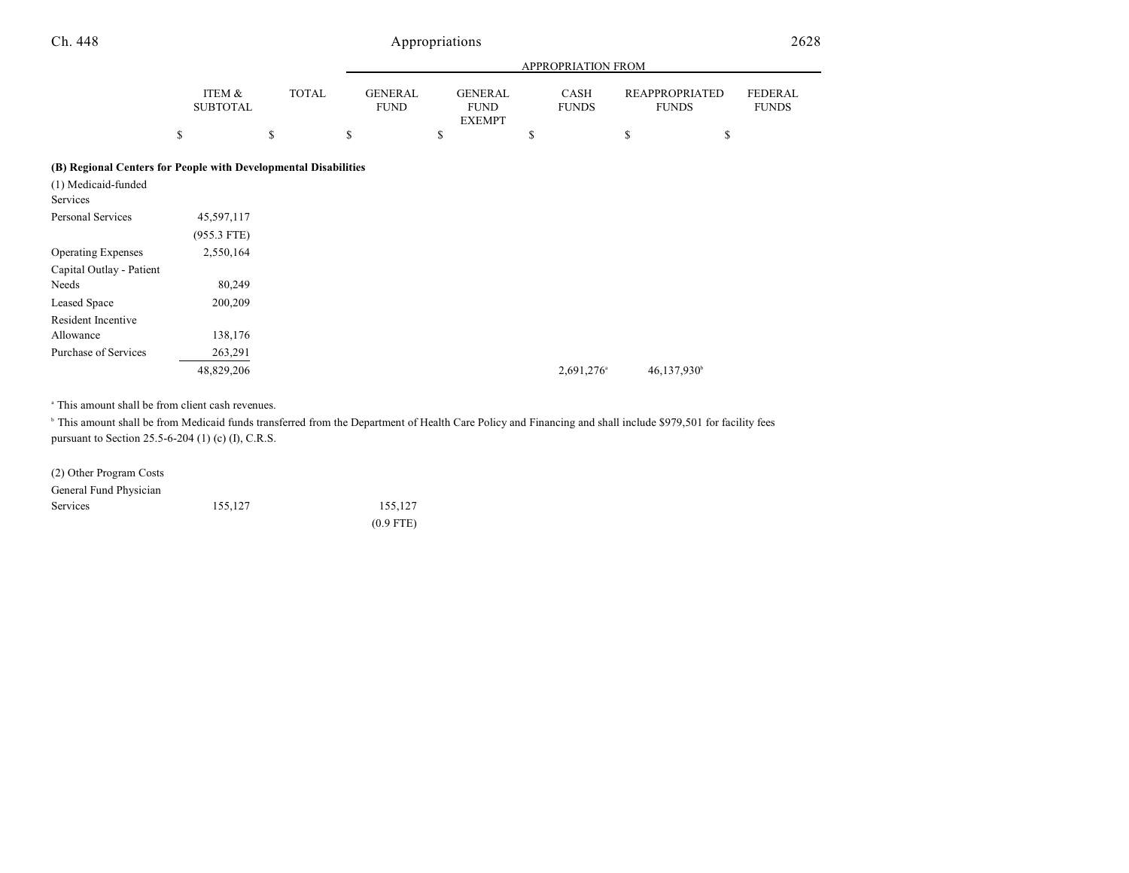| ITEM &<br><b>SUBTOTAL</b> | <b>TOTAL</b> | <b>GENERAL</b><br><b>FUND</b> |                                                                 | <b>CASH</b><br><b>FUNDS</b>                    | <b>FUNDS</b>            | <b>FEDERAL</b><br><b>FUNDS</b>              |
|---------------------------|--------------|-------------------------------|-----------------------------------------------------------------|------------------------------------------------|-------------------------|---------------------------------------------|
|                           | \$           | \$                            | \$                                                              | \$                                             | \$                      | \$                                          |
|                           |              |                               |                                                                 |                                                |                         |                                             |
|                           |              |                               |                                                                 |                                                |                         |                                             |
| 45,597,117                |              |                               |                                                                 |                                                |                         |                                             |
| $(955.3$ FTE)             |              |                               |                                                                 |                                                |                         |                                             |
| 2,550,164                 |              |                               |                                                                 |                                                |                         |                                             |
|                           |              |                               |                                                                 |                                                |                         |                                             |
| 80,249                    |              |                               |                                                                 |                                                |                         |                                             |
| 200,209                   |              |                               |                                                                 |                                                |                         |                                             |
|                           |              |                               |                                                                 |                                                |                         |                                             |
| 138,176                   |              |                               |                                                                 |                                                |                         |                                             |
| 263,291                   |              |                               |                                                                 |                                                |                         |                                             |
| 48,829,206                |              |                               |                                                                 | 2,691,276 <sup>a</sup>                         | 46,137,930 <sup>b</sup> |                                             |
|                           |              |                               | (B) Regional Centers for People with Developmental Disabilities | <b>GENERAL</b><br><b>FUND</b><br><b>EXEMPT</b> |                         | APPROPRIATION FROM<br><b>REAPPROPRIATED</b> |

<sup>a</sup> This amount shall be from client cash revenues.

<sup>b</sup> This amount shall be from Medicaid funds transferred from the Department of Health Care Policy and Financing and shall include \$979,501 for facility fees pursuant to Section 25.5-6-204 (1) (c) (I), C.R.S.

| (2) Other Program Costs |         |             |
|-------------------------|---------|-------------|
| General Fund Physician  |         |             |
| Services                | 155.127 | 155.127     |
|                         |         | $(0.9$ FTE) |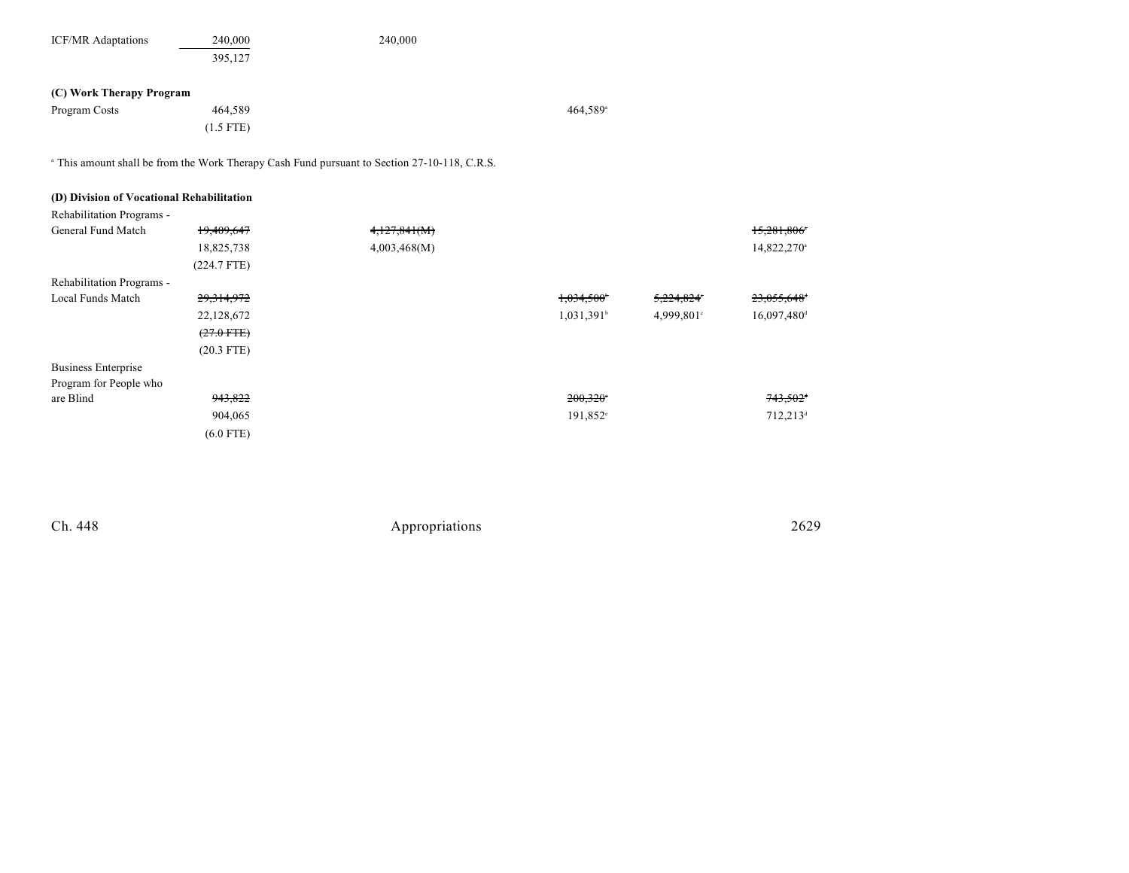| <b>ICF/MR</b> Adaptations | 240,000     | 240,000 |                      |
|---------------------------|-------------|---------|----------------------|
|                           | 395,127     |         |                      |
|                           |             |         |                      |
| (C) Work Therapy Program  |             |         |                      |
| Program Costs             | 464,589     |         | 464,589 <sup>a</sup> |
|                           | $(1.5$ FTE) |         |                      |

<sup>a</sup> This amount shall be from the Work Therapy Cash Fund pursuant to Section 27-10-118, C.R.S.

|  |  | (D) Division of Vocational Rehabilitation |
|--|--|-------------------------------------------|
|  |  |                                           |

| <b>Rehabilitation Programs -</b> |                 |              |                          |            |                         |
|----------------------------------|-----------------|--------------|--------------------------|------------|-------------------------|
| General Fund Match               | 19,409,647      | 4,127,841(M) |                          |            | 15,281,806              |
|                                  | 18,825,738      | 4,003,468(M) |                          |            | 14,822,270 <sup>a</sup> |
|                                  | $(224.7$ FTE)   |              |                          |            |                         |
| Rehabilitation Programs -        |                 |              |                          |            |                         |
| Local Funds Match                | 29,314,972      |              | 1,034,500*               | 5,224,824° | 23,055,648 <sup>+</sup> |
|                                  | 22,128,672      |              | $1,031,391$ <sup>b</sup> | 4,999,801° | 16,097,480 <sup>d</sup> |
|                                  | $(27.0$ FTE $)$ |              |                          |            |                         |
|                                  | $(20.3$ FTE)    |              |                          |            |                         |
| Business Enterprise              |                 |              |                          |            |                         |
| Program for People who           |                 |              |                          |            |                         |
| are Blind                        | 943,822         |              | 200,320                  |            | $743,502$ <sup>+</sup>  |
|                                  | 904,065         |              | 191,852 <sup>e</sup>     |            | 712,213 <sup>d</sup>    |
|                                  | $(6.0$ FTE)     |              |                          |            |                         |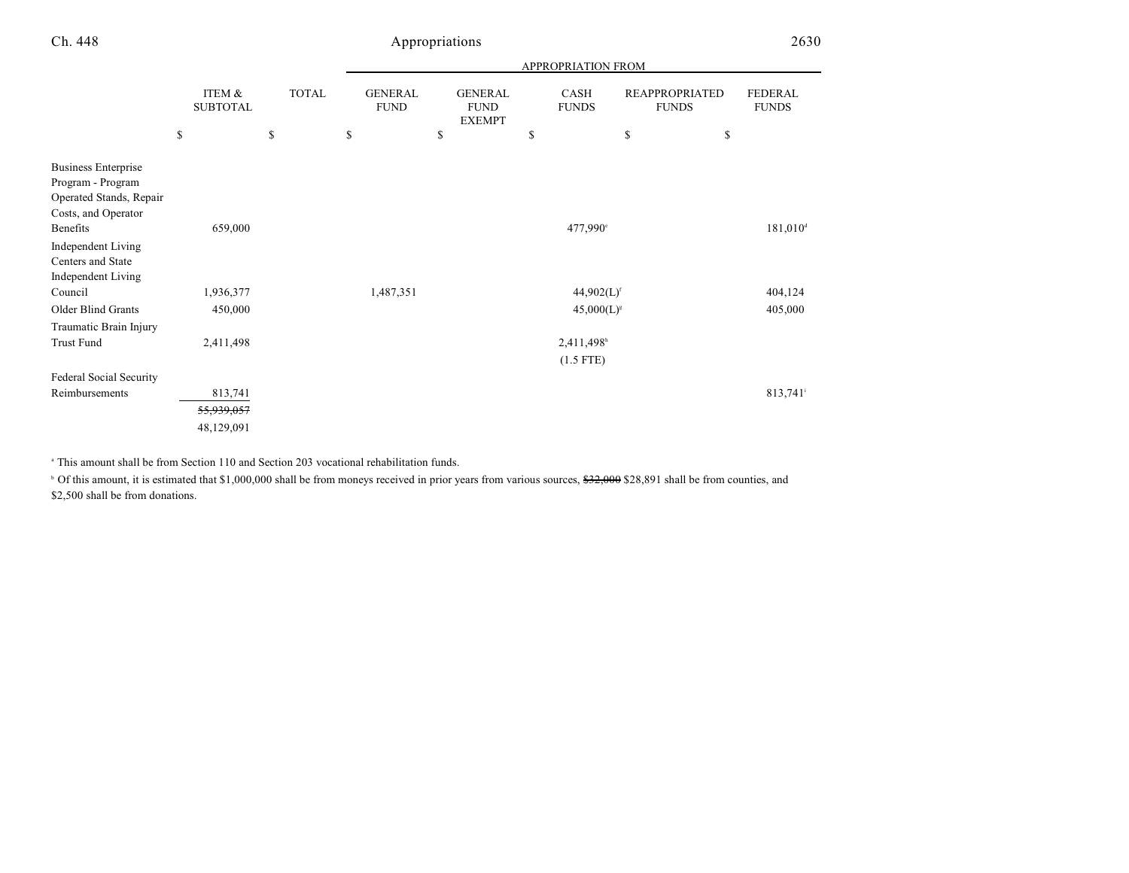|                                                                                                   |                           |              |                               |                                                | APPROPRIATION FROM          |                                       |                                |
|---------------------------------------------------------------------------------------------------|---------------------------|--------------|-------------------------------|------------------------------------------------|-----------------------------|---------------------------------------|--------------------------------|
|                                                                                                   | ITEM &<br><b>SUBTOTAL</b> | <b>TOTAL</b> | <b>GENERAL</b><br><b>FUND</b> | <b>GENERAL</b><br><b>FUND</b><br><b>EXEMPT</b> | <b>CASH</b><br><b>FUNDS</b> | <b>REAPPROPRIATED</b><br><b>FUNDS</b> | <b>FEDERAL</b><br><b>FUNDS</b> |
|                                                                                                   | \$                        | \$           | \$                            | \$                                             | \$                          | \$<br>\$                              |                                |
| <b>Business Enterprise</b><br>Program - Program<br>Operated Stands, Repair<br>Costs, and Operator |                           |              |                               |                                                |                             |                                       |                                |
| Benefits                                                                                          | 659,000                   |              |                               |                                                | 477,990°                    |                                       | $181,010$ <sup>d</sup>         |
| Independent Living<br>Centers and State<br>Independent Living                                     |                           |              |                               |                                                |                             |                                       |                                |
| Council                                                                                           | 1,936,377                 |              | 1,487,351                     |                                                | $44,902(L)$ <sup>f</sup>    |                                       | 404,124                        |
| Older Blind Grants                                                                                | 450,000                   |              |                               |                                                | $45,000(L)^{s}$             |                                       | 405,000                        |
| Traumatic Brain Injury                                                                            |                           |              |                               |                                                |                             |                                       |                                |
| Trust Fund                                                                                        | 2,411,498                 |              |                               |                                                | 2,411,498h                  |                                       |                                |
|                                                                                                   |                           |              |                               |                                                | $(1.5$ FTE)                 |                                       |                                |
| Federal Social Security                                                                           |                           |              |                               |                                                |                             |                                       |                                |
| Reimbursements                                                                                    | 813,741                   |              |                               |                                                |                             |                                       | 813,741                        |
|                                                                                                   | <del>55,939,057</del>     |              |                               |                                                |                             |                                       |                                |
|                                                                                                   | 48,129,091                |              |                               |                                                |                             |                                       |                                |

This amount shall be from Section 110 and Section 203 vocational rehabilitation funds. <sup>a</sup>

<sup>b</sup> Of this amount, it is estimated that \$1,000,000 shall be from moneys received in prior years from various sources, \$32,000 \$28,891 shall be from counties, and \$2,500 shall be from donations.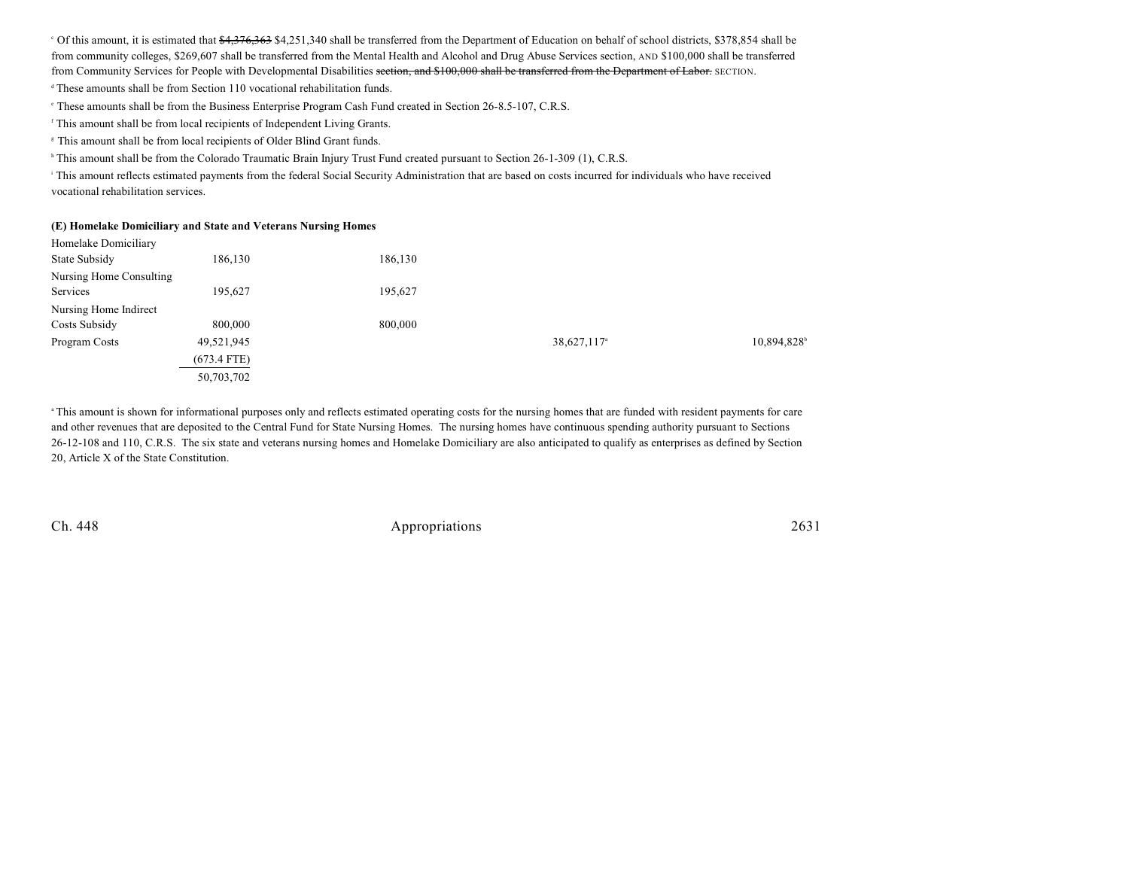$\degree$  Of this amount, it is estimated that  $\frac{64,376,363}{16}$  \$4,251,340 shall be transferred from the Department of Education on behalf of school districts, \$378,854 shall be from community colleges, \$269,607 shall be transferred from the Mental Health and Alcohol and Drug Abuse Services section, AND \$100,000 shall be transferred from Community Services for People with Developmental Disabilities section, and \$100,000 shall be transferred from the Department of Labor. SECTION.

 $^4$  These amounts shall be from Section 110 vocational rehabilitation funds.

These amounts shall be from the Business Enterprise Program Cash Fund created in Section 26-8.5-107, C.R.S. <sup>e</sup>

<sup>f</sup> This amount shall be from local recipients of Independent Living Grants.

<sup>8</sup> This amount shall be from local recipients of Older Blind Grant funds.

<sup>h</sup> This amount shall be from the Colorado Traumatic Brain Injury Trust Fund created pursuant to Section 26-1-309 (1), C.R.S.

<sup>1</sup> This amount reflects estimated payments from the federal Social Security Administration that are based on costs incurred for individuals who have received vocational rehabilitation services.

#### **(E) Homelake Domiciliary and State and Veterans Nursing Homes**

| Homelake Domiciliary    |               |         |                         |            |
|-------------------------|---------------|---------|-------------------------|------------|
| State Subsidy           | 186,130       | 186,130 |                         |            |
| Nursing Home Consulting |               |         |                         |            |
| Services                | 195,627       | 195,627 |                         |            |
| Nursing Home Indirect   |               |         |                         |            |
| Costs Subsidy           | 800,000       | 800,000 |                         |            |
| Program Costs           | 49,521,945    |         | 38,627,117 <sup>a</sup> | 10,894,828 |
|                         | $(673.4$ FTE) |         |                         |            |
|                         | 50,703,702    |         |                         |            |

<sup>a</sup>This amount is shown for informational purposes only and reflects estimated operating costs for the nursing homes that are funded with resident payments for care and other revenues that are deposited to the Central Fund for State Nursing Homes. The nursing homes have continuous spending authority pursuant to Sections 26-12-108 and 110, C.R.S. The six state and veterans nursing homes and Homelake Domiciliary are also anticipated to qualify as enterprises as defined by Section 20, Article X of the State Constitution.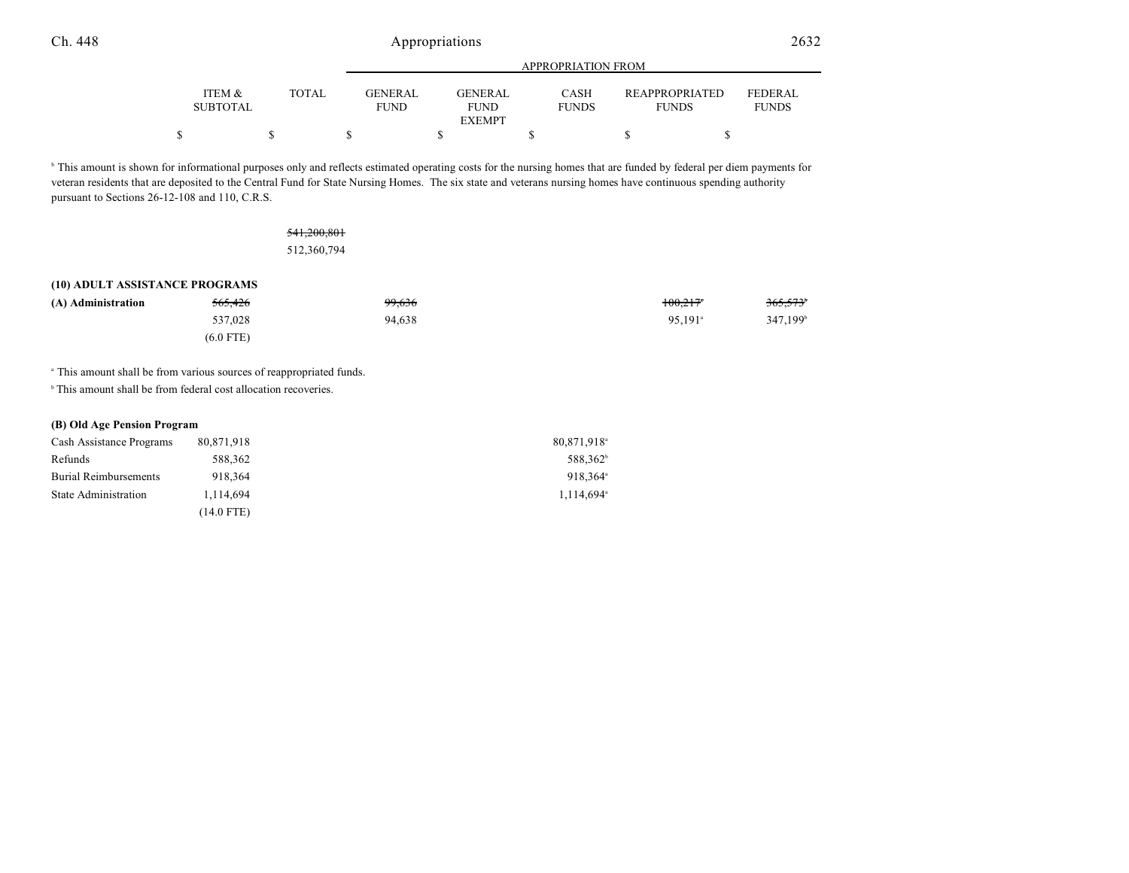|                           |              |                               | APPROPRIATION FROM                      |                             |                                       |                                |  |
|---------------------------|--------------|-------------------------------|-----------------------------------------|-----------------------------|---------------------------------------|--------------------------------|--|
| ITEM &<br><b>SUBTOTAL</b> | <b>TOTAL</b> | <b>GENERAL</b><br><b>FUND</b> | <b>GENERAL</b><br>FUND<br><b>EXEMPT</b> | <b>CASH</b><br><b>FUNDS</b> | <b>REAPPROPRIATED</b><br><b>FUNDS</b> | <b>FEDERAL</b><br><b>FUNDS</b> |  |
| Φ                         |              |                               |                                         |                             |                                       |                                |  |

<sup>b</sup> This amount is shown for informational purposes only and reflects estimated operating costs for the nursing homes that are funded by federal per diem payments for veteran residents that are deposited to the Central Fund for State Nursing Homes. The six state and veterans nursing homes have continuous spending authority pursuant to Sections 26-12-108 and 110, C.R.S.

### 541,200,801 512,360,794

#### **(10) ADULT ASSISTANCE PROGRAMS**

| (A) Administration | <del>565,426</del> | 99,636 | $100.217$ <sup>*</sup> | 365,573 <sup>6</sup> |
|--------------------|--------------------|--------|------------------------|----------------------|
|                    | 537,028            | 94,638 | $95.191$ <sup>a</sup>  | 347,199 <sup>b</sup> |
|                    | $(6.0$ FTE)        |        |                        |                      |

<sup>a</sup> This amount shall be from various sources of reappropriated funds.

 $\,^{\circ}$  This amount shall be from federal cost allocation recoveries.

#### **(B) Old Age Pension Program**

| Cash Assistance Programs     | 80,871,918 | 80,871,918 <sup>a</sup> |
|------------------------------|------------|-------------------------|
| Refunds                      | 588.362    | 588.362 <sup>b</sup>    |
| <b>Burial Reimbursements</b> | 918,364    | 918.364 <sup>a</sup>    |
| State Administration         | 1.114.694  | $1.114.694^{\circ}$     |
|                              | (14.0 FTE) |                         |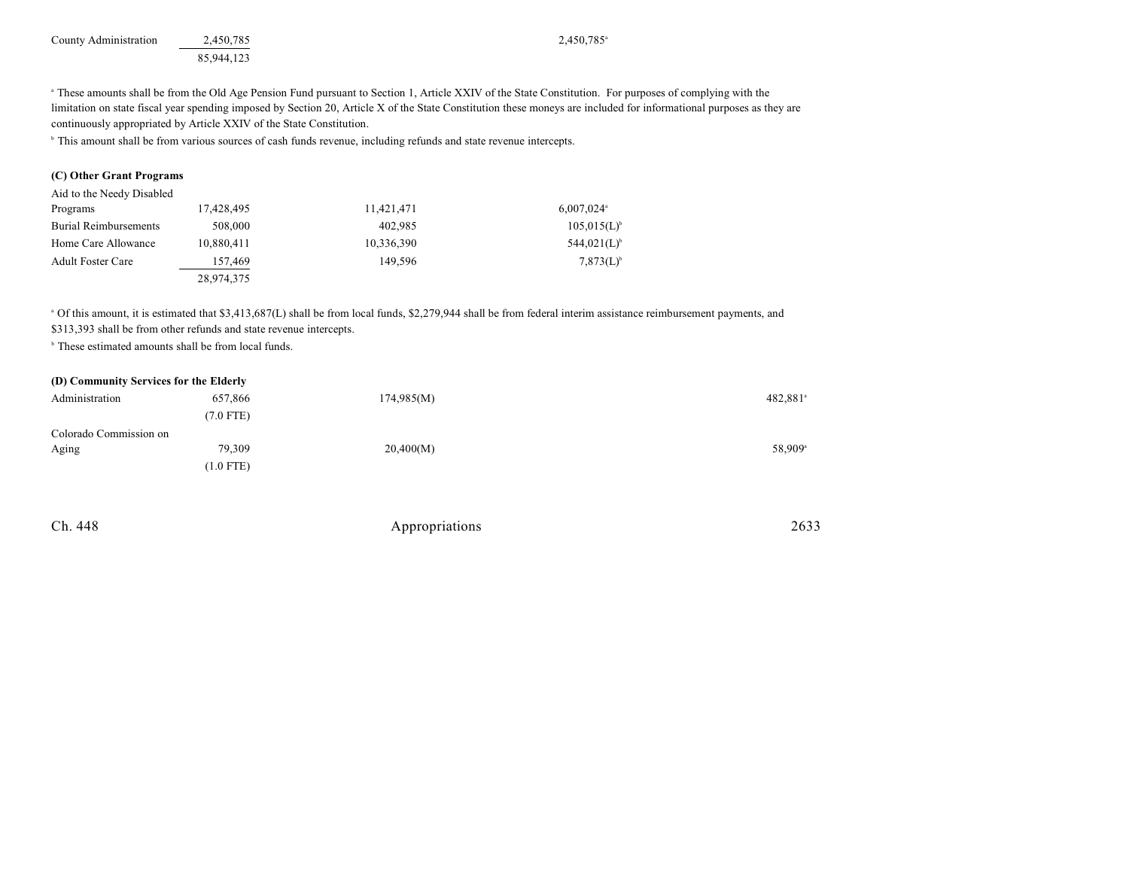| County Administration | 2.450.785  | 2,450,785 |
|-----------------------|------------|-----------|
|                       | 85,944,123 |           |

<sup>a</sup> These amounts shall be from the Old Age Pension Fund pursuant to Section 1, Article XXIV of the State Constitution. For purposes of complying with the limitation on state fiscal year spending imposed by Section 20, Article X of the State Constitution these moneys are included for informational purposes as they are continuously appropriated by Article XXIV of the State Constitution.

<sup>b</sup> This amount shall be from various sources of cash funds revenue, including refunds and state revenue intercepts.

#### **(C) Other Grant Programs**

| Aid to the Needy Disabled    |            |            |                          |
|------------------------------|------------|------------|--------------------------|
| Programs                     | 17,428,495 | 11,421,471 | $6,007,024$ <sup>a</sup> |
| <b>Burial Reimbursements</b> | 508,000    | 402.985    | $105,015(L)^{b}$         |
| Home Care Allowance          | 10,880,411 | 10,336,390 | $544,021(L)^{6}$         |
| <b>Adult Foster Care</b>     | 157,469    | 149.596    | $7,873(L)^{b}$           |
|                              | 28,974,375 |            |                          |

<sup>a</sup> Of this amount, it is estimated that \$3,413,687(L) shall be from local funds, \$2,279,944 shall be from federal interim assistance reimbursement payments, and \$313,393 shall be from other refunds and state revenue intercepts.

 $\,^{\circ}$  These estimated amounts shall be from local funds.

| (D) Community Services for the Elderly |             |            |                      |
|----------------------------------------|-------------|------------|----------------------|
| Administration                         | 657,866     | 174,985(M) | 482,881 <sup>a</sup> |
|                                        | $(7.0$ FTE) |            |                      |
| Colorado Commission on                 |             |            |                      |
| Aging                                  | 79,309      | 20,400(M)  | 58.909 <sup>a</sup>  |
|                                        | $(1.0$ FTE) |            |                      |
|                                        |             |            |                      |

| Ch. 448 | Appropriations | 2633 |
|---------|----------------|------|
|         |                |      |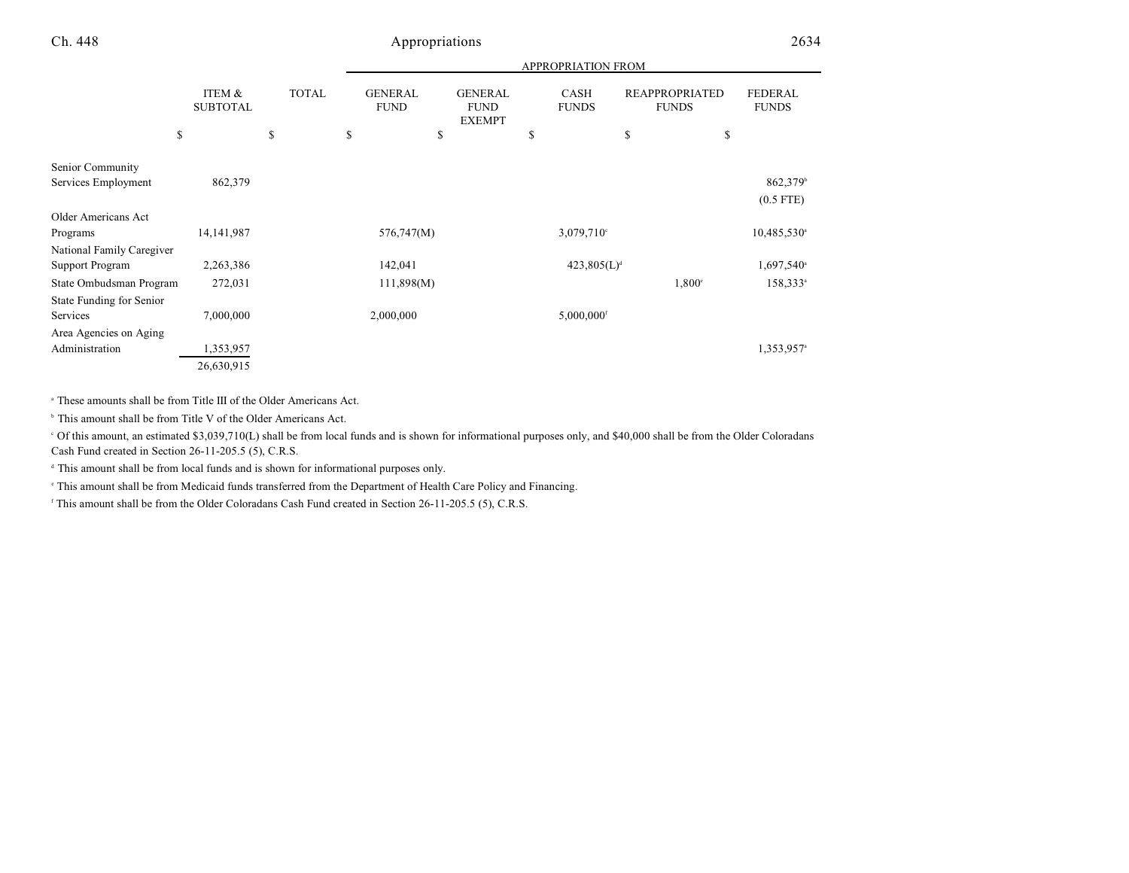|                           |                           |              |                               |                                                | <b>APPROPRIATION FROM</b>   |                                       |                                |
|---------------------------|---------------------------|--------------|-------------------------------|------------------------------------------------|-----------------------------|---------------------------------------|--------------------------------|
|                           | ITEM &<br><b>SUBTOTAL</b> | <b>TOTAL</b> | <b>GENERAL</b><br><b>FUND</b> | <b>GENERAL</b><br><b>FUND</b><br><b>EXEMPT</b> | <b>CASH</b><br><b>FUNDS</b> | <b>REAPPROPRIATED</b><br><b>FUNDS</b> | <b>FEDERAL</b><br><b>FUNDS</b> |
| \$                        |                           | \$           | \$<br>\$                      |                                                | \$                          | \$<br>\$                              |                                |
| Senior Community          |                           |              |                               |                                                |                             |                                       |                                |
| Services Employment       | 862,379                   |              |                               |                                                |                             |                                       | 862,379 <sup>b</sup>           |
|                           |                           |              |                               |                                                |                             |                                       | $(0.5$ FTE)                    |
| Older Americans Act       |                           |              |                               |                                                |                             |                                       |                                |
| Programs                  | 14, 141, 987              |              | 576,747(M)                    |                                                | $3,079,710^{\circ}$         |                                       | $10,485,530^{\circ}$           |
| National Family Caregiver |                           |              |                               |                                                |                             |                                       |                                |
| Support Program           | 2,263,386                 |              | 142,041                       |                                                | 423,805(L) <sup>d</sup>     |                                       | $1,697,540$ <sup>a</sup>       |
| State Ombudsman Program   | 272,031                   |              | 111,898(M)                    |                                                |                             | $1,800^\circ$                         | $158,333^*$                    |
| State Funding for Senior  |                           |              |                               |                                                |                             |                                       |                                |
| Services                  | 7,000,000                 |              | 2,000,000                     |                                                | $5,000,000$ <sup>f</sup>    |                                       |                                |
| Area Agencies on Aging    |                           |              |                               |                                                |                             |                                       |                                |
| Administration            | 1,353,957                 |              |                               |                                                |                             |                                       | 1,353,957 <sup>a</sup>         |
|                           | 26,630,915                |              |                               |                                                |                             |                                       |                                |

These amounts shall be from Title III of the Older Americans Act. a

<sup>b</sup> This amount shall be from Title V of the Older Americans Act.

 Of this amount, an estimated \$3,039,710(L) shall be from local funds and is shown for informational purposes only, and \$40,000 shall be from the Older Coloradans <sup>c</sup> Cash Fund created in Section 26-11-205.5 (5), C.R.S.

<sup>d</sup> This amount shall be from local funds and is shown for informational purposes only.

<sup>e</sup> This amount shall be from Medicaid funds transferred from the Department of Health Care Policy and Financing.

<sup>f</sup> This amount shall be from the Older Coloradans Cash Fund created in Section 26-11-205.5 (5), C.R.S.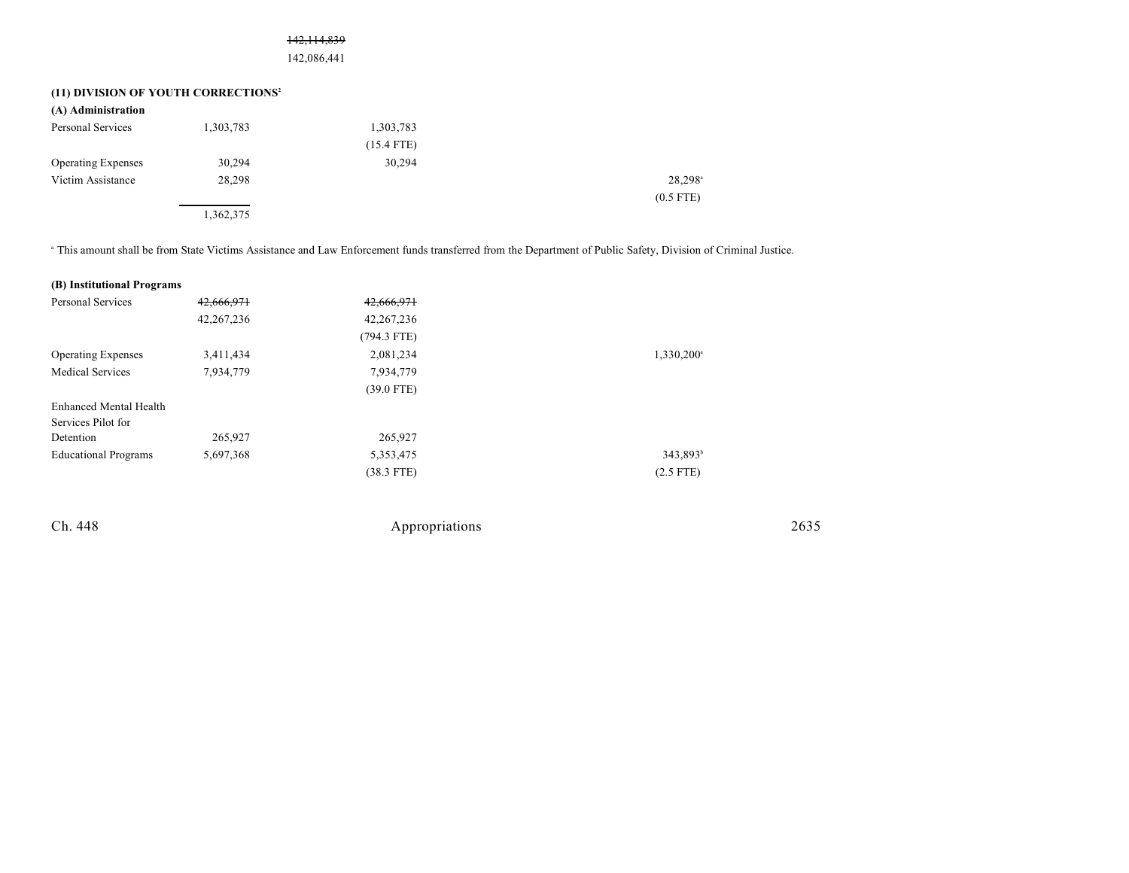#### 142,114,839

142,086,441

### **(11) DIVISION OF YOUTH CORRECTIONS<sup>2</sup>**

| (A) Administration        |           |              |                     |
|---------------------------|-----------|--------------|---------------------|
| Personal Services         | 1,303,783 | 1,303,783    |                     |
|                           |           | $(15.4$ FTE) |                     |
| <b>Operating Expenses</b> | 30,294    | 30,294       |                     |
| Victim Assistance         | 28,298    |              | 28,298 <sup>a</sup> |
|                           |           |              | $(0.5$ FTE)         |
|                           | 1,362,375 |              |                     |

<sup>a</sup> This amount shall be from State Victims Assistance and Law Enforcement funds transferred from the Department of Public Safety, Division of Criminal Justice.

| (B) Institutional Programs  |              |               |                        |
|-----------------------------|--------------|---------------|------------------------|
| Personal Services           | 42,666,971   | 42,666,971    |                        |
|                             | 42, 267, 236 | 42, 267, 236  |                        |
|                             |              | $(794.3$ FTE) |                        |
| <b>Operating Expenses</b>   | 3,411,434    | 2,081,234     | 1,330,200 <sup>a</sup> |
| <b>Medical Services</b>     | 7,934,779    | 7,934,779     |                        |
|                             |              | $(39.0$ FTE)  |                        |
| Enhanced Mental Health      |              |               |                        |
| Services Pilot for          |              |               |                        |
| Detention                   | 265,927      | 265,927       |                        |
| <b>Educational Programs</b> | 5,697,368    | 5,353,475     | $343.893^b$            |
|                             |              | $(38.3$ FTE)  | $(2.5$ FTE)            |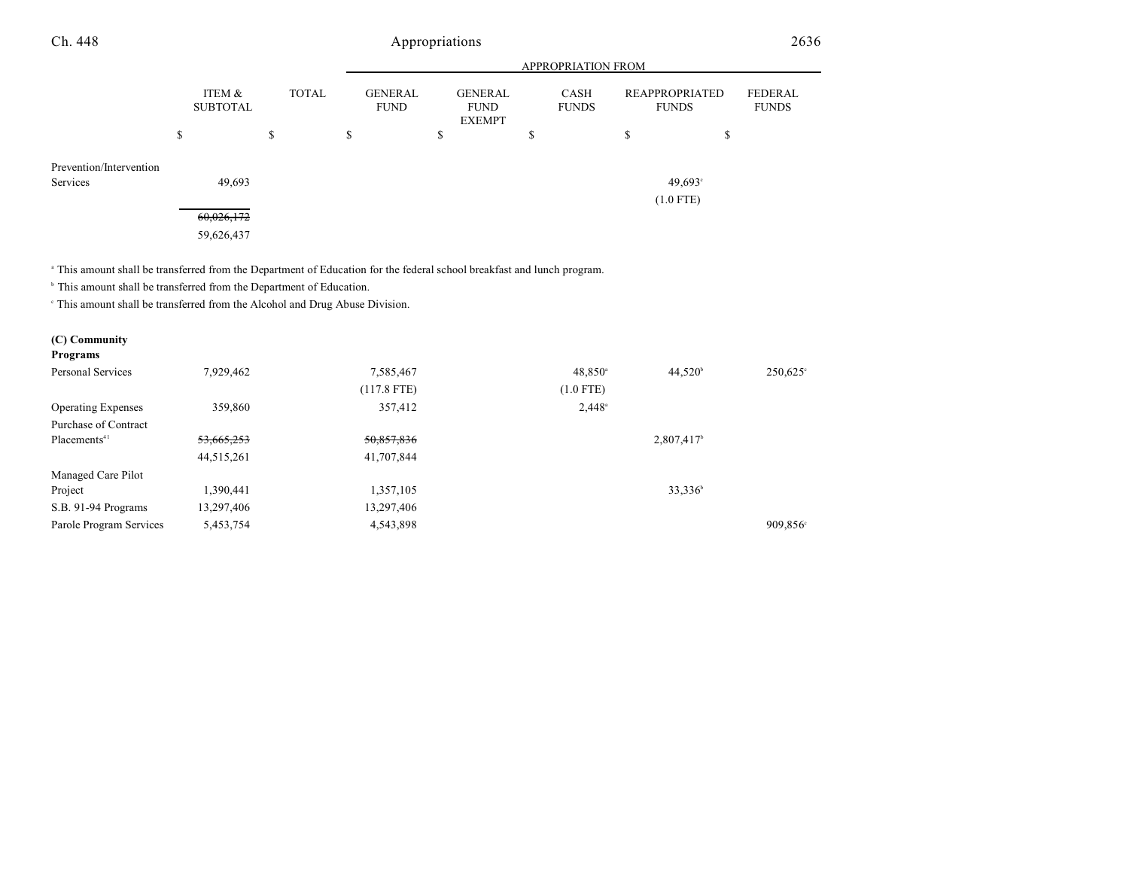|                                     | ITEM &<br><b>SUBTOTAL</b> | <b>TOTAL</b> | <b>GENERAL</b><br><b>FUND</b> | <b>GENERAL</b><br><b>FUND</b><br><b>EXEMPT</b> |   | CASH<br><b>FUNDS</b> | <b>REAPPROPRIATED</b><br><b>FUNDS</b> | FEDERAL<br><b>FUNDS</b> |
|-------------------------------------|---------------------------|--------------|-------------------------------|------------------------------------------------|---|----------------------|---------------------------------------|-------------------------|
|                                     | \$                        | \$           | \$                            | \$                                             | D |                      | \$                                    | Ф                       |
| Prevention/Intervention<br>Services | 49,693                    |              |                               |                                                |   |                      | 49,693°                               |                         |
|                                     | 60,026,172                |              |                               |                                                |   |                      | $(1.0$ FTE)                           |                         |
|                                     | 59,626,437                |              |                               |                                                |   |                      |                                       |                         |

APPROPRIATION FROM

This amount shall be transferred from the Department of Education for the federal school breakfast and lunch program. <sup>a</sup>

 $^{\circ}$  This amount shall be transferred from the Department of Education.

 $\degree$  This amount shall be transferred from the Alcohol and Drug Abuse Division.

### **(C) Community**

| Programs                  |            |               |                  |                     |                      |
|---------------------------|------------|---------------|------------------|---------------------|----------------------|
| Personal Services         | 7,929,462  | 7,585,467     | $48,850^{\circ}$ | $44,520^{\circ}$    | 250,625°             |
|                           |            | $(117.8$ FTE) | $(1.0$ FTE)      |                     |                      |
| <b>Operating Expenses</b> | 359,860    | 357,412       | $2,448^{\circ}$  |                     |                      |
| Purchase of Contract      |            |               |                  |                     |                      |
| Placements <sup>41</sup>  | 53,665,253 | 50,857,836    |                  | 2,807,417           |                      |
|                           | 44,515,261 | 41,707,844    |                  |                     |                      |
| Managed Care Pilot        |            |               |                  |                     |                      |
| Project                   | 1,390,441  | 1,357,105     |                  | 33,336 <sup>b</sup> |                      |
| S.B. 91-94 Programs       | 13,297,406 | 13,297,406    |                  |                     |                      |
| Parole Program Services   | 5,453,754  | 4,543,898     |                  |                     | 909,856 <sup>c</sup> |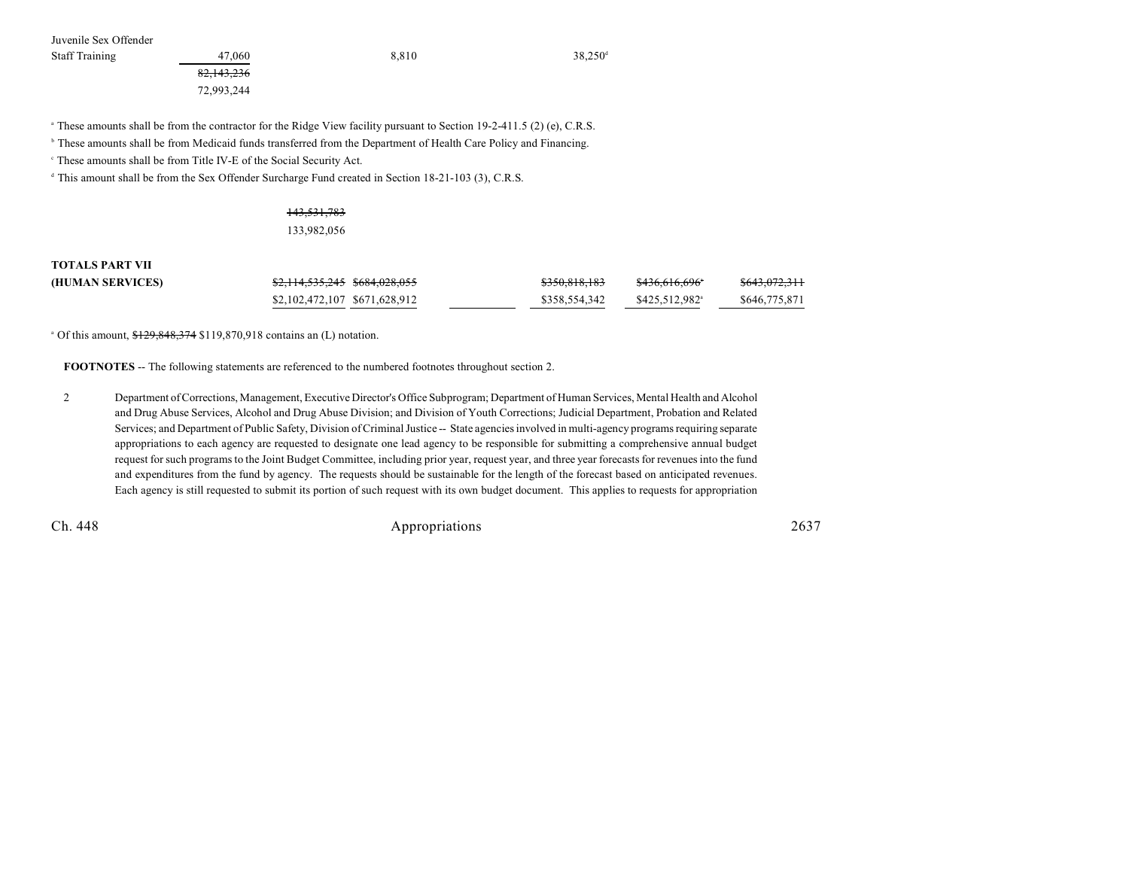Juvenile Sex Offender

Staff Training 27,060 38,810 38,250<sup>d</sup> 38,250<sup>d</sup>

82,143,236 72,993,244

<sup>a</sup> These amounts shall be from the contractor for the Ridge View facility pursuant to Section 19-2-411.5 (2) (e), C.R.S.

<sup>b</sup> These amounts shall be from Medicaid funds transferred from the Department of Health Care Policy and Financing.

<sup>c</sup> These amounts shall be from Title IV-E of the Social Security Act.

<sup>d</sup> This amount shall be from the Sex Offender Surcharge Fund created in Section 18-21-103 (3), C.R.S.

#### 143,531,783 133,982,056

# **TOTALS PART VII**

| (HUMAN SERVICES) |                               |  | \$350,818,183 | <del>\$436,616,696</del> ° | <del>\$643,072,311</del> |
|------------------|-------------------------------|--|---------------|----------------------------|--------------------------|
|                  | \$2,102,472,107 \$671,628,912 |  | \$358,554,342 | \$425,512,982 <sup>a</sup> | \$646,775,871            |

 $^{\circ}$  Of this amount,  $$129,848,374$  \$119,870,918 contains an (L) notation.

**FOOTNOTES** -- The following statements are referenced to the numbered footnotes throughout section 2.

2 Department of Corrections, Management, Executive Director's Office Subprogram; Department of Human Services, Mental Health and Alcohol and Drug Abuse Services, Alcohol and Drug Abuse Division; and Division of Youth Corrections; Judicial Department, Probation and Related Services; and Department of Public Safety, Division of Criminal Justice -- State agencies involved in multi-agency programs requiring separate appropriations to each agency are requested to designate one lead agency to be responsible for submitting a comprehensive annual budget request for such programs to the Joint Budget Committee, including prior year, request year, and three year forecasts for revenues into the fund and expenditures from the fund by agency. The requests should be sustainable for the length of the forecast based on anticipated revenues. Each agency is still requested to submit its portion of such request with its own budget document. This applies to requests for appropriation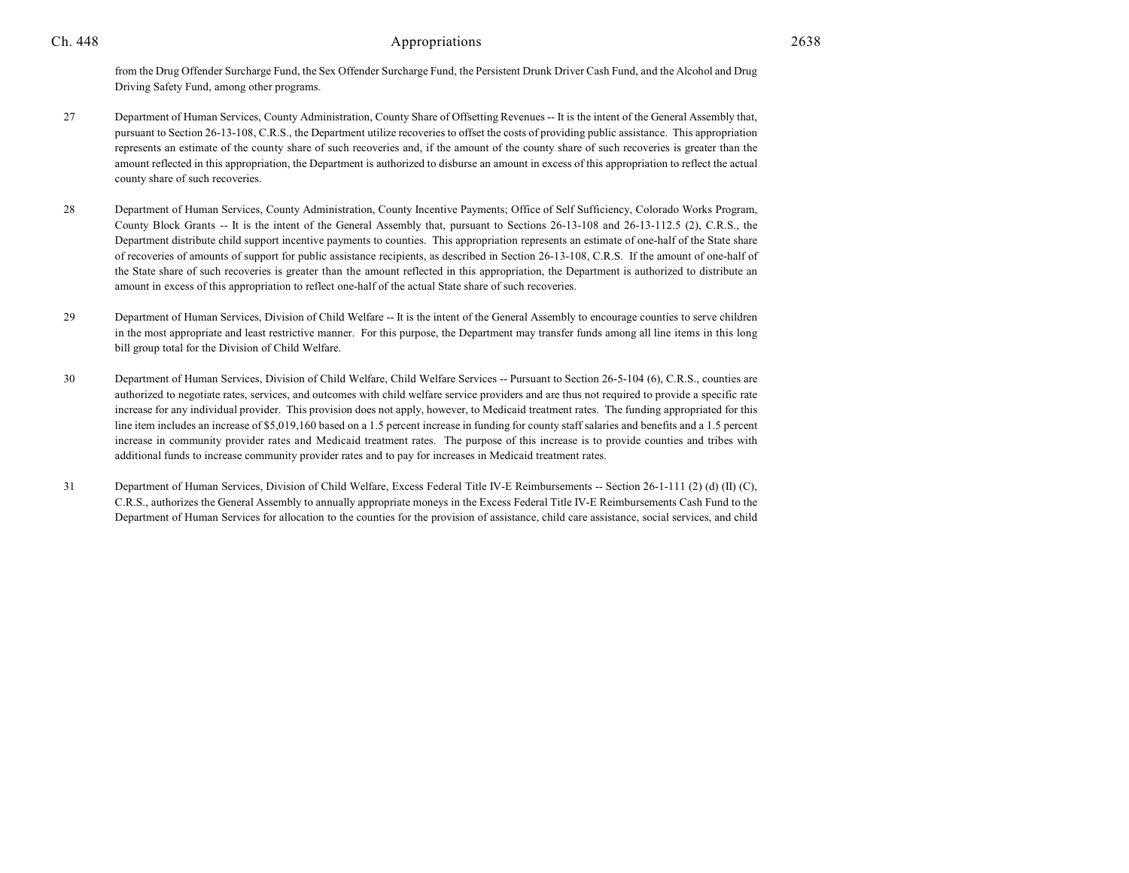from the Drug Offender Surcharge Fund, the Sex Offender Surcharge Fund, the Persistent Drunk Driver Cash Fund, and the Alcohol and Drug Driving Safety Fund, among other programs.

- 27 Department of Human Services, County Administration, County Share of Offsetting Revenues -- It is the intent of the General Assembly that, pursuant to Section 26-13-108, C.R.S., the Department utilize recoveries to offset the costs of providing public assistance. This appropriation represents an estimate of the county share of such recoveries and, if the amount of the county share of such recoveries is greater than the amount reflected in this appropriation, the Department is authorized to disburse an amount in excess of this appropriation to reflect the actual county share of such recoveries.
- 28 Department of Human Services, County Administration, County Incentive Payments; Office of Self Sufficiency, Colorado Works Program, County Block Grants -- It is the intent of the General Assembly that, pursuant to Sections 26-13-108 and 26-13-112.5 (2), C.R.S., the Department distribute child support incentive payments to counties. This appropriation represents an estimate of one-half of the State share of recoveries of amounts of support for public assistance recipients, as described in Section 26-13-108, C.R.S. If the amount of one-half of the State share of such recoveries is greater than the amount reflected in this appropriation, the Department is authorized to distribute an amount in excess of this appropriation to reflect one-half of the actual State share of such recoveries.
- 29 Department of Human Services, Division of Child Welfare -- It is the intent of the General Assembly to encourage counties to serve children in the most appropriate and least restrictive manner. For this purpose, the Department may transfer funds among all line items in this long bill group total for the Division of Child Welfare.
- 30 Department of Human Services, Division of Child Welfare, Child Welfare Services -- Pursuant to Section 26-5-104 (6), C.R.S., counties are authorized to negotiate rates, services, and outcomes with child welfare service providers and are thus not required to provide a specific rate increase for any individual provider. This provision does not apply, however, to Medicaid treatment rates. The funding appropriated for this line item includes an increase of \$5,019,160 based on a 1.5 percent increase in funding for county staff salaries and benefits and a 1.5 percent increase in community provider rates and Medicaid treatment rates. The purpose of this increase is to provide counties and tribes with additional funds to increase community provider rates and to pay for increases in Medicaid treatment rates.
- 31 Department of Human Services, Division of Child Welfare, Excess Federal Title IV-E Reimbursements -- Section 26-1-111 (2) (d) (II) (C), C.R.S., authorizes the General Assembly to annually appropriate moneys in the Excess Federal Title IV-E Reimbursements Cash Fund to the Department of Human Services for allocation to the counties for the provision of assistance, child care assistance, social services, and child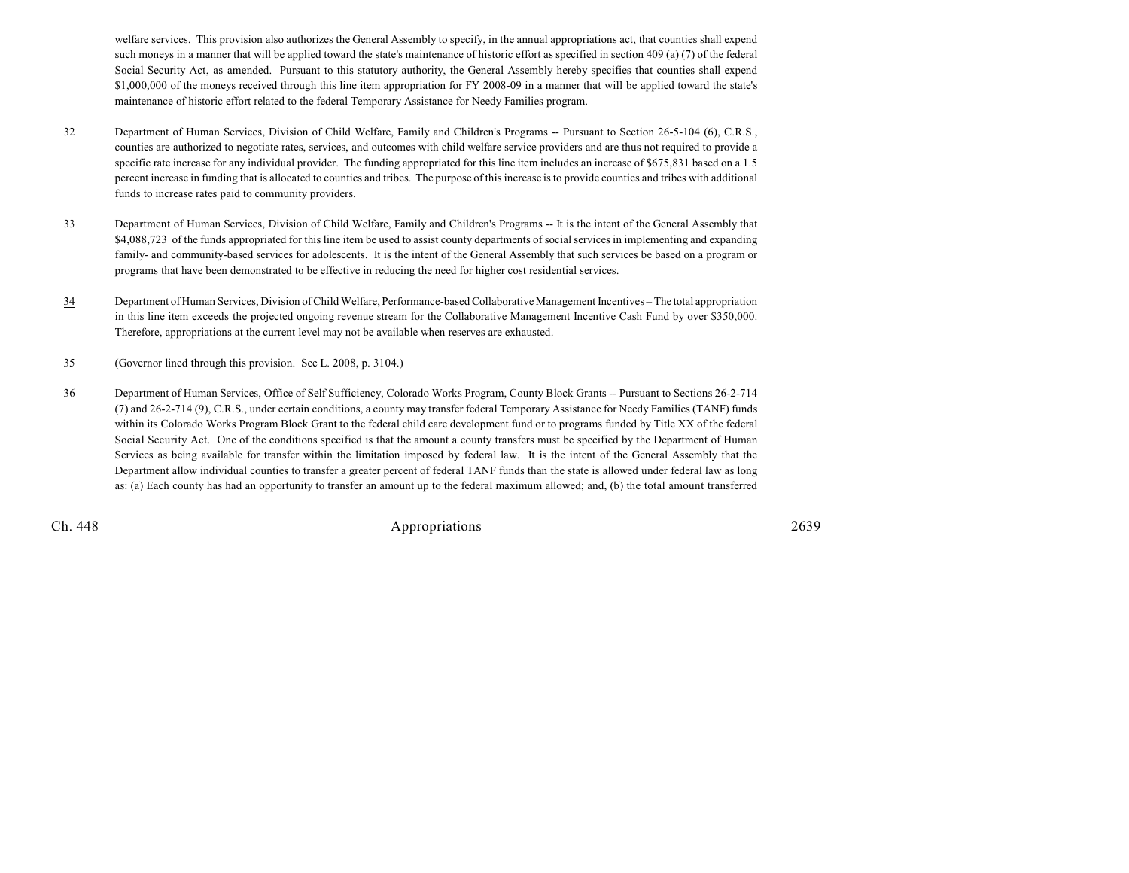welfare services. This provision also authorizes the General Assembly to specify, in the annual appropriations act, that counties shall expend such moneys in a manner that will be applied toward the state's maintenance of historic effort as specified in section 409 (a) (7) of the federal Social Security Act, as amended. Pursuant to this statutory authority, the General Assembly hereby specifies that counties shall expend \$1,000,000 of the moneys received through this line item appropriation for FY 2008-09 in a manner that will be applied toward the state's maintenance of historic effort related to the federal Temporary Assistance for Needy Families program.

- 32 Department of Human Services, Division of Child Welfare, Family and Children's Programs -- Pursuant to Section 26-5-104 (6), C.R.S., counties are authorized to negotiate rates, services, and outcomes with child welfare service providers and are thus not required to provide a specific rate increase for any individual provider. The funding appropriated for this line item includes an increase of \$675,831 based on a 1.5 percent increase in funding that is allocated to counties and tribes. The purpose of this increase is to provide counties and tribes with additional funds to increase rates paid to community providers.
- 33 Department of Human Services, Division of Child Welfare, Family and Children's Programs -- It is the intent of the General Assembly that \$4,088,723 of the funds appropriated for this line item be used to assist county departments of social services in implementing and expanding family- and community-based services for adolescents. It is the intent of the General Assembly that such services be based on a program or programs that have been demonstrated to be effective in reducing the need for higher cost residential services.
- 34 Department of Human Services, Division of Child Welfare, Performance-based Collaborative Management Incentives The total appropriation in this line item exceeds the projected ongoing revenue stream for the Collaborative Management Incentive Cash Fund by over \$350,000. Therefore, appropriations at the current level may not be available when reserves are exhausted.
- 35 (Governor lined through this provision. See L. 2008, p. 3104.)
- 36 Department of Human Services, Office of Self Sufficiency, Colorado Works Program, County Block Grants -- Pursuant to Sections 26-2-714 (7) and 26-2-714 (9), C.R.S., under certain conditions, a county may transfer federal Temporary Assistance for Needy Families (TANF) funds within its Colorado Works Program Block Grant to the federal child care development fund or to programs funded by Title XX of the federal Social Security Act. One of the conditions specified is that the amount a county transfers must be specified by the Department of Human Services as being available for transfer within the limitation imposed by federal law. It is the intent of the General Assembly that the Department allow individual counties to transfer a greater percent of federal TANF funds than the state is allowed under federal law as long as: (a) Each county has had an opportunity to transfer an amount up to the federal maximum allowed; and, (b) the total amount transferred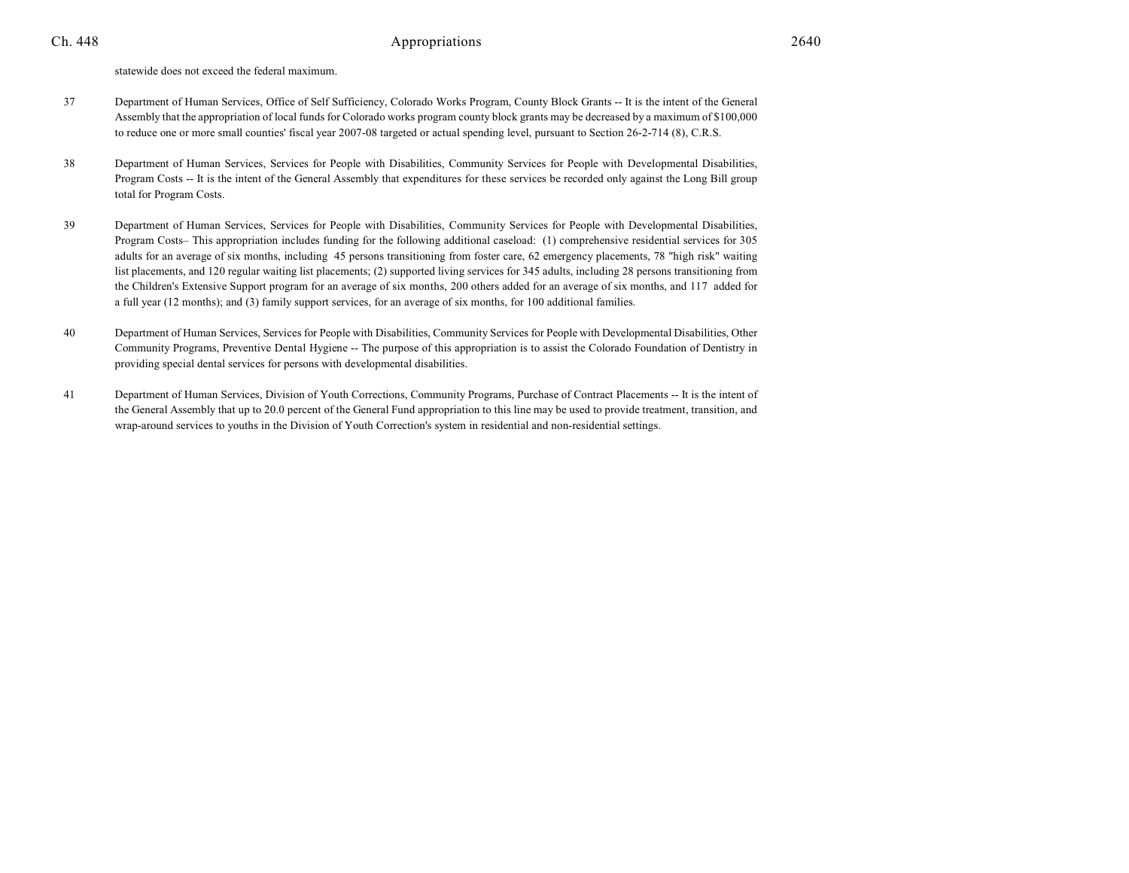statewide does not exceed the federal maximum.

- 37 Department of Human Services, Office of Self Sufficiency, Colorado Works Program, County Block Grants -- It is the intent of the General Assembly that the appropriation of local funds for Colorado works program county block grants may be decreased by a maximum of \$100,000 to reduce one or more small counties' fiscal year 2007-08 targeted or actual spending level, pursuant to Section 26-2-714 (8), C.R.S.
- 38 Department of Human Services, Services for People with Disabilities, Community Services for People with Developmental Disabilities, Program Costs -- It is the intent of the General Assembly that expenditures for these services be recorded only against the Long Bill group total for Program Costs.
- 39 Department of Human Services, Services for People with Disabilities, Community Services for People with Developmental Disabilities, Program Costs– This appropriation includes funding for the following additional caseload: (1) comprehensive residential services for 305 adults for an average of six months, including 45 persons transitioning from foster care, 62 emergency placements, 78 "high risk" waiting list placements, and 120 regular waiting list placements; (2) supported living services for 345 adults, including 28 persons transitioning from the Children's Extensive Support program for an average of six months, 200 others added for an average of six months, and 117 added for a full year (12 months); and (3) family support services, for an average of six months, for 100 additional families.
- 40 Department of Human Services, Services for People with Disabilities, Community Services for People with Developmental Disabilities, Other Community Programs, Preventive Dental Hygiene -- The purpose of this appropriation is to assist the Colorado Foundation of Dentistry in providing special dental services for persons with developmental disabilities.
- 41 Department of Human Services, Division of Youth Corrections, Community Programs, Purchase of Contract Placements -- It is the intent of the General Assembly that up to 20.0 percent of the General Fund appropriation to this line may be used to provide treatment, transition, and wrap-around services to youths in the Division of Youth Correction's system in residential and non-residential settings.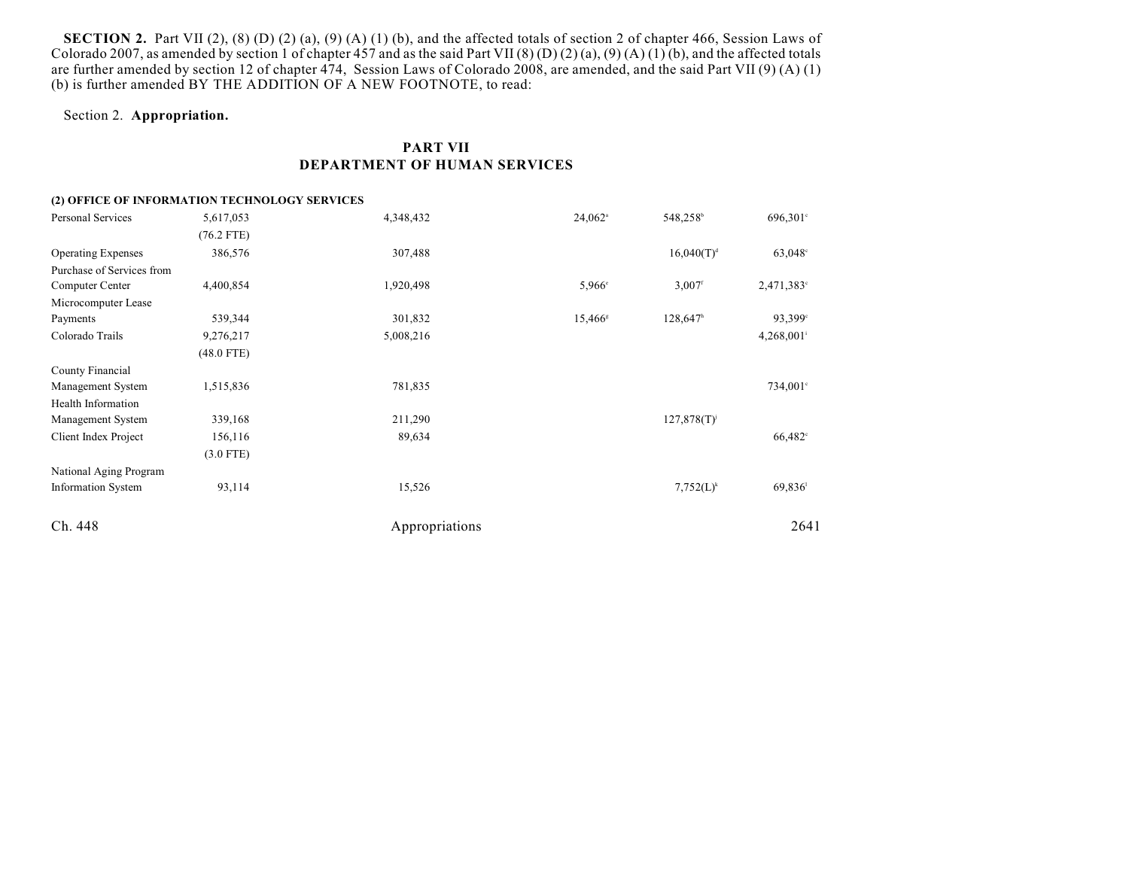**SECTION 2.** Part VII (2), (8) (D) (2) (a), (9) (A) (1) (b), and the affected totals of section 2 of chapter 466, Session Laws of Colorado 2007, as amended by section 1 of chapter 457 and as the said Part VII (8) (D) (2) (a), (9) (A) (1) (b), and the affected totals are further amended by section 12 of chapter 474, Session Laws of Colorado 2008, are amended, and the said Part VII (9) (A) (1) (b) is further amended BY THE ADDITION OF A NEW FOOTNOTE, to read:

#### Section 2. **Appropriation.**

### **PART VII DEPARTMENT OF HUMAN SERVICES**

### Ch. 448 Appropriations 2641 **(2) OFFICE OF INFORMATION TECHNOLOGY SERVICES** Personal Services 5,617,053 4,348,432 24,062 548,258 696,301<sup>o</sup> (76.2 FTE) Operating Expenses 386,576 307,488  $307,488$  307,488  $16,040(T)^{d}$  63,048° Purchase of Services from  $\text{Computer Center} \quad 4,400,854$   $1,920,498$   $5,966$   $3,007$   $2,471,383$ Microcomputer Lease Payments 239,344 539,344 301,832 15,466 128,647 93,399 Colorado Trails **9,276,217** 5,008,216 5,008,216 4,268,001<sup>i</sup> (48.0 FTE) County Financial Management System 1,515,836 734,001<sup>c</sup> 781,835 734,001<sup>c</sup> Health Information Management System 339,168 211,290 127,878(T) Client Index Project 156,116 89,634 66,482<sup>c</sup> (3.0 FTE) National Aging Program Information System 93,114 93,114 15,526 7,752(L)<sup>k</sup> 69,836<sup>1</sup>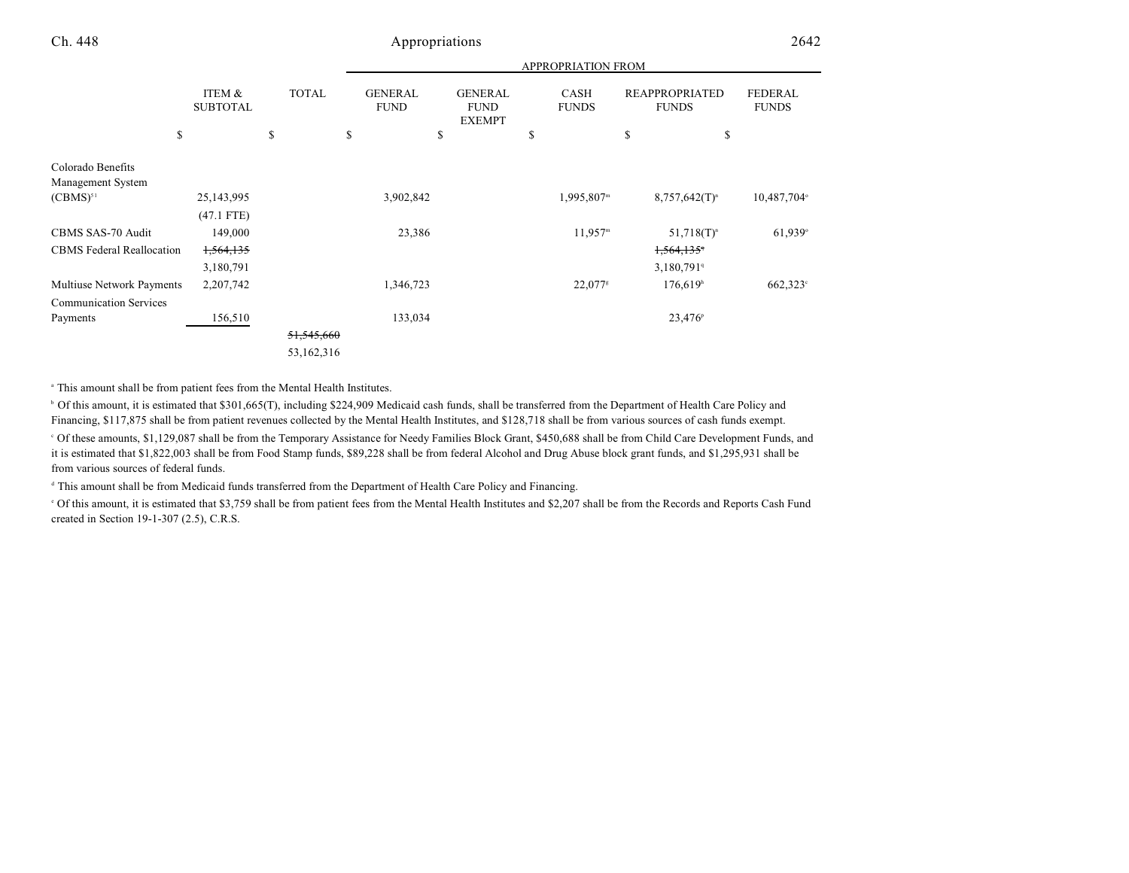| <b>APPROPRIATION FROM</b> |  |
|---------------------------|--|
|                           |  |

| \$                               | ITEM &<br><b>SUBTOTAL</b> | <b>TOTAL</b><br>\$ | <b>GENERAL</b><br><b>FUND</b><br>\$ | <b>GENERAL</b><br><b>FUND</b><br><b>EXEMPT</b><br>\$ | <b>CASH</b><br><b>FUNDS</b><br>\$ | <b>REAPPROPRIATED</b><br><b>FUNDS</b><br>\$<br>\$ | <b>FEDERAL</b><br><b>FUNDS</b> |
|----------------------------------|---------------------------|--------------------|-------------------------------------|------------------------------------------------------|-----------------------------------|---------------------------------------------------|--------------------------------|
|                                  |                           |                    |                                     |                                                      |                                   |                                                   |                                |
| Colorado Benefits                |                           |                    |                                     |                                                      |                                   |                                                   |                                |
| Management System                |                           |                    |                                     |                                                      |                                   |                                                   |                                |
| $(CBMS)^{51}$                    | 25,143,995                |                    | 3,902,842                           |                                                      | 1,995,807m                        | $8,757,642(T)^n$                                  | 10,487,704°                    |
|                                  | $(47.1$ FTE)              |                    |                                     |                                                      |                                   |                                                   |                                |
| CBMS SAS-70 Audit                | 149,000                   |                    | 23,386                              |                                                      | 11,957 <sup>m</sup>               | $51,718(T)^n$                                     | 61,939°                        |
| <b>CBMS</b> Federal Reallocation | 1,564,135                 |                    |                                     |                                                      |                                   | 1,564,135                                         |                                |
|                                  | 3,180,791                 |                    |                                     |                                                      |                                   | 3,180,791                                         |                                |
| Multiuse Network Payments        | 2,207,742                 |                    | 1,346,723                           |                                                      | $22,077$ <sup>s</sup>             | 176,619 <sup>h</sup>                              | $662,323^{\circ}$              |
| <b>Communication Services</b>    |                           |                    |                                     |                                                      |                                   |                                                   |                                |
| Payments                         | 156,510                   |                    | 133,034                             |                                                      |                                   | $23,476^{\circ}$                                  |                                |
|                                  |                           | 51,545,660         |                                     |                                                      |                                   |                                                   |                                |
|                                  |                           | 53,162,316         |                                     |                                                      |                                   |                                                   |                                |

<sup>a</sup> This amount shall be from patient fees from the Mental Health Institutes.

<sup>b</sup> Of this amount, it is estimated that \$301,665(T), including \$224,909 Medicaid cash funds, shall be transferred from the Department of Health Care Policy and Financing, \$117,875 shall be from patient revenues collected by the Mental Health Institutes, and \$128,718 shall be from various sources of cash funds exempt. Of these amounts, \$1,129,087 shall be from the Temporary Assistance for Needy Families Block Grant, \$450,688 shall be from Child Care Development Funds, and <sup>c</sup> it is estimated that \$1,822,003 shall be from Food Stamp funds, \$89,228 shall be from federal Alcohol and Drug Abuse block grant funds, and \$1,295,931 shall be from various sources of federal funds.

<sup>d</sup> This amount shall be from Medicaid funds transferred from the Department of Health Care Policy and Financing.

 Of this amount, it is estimated that \$3,759 shall be from patient fees from the Mental Health Institutes and \$2,207 shall be from the Records and Reports Cash Fund <sup>e</sup> created in Section 19-1-307 (2.5), C.R.S.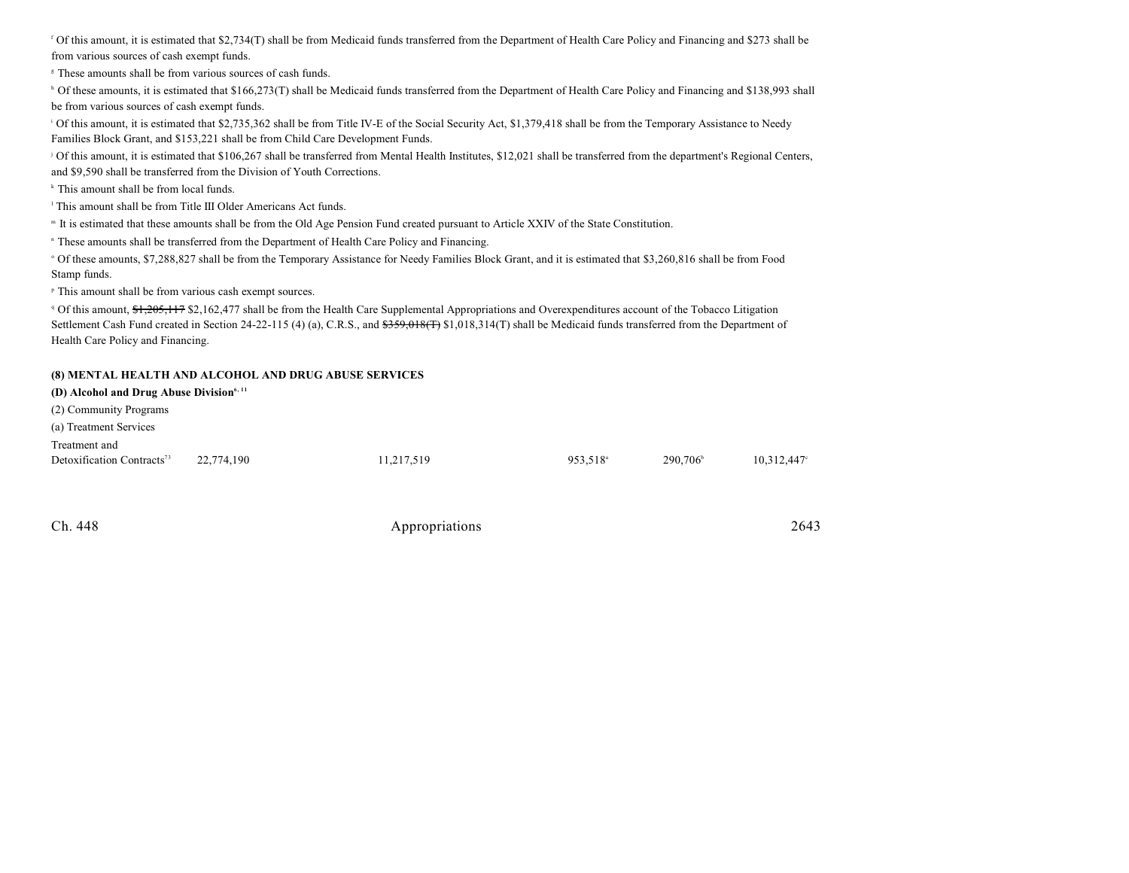Of this amount, it is estimated that \$2,734(T) shall be from Medicaid funds transferred from the Department of Health Care Policy and Financing and \$273 shall be <sup>f</sup> from various sources of cash exempt funds.

<sup>8</sup> These amounts shall be from various sources of cash funds.

<sup>h</sup> Of these amounts, it is estimated that \$166,273(T) shall be Medicaid funds transferred from the Department of Health Care Policy and Financing and \$138,993 shall be from various sources of cash exempt funds.

<sup>1</sup> Of this amount, it is estimated that \$2,735,362 shall be from Title IV-E of the Social Security Act, \$1,379,418 shall be from the Temporary Assistance to Needy Families Block Grant, and \$153,221 shall be from Child Care Development Funds.

<sup>j</sup> Of this amount, it is estimated that \$106,267 shall be transferred from Mental Health Institutes, \$12,021 shall be transferred from the department's Regional Centers, and \$9,590 shall be transferred from the Division of Youth Corrections.

<sup>k</sup> This amount shall be from local funds.

<sup>1</sup> This amount shall be from Title III Older Americans Act funds.

It is estimated that these amounts shall be from the Old Age Pension Fund created pursuant to Article XXIV of the State Constitution. <sup>m</sup>

<sup>n</sup> These amounts shall be transferred from the Department of Health Care Policy and Financing.

 Of these amounts, \$7,288,827 shall be from the Temporary Assistance for Needy Families Block Grant, and it is estimated that \$3,260,816 shall be from Food <sup>o</sup> Stamp funds.

<sup>p</sup> This amount shall be from various cash exempt sources.

<sup>q</sup> Of this amount, \$1,205,117 \$2,162,477 shall be from the Health Care Supplemental Appropriations and Overexpenditures account of the Tobacco Litigation Settlement Cash Fund created in Section 24-22-115 (4) (a), C.R.S., and  $\frac{2359,018(F)}{31,018,314(T)}$  shall be Medicaid funds transferred from the Department of Health Care Policy and Financing.

#### **(8) MENTAL HEALTH AND ALCOHOL AND DRUG ABUSE SERVICES**

| (D) Alcohol and Drug Abuse Division $6,11$ |            |            |                      |                   |                |
|--------------------------------------------|------------|------------|----------------------|-------------------|----------------|
| (2) Community Programs                     |            |            |                      |                   |                |
| (a) Treatment Services                     |            |            |                      |                   |                |
| Treatment and                              |            |            |                      |                   |                |
| Detoxification Contracts <sup>73</sup>     | 22,774,190 | 11,217,519 | 953.518 <sup>a</sup> | $290.706^{\circ}$ | $10,312,447$ ° |
|                                            |            |            |                      |                   |                |

| Appropriations | 2643 |
|----------------|------|
|                |      |
|                |      |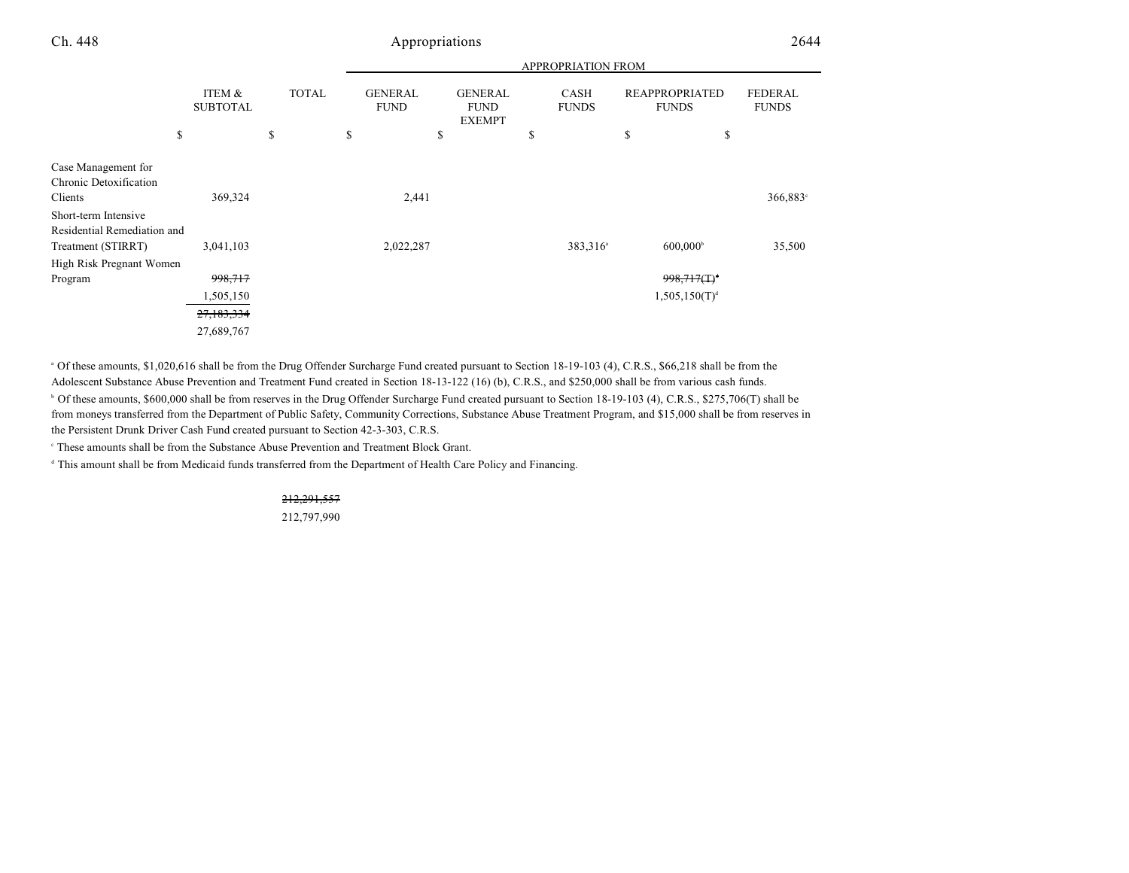|                                                                           |                           |              | <b>APPROPRIATION FROM</b>     |                                                |                      |                                       |                                |
|---------------------------------------------------------------------------|---------------------------|--------------|-------------------------------|------------------------------------------------|----------------------|---------------------------------------|--------------------------------|
|                                                                           | ITEM &<br><b>SUBTOTAL</b> | <b>TOTAL</b> | <b>GENERAL</b><br><b>FUND</b> | <b>GENERAL</b><br><b>FUND</b><br><b>EXEMPT</b> | CASH<br><b>FUNDS</b> | <b>REAPPROPRIATED</b><br><b>FUNDS</b> | <b>FEDERAL</b><br><b>FUNDS</b> |
| \$                                                                        |                           | \$           | \$                            | \$                                             | \$                   | \$<br>\$                              |                                |
| Case Management for<br>Chronic Detoxification<br>Clients                  | 369,324                   |              | 2,441                         |                                                |                      |                                       | 366,883°                       |
| Short-term Intensive<br>Residential Remediation and<br>Treatment (STIRRT) | 3,041,103                 |              | 2,022,287                     |                                                | 383,316 <sup>a</sup> | $600,000^{\circ}$                     | 35,500                         |
| High Risk Pregnant Women                                                  |                           |              |                               |                                                |                      |                                       |                                |
| Program                                                                   | 998,717                   |              |                               |                                                |                      | $998,717($ T) <sup>d</sup>            |                                |
|                                                                           | 1,505,150                 |              |                               |                                                |                      | $1,505,150(T)^d$                      |                                |
|                                                                           | 27,183,334                |              |                               |                                                |                      |                                       |                                |
|                                                                           | 27,689,767                |              |                               |                                                |                      |                                       |                                |

<sup>a</sup> Of these amounts, \$1,020,616 shall be from the Drug Offender Surcharge Fund created pursuant to Section 18-19-103 (4), C.R.S., \$66,218 shall be from the Adolescent Substance Abuse Prevention and Treatment Fund created in Section 18-13-122 (16) (b), C.R.S., and \$250,000 shall be from various cash funds.

<sup>b</sup> Of these amounts, \$600,000 shall be from reserves in the Drug Offender Surcharge Fund created pursuant to Section 18-19-103 (4), C.R.S., \$275,706(T) shall be from moneys transferred from the Department of Public Safety, Community Corrections, Substance Abuse Treatment Program, and \$15,000 shall be from reserves in the Persistent Drunk Driver Cash Fund created pursuant to Section 42-3-303, C.R.S.

These amounts shall be from the Substance Abuse Prevention and Treatment Block Grant.

<sup>d</sup> This amount shall be from Medicaid funds transferred from the Department of Health Care Policy and Financing.

#### 212,291,557

212,797,990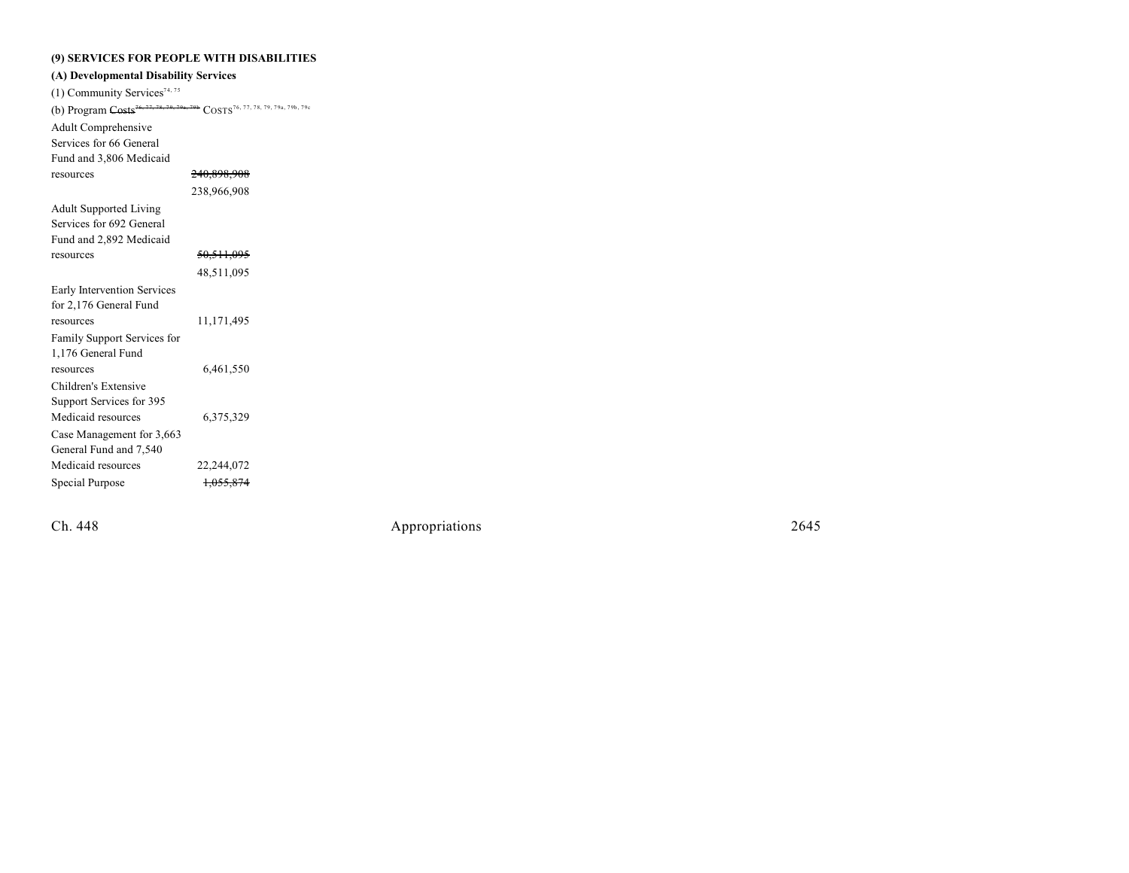#### **(9) SERV I CES FO R PEOPLE W ITH D I S ABILITIES**

| (A) Developmental Disability Services                                                                |  |  |  |  |  |  |
|------------------------------------------------------------------------------------------------------|--|--|--|--|--|--|
|                                                                                                      |  |  |  |  |  |  |
| (b) Program Costs <sup>76, 77, 78, 79, 79a, 79b</sup> COSTS <sup>76, 77, 78, 79, 79a, 79b, 79c</sup> |  |  |  |  |  |  |
|                                                                                                      |  |  |  |  |  |  |
|                                                                                                      |  |  |  |  |  |  |
|                                                                                                      |  |  |  |  |  |  |
| <del>240,898,908</del>                                                                               |  |  |  |  |  |  |
| 238,966,908                                                                                          |  |  |  |  |  |  |
|                                                                                                      |  |  |  |  |  |  |
|                                                                                                      |  |  |  |  |  |  |
|                                                                                                      |  |  |  |  |  |  |
| <del>50,511,095</del>                                                                                |  |  |  |  |  |  |
| 48,511,095                                                                                           |  |  |  |  |  |  |
|                                                                                                      |  |  |  |  |  |  |
|                                                                                                      |  |  |  |  |  |  |
| 11,171,495                                                                                           |  |  |  |  |  |  |
|                                                                                                      |  |  |  |  |  |  |
|                                                                                                      |  |  |  |  |  |  |
| 6,461,550                                                                                            |  |  |  |  |  |  |
|                                                                                                      |  |  |  |  |  |  |
|                                                                                                      |  |  |  |  |  |  |
| 6,375,329                                                                                            |  |  |  |  |  |  |
|                                                                                                      |  |  |  |  |  |  |
|                                                                                                      |  |  |  |  |  |  |
| 22,244,072                                                                                           |  |  |  |  |  |  |
| <del>1,055,874</del>                                                                                 |  |  |  |  |  |  |
|                                                                                                      |  |  |  |  |  |  |

Ch. 448

Appropr iat

ions 2645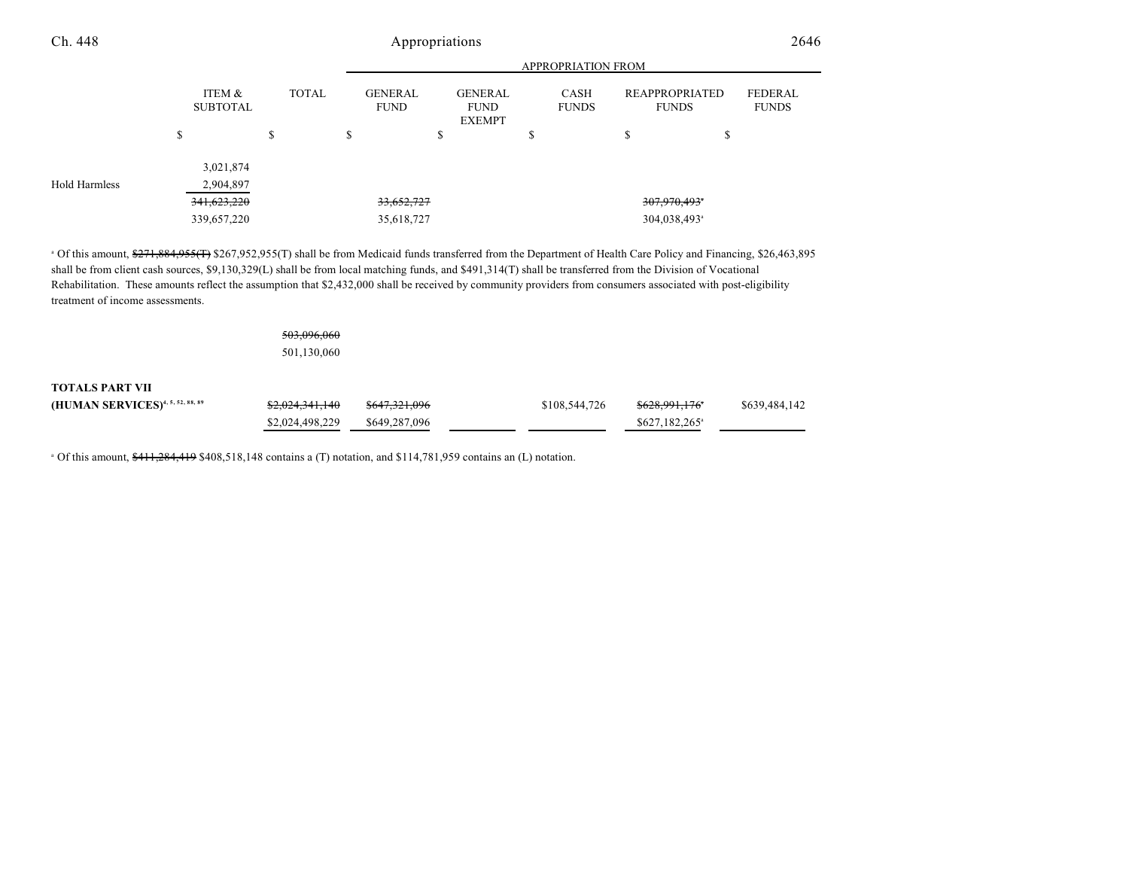|                      | Appropriations                       |                           |                               |                                                |                             |                                       |                                |
|----------------------|--------------------------------------|---------------------------|-------------------------------|------------------------------------------------|-----------------------------|---------------------------------------|--------------------------------|
|                      |                                      | <b>APPROPRIATION FROM</b> |                               |                                                |                             |                                       |                                |
|                      | <b>ITEM &amp;</b><br><b>SUBTOTAL</b> | <b>TOTAL</b>              | <b>GENERAL</b><br><b>FUND</b> | <b>GENERAL</b><br><b>FUND</b><br><b>EXEMPT</b> | <b>CASH</b><br><b>FUNDS</b> | <b>REAPPROPRIATED</b><br><b>FUNDS</b> | <b>FEDERAL</b><br><b>FUNDS</b> |
| \$                   |                                      | \$                        | ъ                             | ъ                                              | S                           | \$<br>S                               |                                |
|                      | 3,021,874                            |                           |                               |                                                |                             |                                       |                                |
| <b>Hold Harmless</b> | 2,904,897                            |                           |                               |                                                |                             |                                       |                                |
|                      | 341.623.220                          |                           | 33,652,727                    |                                                | 307,970,493 <sup>*</sup>    |                                       |                                |
|                      | 339,657,220                          |                           | 35,618,727                    |                                                |                             | 304,038,493 <sup>a</sup>              |                                |

shall be from client cash sources, \$9,130,329(L) shall be from local matching funds, and \$491,314(T) shall be transferred from the Division of Vocational Rehabilitation. These amounts reflect the assumption that \$2,432,000 shall be received by community providers from consumers associated with post-eligibility treatment of income assessments.

### 503,096,060

501,130,060

#### **TOTALS PART VII**

| (HUMAN SERVICES) <sup>4, 5, 52, 88, 89</sup> | <del>\$2,024,341,140</del> | <del>\$647,321,096</del> | \$108,544,726 | <del>\$628.991.176</del> *  | \$639,484,142 |
|----------------------------------------------|----------------------------|--------------------------|---------------|-----------------------------|---------------|
|                                              | \$2,024,498,229            | \$649.287.096            |               | $$627.182.265$ <sup>a</sup> |               |

Of this amount, \$411,284,419 \$408,518,148 contains a (T) notation, and \$114,781,959 contains an (L) notation. <sup>a</sup>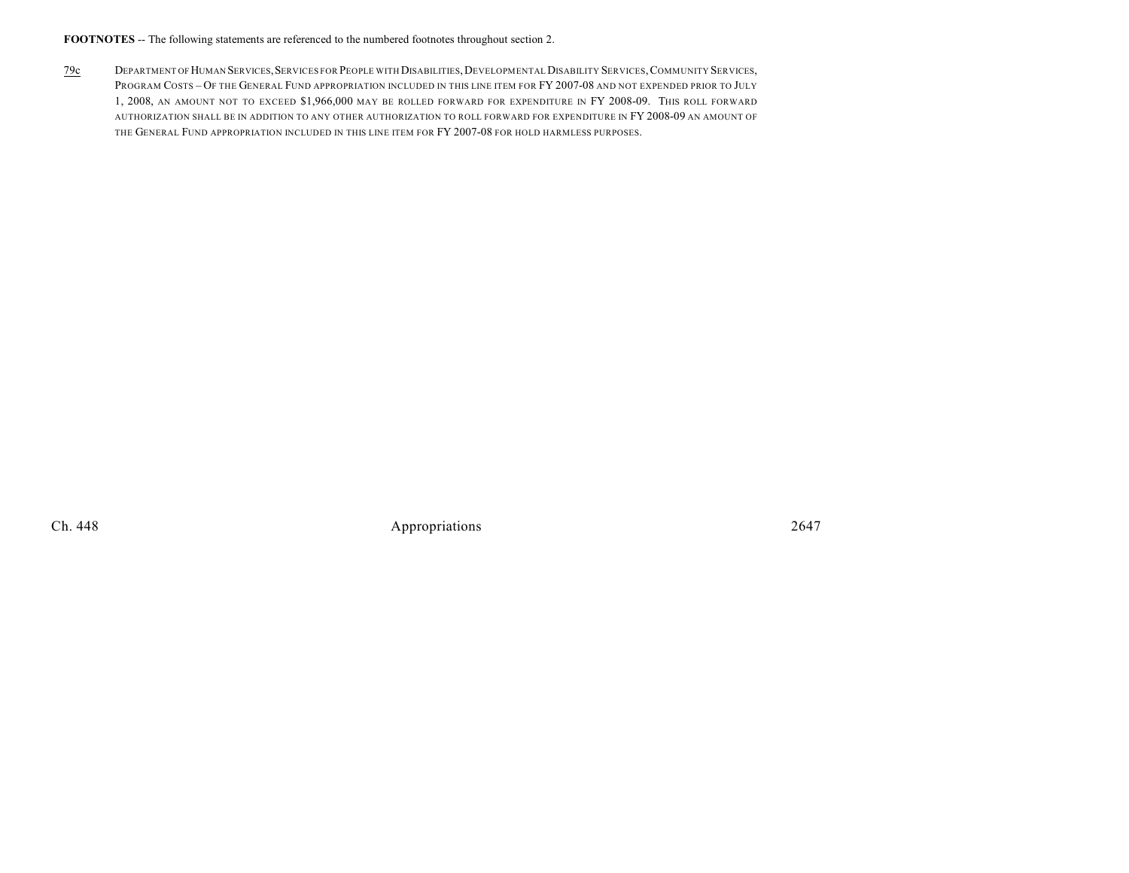**FOOTNOTES** -- The following statements are referenced to the numbered footnotes throughout section 2.

79c DEPARTMENT OF HUMAN SERVICES,SERVICES FOR PEOPLE WITH DISABILITIES,DEVELOPMENTAL DISABILITY SERVICES,COMMUNITY SERVICES, PROGRAM COSTS – OF THE GENERAL FUND APPROPRIATION INCLUDED IN THIS LINE ITEM FOR FY 2007-08 AND NOT EXPENDED PRIOR TO JULY 1, 2008, AN AMOUNT NOT TO EXCEED \$1,966,000 MAY BE ROLLED FORWARD FOR EXPENDITURE IN FY 2008-09. THIS ROLL FORWARD AUTHORIZATION SHALL BE IN ADDITION TO ANY OTHER AUTHORIZATION TO ROLL FORWARD FOR EXPENDITURE IN FY 2008-09 AN AMOUNT OF THE GENERAL FUND APPROPRIATION INCLUDED IN THIS LINE ITEM FOR FY 2007-08 FOR HOLD HARMLESS PURPOSES.